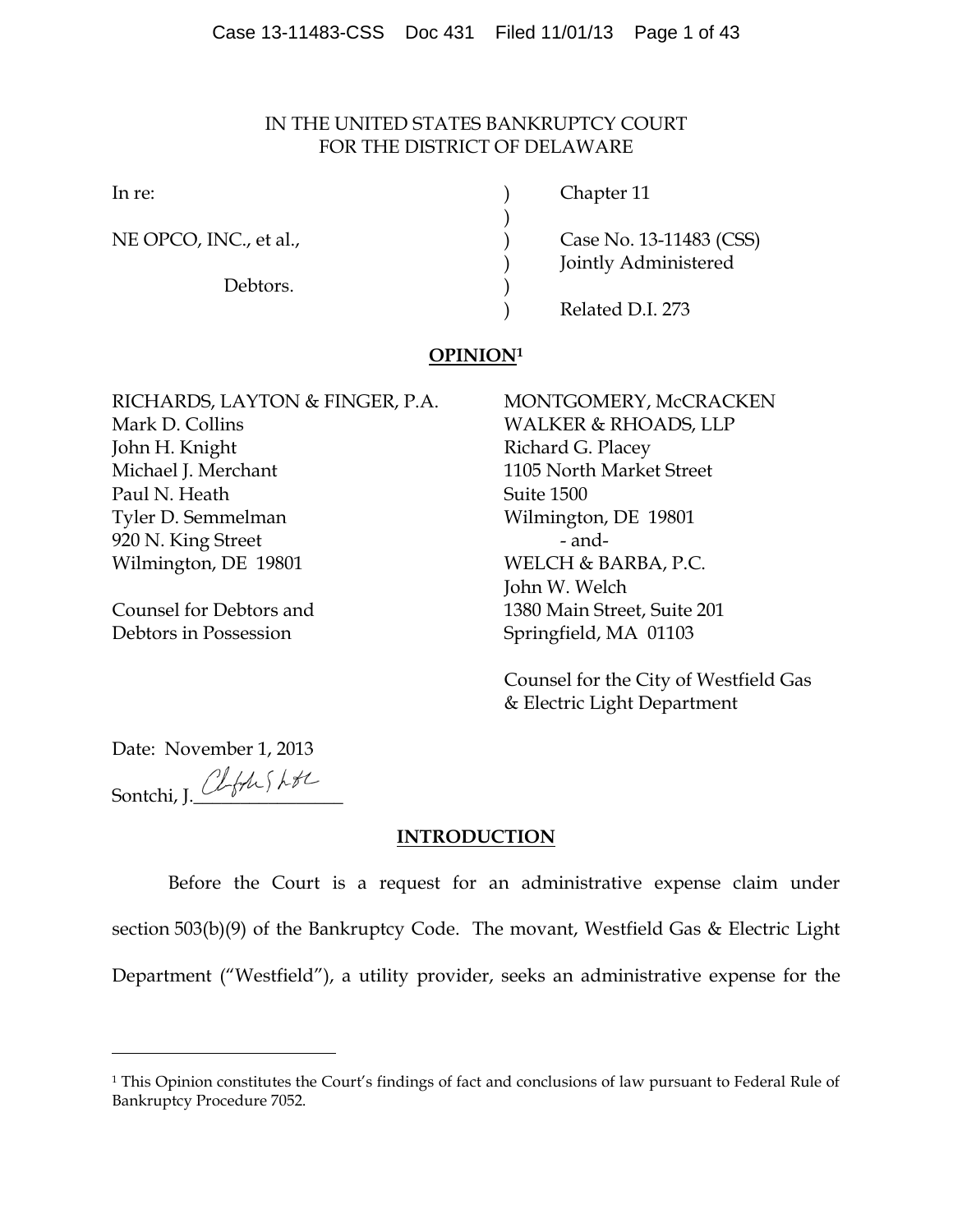## IN THE UNITED STATES BANKRUPTCY COURT FOR THE DISTRICT OF DELAWARE

)

Debtors.

In re: (a) Chapter 11

NE OPCO, INC., et al., 2008 (CSS) Case No. 13-11483 (CSS) ) Jointly Administered

) Related D.I. 273

# **OPINION1**

RICHARDS, LAYTON & FINGER, P.A. MONTGOMERY, McCRACKEN Mark D. Collins WALKER & RHOADS, LLP John H. Knight **Richard G. Placey** Michael J. Merchant 1105 North Market Street Paul N. Heath Suite 1500 Tyler D. Semmelman Wilmington, DE 19801 920 N. King Street - and-Wilmington, DE 19801 WELCH & BARBA, P.C.

Debtors in Possession Springfield, MA 01103

John W. Welch Counsel for Debtors and 1380 Main Street, Suite 201

> Counsel for the City of Westfield Gas & Electric Light Department

Date: November 1, 2013 Sontchi, I. Clftus LtL

 $\overline{a}$ 

## **INTRODUCTION**

Before the Court is a request for an administrative expense claim under section 503(b)(9) of the Bankruptcy Code. The movant, Westfield Gas & Electric Light Department ("Westfield"), a utility provider, seeks an administrative expense for the

<sup>1</sup> This Opinion constitutes the Court's findings of fact and conclusions of law pursuant to Federal Rule of Bankruptcy Procedure 7052.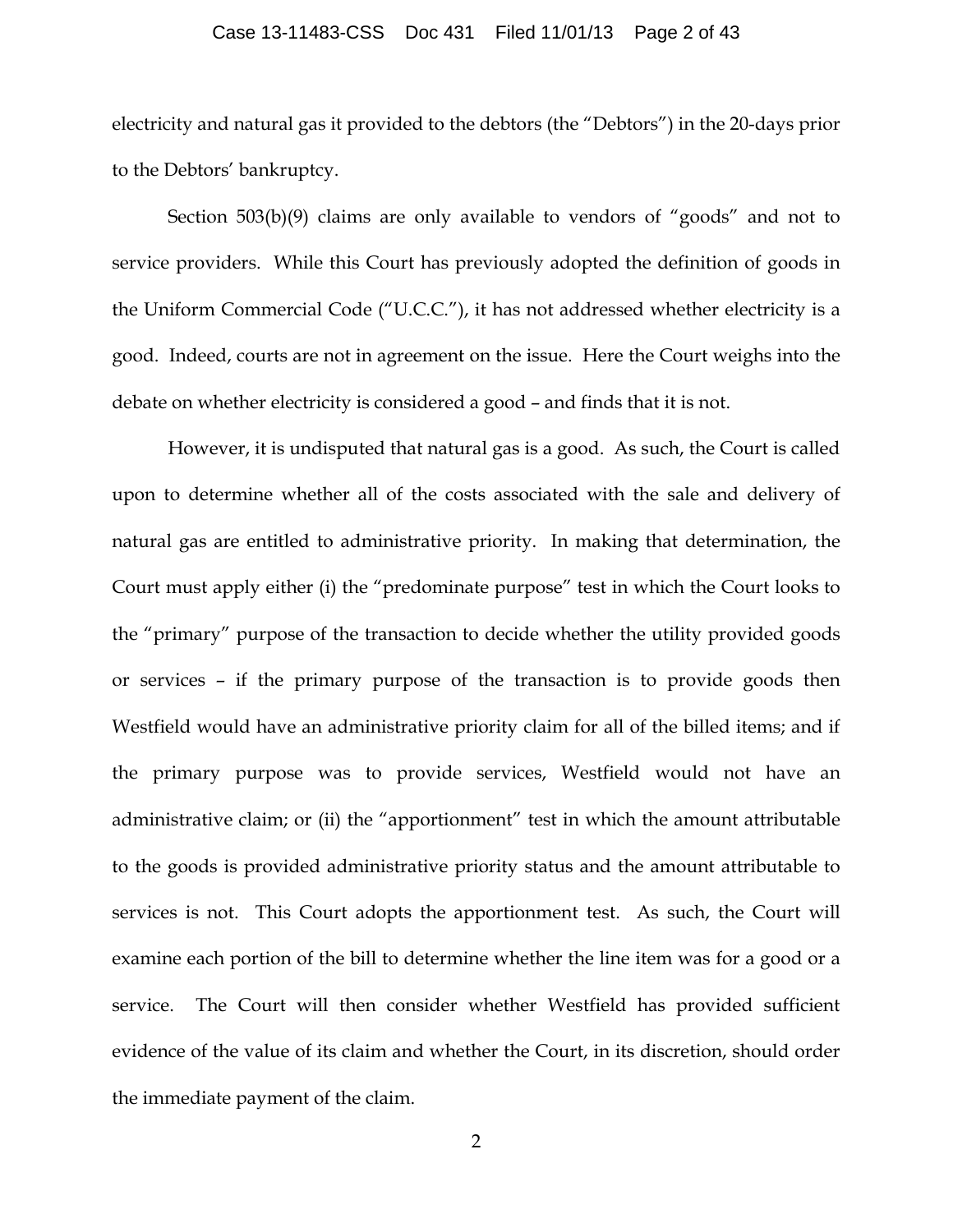### Case 13-11483-CSS Doc 431 Filed 11/01/13 Page 2 of 43

electricity and natural gas it provided to the debtors (the "Debtors") in the 20-days prior to the Debtors' bankruptcy.

Section 503(b)(9) claims are only available to vendors of "goods" and not to service providers. While this Court has previously adopted the definition of goods in the Uniform Commercial Code ("U.C.C."), it has not addressed whether electricity is a good. Indeed, courts are not in agreement on the issue. Here the Court weighs into the debate on whether electricity is considered a good – and finds that it is not.

However, it is undisputed that natural gas is a good. As such, the Court is called upon to determine whether all of the costs associated with the sale and delivery of natural gas are entitled to administrative priority. In making that determination, the Court must apply either (i) the "predominate purpose" test in which the Court looks to the "primary" purpose of the transaction to decide whether the utility provided goods or services – if the primary purpose of the transaction is to provide goods then Westfield would have an administrative priority claim for all of the billed items; and if the primary purpose was to provide services, Westfield would not have an administrative claim; or (ii) the "apportionment" test in which the amount attributable to the goods is provided administrative priority status and the amount attributable to services is not. This Court adopts the apportionment test. As such, the Court will examine each portion of the bill to determine whether the line item was for a good or a service. The Court will then consider whether Westfield has provided sufficient evidence of the value of its claim and whether the Court, in its discretion, should order the immediate payment of the claim.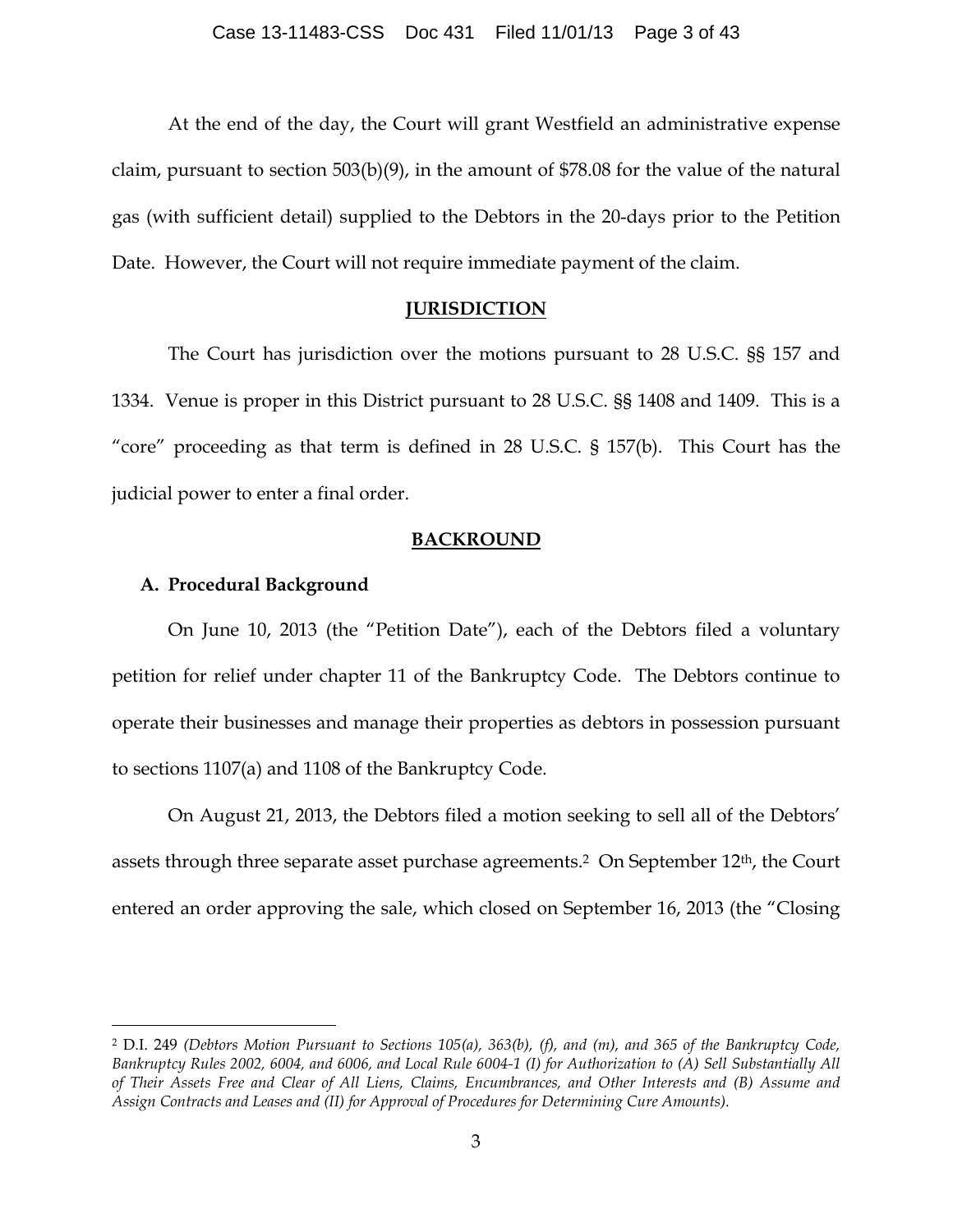At the end of the day, the Court will grant Westfield an administrative expense claim, pursuant to section 503(b)(9), in the amount of \$78.08 for the value of the natural gas (with sufficient detail) supplied to the Debtors in the 20-days prior to the Petition Date. However, the Court will not require immediate payment of the claim.

### **JURISDICTION**

The Court has jurisdiction over the motions pursuant to 28 U.S.C. §§ 157 and 1334. Venue is proper in this District pursuant to 28 U.S.C. §§ 1408 and 1409. This is a "core" proceeding as that term is defined in 28 U.S.C. § 157(b). This Court has the judicial power to enter a final order.

### **BACKROUND**

### **A. Procedural Background**

On June 10, 2013 (the "Petition Date"), each of the Debtors filed a voluntary petition for relief under chapter 11 of the Bankruptcy Code. The Debtors continue to operate their businesses and manage their properties as debtors in possession pursuant to sections 1107(a) and 1108 of the Bankruptcy Code.

On August 21, 2013, the Debtors filed a motion seeking to sell all of the Debtors' assets through three separate asset purchase agreements.<sup>2</sup> On September 12<sup>th</sup>, the Court entered an order approving the sale, which closed on September 16, 2013 (the "Closing

 <sup>2</sup> D.I. 249 *(Debtors Motion Pursuant to Sections 105(a), 363(b), (f), and (m), and 365 of the Bankruptcy Code, Bankruptcy Rules 2002, 6004, and 6006, and Local Rule 6004-1 (I) for Authorization to (A) Sell Substantially All of Their Assets Free and Clear of All Liens, Claims, Encumbrances, and Other Interests and (B) Assume and Assign Contracts and Leases and (II) for Approval of Procedures for Determining Cure Amounts).*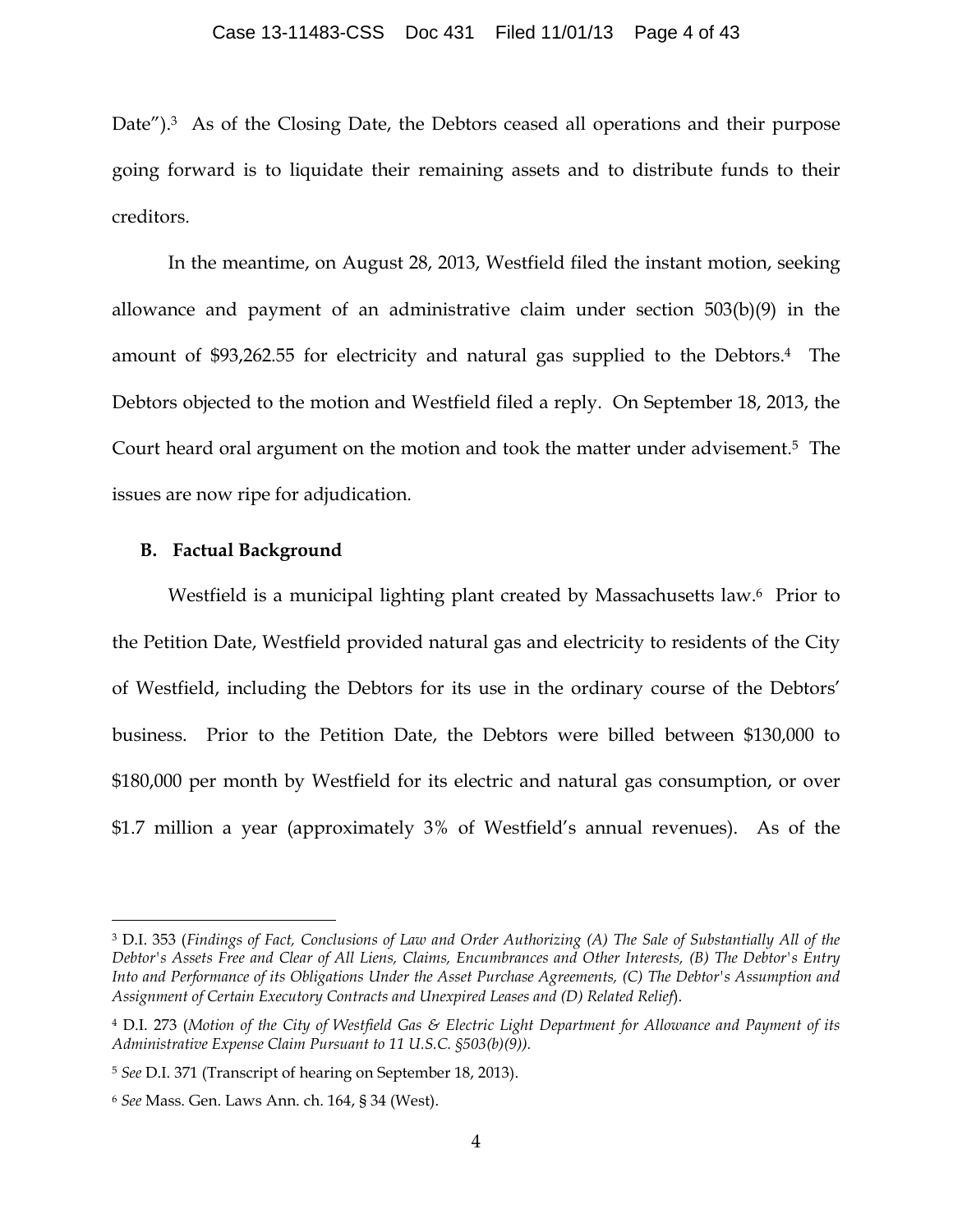Date").<sup>3</sup> As of the Closing Date, the Debtors ceased all operations and their purpose going forward is to liquidate their remaining assets and to distribute funds to their creditors.

In the meantime, on August 28, 2013, Westfield filed the instant motion, seeking allowance and payment of an administrative claim under section 503(b)(9) in the amount of \$93,262.55 for electricity and natural gas supplied to the Debtors.4 The Debtors objected to the motion and Westfield filed a reply. On September 18, 2013, the Court heard oral argument on the motion and took the matter under advisement.5 The issues are now ripe for adjudication.

## **B. Factual Background**

Westfield is a municipal lighting plant created by Massachusetts law.<sup>6</sup> Prior to the Petition Date, Westfield provided natural gas and electricity to residents of the City of Westfield, including the Debtors for its use in the ordinary course of the Debtors' business. Prior to the Petition Date, the Debtors were billed between \$130,000 to \$180,000 per month by Westfield for its electric and natural gas consumption, or over \$1.7 million a year (approximately 3% of Westfield's annual revenues). As of the

 <sup>3</sup> D.I. 353 (*Findings of Fact, Conclusions of Law and Order Authorizing (A) The Sale of Substantially All of the Debtor's Assets Free and Clear of All Liens, Claims, Encumbrances and Other Interests, (B) The Debtor's Entry Into and Performance of its Obligations Under the Asset Purchase Agreements, (C) The Debtor's Assumption and Assignment of Certain Executory Contracts and Unexpired Leases and (D) Related Relief*).

<sup>4</sup> D.I. 273 (*Motion of the City of Westfield Gas & Electric Light Department for Allowance and Payment of its Administrative Expense Claim Pursuant to 11 U.S.C. §503(b)(9)).*

<sup>5</sup> *See* D.I. 371 (Transcript of hearing on September 18, 2013).

<sup>6</sup> *See* Mass. Gen. Laws Ann. ch. 164, § 34 (West).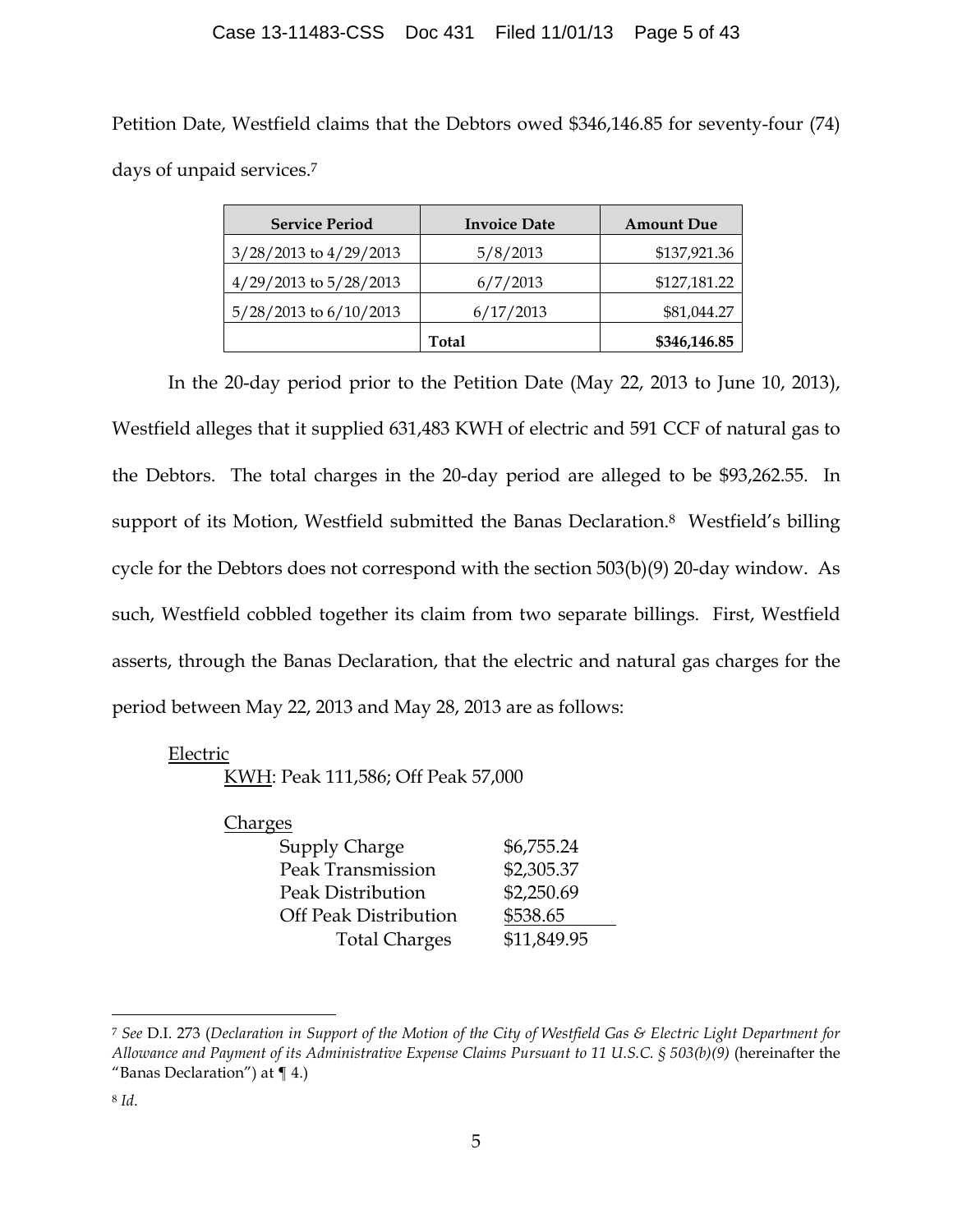Petition Date, Westfield claims that the Debtors owed \$346,146.85 for seventy-four (74) days of unpaid services.7

| <b>Service Period</b>  | <b>Invoice Date</b> | <b>Amount Due</b> |
|------------------------|---------------------|-------------------|
| 3/28/2013 to 4/29/2013 | 5/8/2013            | \$137,921.36      |
| 4/29/2013 to 5/28/2013 | 6/7/2013            | \$127,181.22      |
| 5/28/2013 to 6/10/2013 | 6/17/2013           | \$81,044.27       |
|                        | Total               | \$346,146.85      |

In the 20-day period prior to the Petition Date (May 22, 2013 to June 10, 2013), Westfield alleges that it supplied 631,483 KWH of electric and 591 CCF of natural gas to the Debtors. The total charges in the 20-day period are alleged to be \$93,262.55. In support of its Motion, Westfield submitted the Banas Declaration.<sup>8</sup> Westfield's billing cycle for the Debtors does not correspond with the section 503(b)(9) 20-day window. As such, Westfield cobbled together its claim from two separate billings. First, Westfield asserts, through the Banas Declaration, that the electric and natural gas charges for the period between May 22, 2013 and May 28, 2013 are as follows:

## Electric

KWH: Peak 111,586; Off Peak 57,000

Charges

| Supply Charge                | \$6,755.24  |
|------------------------------|-------------|
| Peak Transmission            | \$2,305.37  |
| Peak Distribution            | \$2,250.69  |
| <b>Off Peak Distribution</b> | \$538.65    |
| <b>Total Charges</b>         | \$11,849.95 |

 <sup>7</sup> *See* D.I. 273 (*Declaration in Support of the Motion of the City of Westfield Gas & Electric Light Department for Allowance and Payment of its Administrative Expense Claims Pursuant to 11 U.S.C. § 503(b)(9)* (hereinafter the "Banas Declaration") at  $\P$  4.)

<sup>8</sup> *Id*.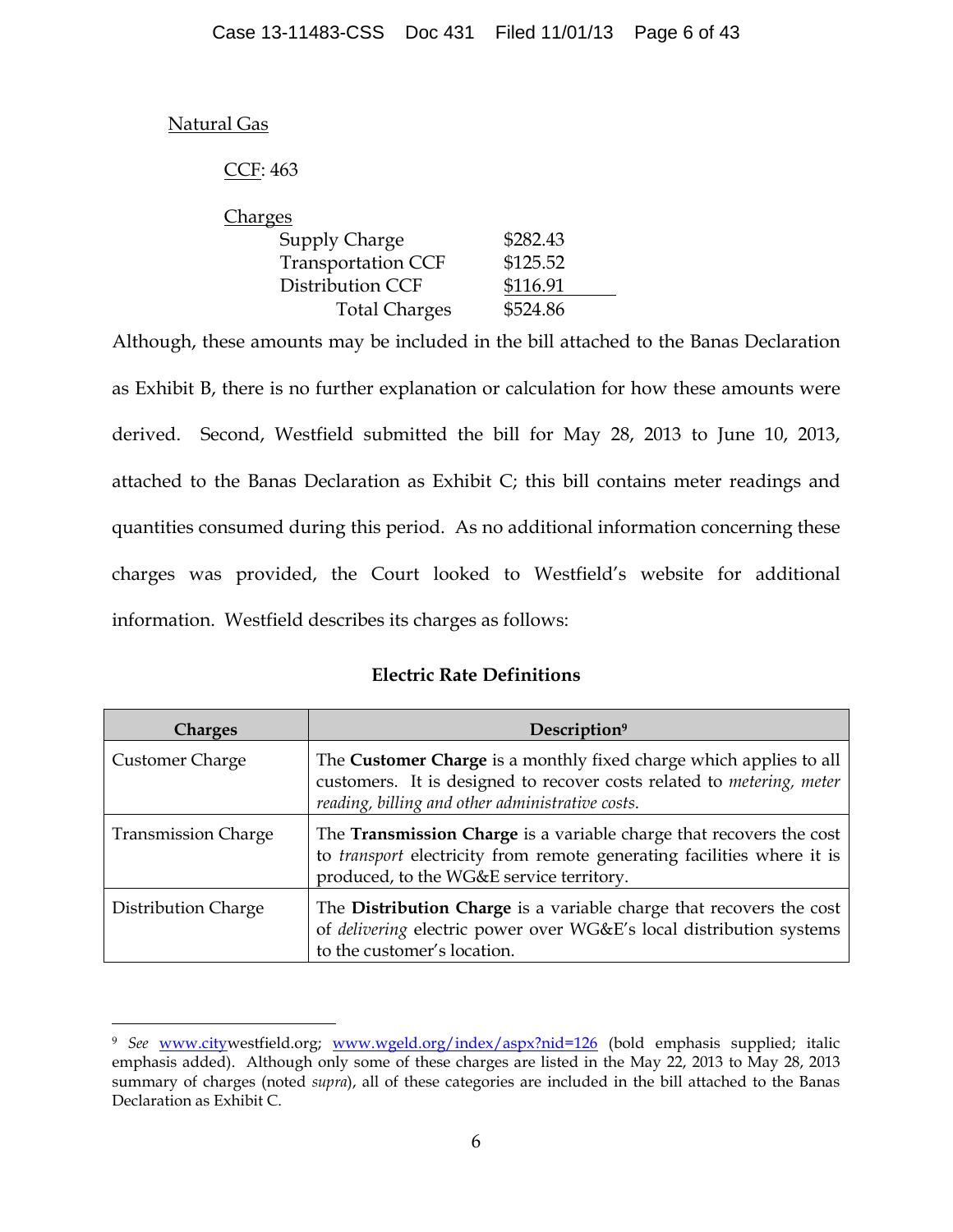# Natural Gas

 $\overline{a}$ 

# CCF: 463

| \$282.43 |
|----------|
| \$125.52 |
| \$116.91 |
| \$524.86 |
|          |

Although, these amounts may be included in the bill attached to the Banas Declaration as Exhibit B, there is no further explanation or calculation for how these amounts were derived. Second, Westfield submitted the bill for May 28, 2013 to June 10, 2013, attached to the Banas Declaration as Exhibit C; this bill contains meter readings and quantities consumed during this period. As no additional information concerning these charges was provided, the Court looked to Westfield's website for additional information. Westfield describes its charges as follows:

# **Electric Rate Definitions**

| <b>Charges</b>             | Description <sup>9</sup>                                                                                                                                                                        |
|----------------------------|-------------------------------------------------------------------------------------------------------------------------------------------------------------------------------------------------|
| <b>Customer Charge</b>     | The Customer Charge is a monthly fixed charge which applies to all<br>customers. It is designed to recover costs related to metering, meter<br>reading, billing and other administrative costs. |
| <b>Transmission Charge</b> | The Transmission Charge is a variable charge that recovers the cost<br>to transport electricity from remote generating facilities where it is<br>produced, to the WG&E service territory.       |
| Distribution Charge        | The Distribution Charge is a variable charge that recovers the cost<br>of delivering electric power over WG&E's local distribution systems<br>to the customer's location.                       |

<sup>&</sup>lt;sup>9</sup> See www.citywestfield.org; www.wgeld.org/index/aspx?nid=126 (bold emphasis supplied; italic emphasis added). Although only some of these charges are listed in the May 22, 2013 to May 28, 2013 summary of charges (noted *supra*), all of these categories are included in the bill attached to the Banas Declaration as Exhibit C.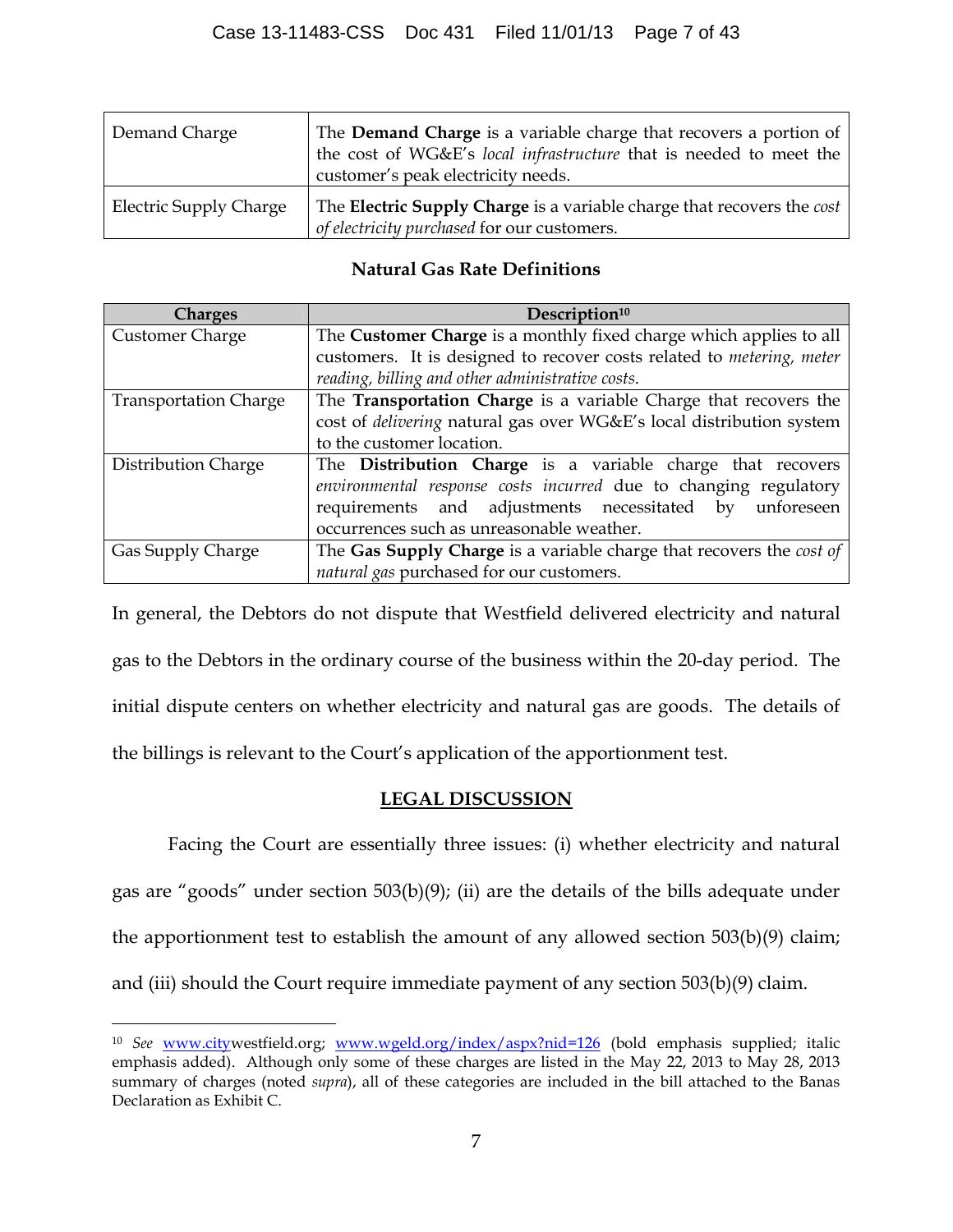| Demand Charge                 | The Demand Charge is a variable charge that recovers a portion of<br>the cost of WG&E's local infrastructure that is needed to meet the<br>customer's peak electricity needs. |
|-------------------------------|-------------------------------------------------------------------------------------------------------------------------------------------------------------------------------|
| <b>Electric Supply Charge</b> | The Electric Supply Charge is a variable charge that recovers the cost<br>of electricity purchased for our customers.                                                         |

# **Natural Gas Rate Definitions**

| <b>Charges</b>               | Description <sup>10</sup>                                                            |  |  |
|------------------------------|--------------------------------------------------------------------------------------|--|--|
| Customer Charge              | The Customer Charge is a monthly fixed charge which applies to all                   |  |  |
|                              | customers. It is designed to recover costs related to <i>metering</i> , <i>meter</i> |  |  |
|                              | reading, billing and other administrative costs.                                     |  |  |
| <b>Transportation Charge</b> | The Transportation Charge is a variable Charge that recovers the                     |  |  |
|                              | cost of delivering natural gas over WG&E's local distribution system                 |  |  |
|                              | to the customer location.                                                            |  |  |
| Distribution Charge          | The <b>Distribution Charge</b> is a variable charge that recovers                    |  |  |
|                              | environmental response costs incurred due to changing regulatory                     |  |  |
|                              | requirements and adjustments necessitated<br>unforeseen<br>by                        |  |  |
|                              | occurrences such as unreasonable weather.                                            |  |  |
| Gas Supply Charge            | The Gas Supply Charge is a variable charge that recovers the cost of                 |  |  |
|                              | natural gas purchased for our customers.                                             |  |  |

In general, the Debtors do not dispute that Westfield delivered electricity and natural gas to the Debtors in the ordinary course of the business within the 20-day period. The initial dispute centers on whether electricity and natural gas are goods. The details of the billings is relevant to the Court's application of the apportionment test.

# **LEGAL DISCUSSION**

Facing the Court are essentially three issues: (i) whether electricity and natural gas are "goods" under section 503(b)(9); (ii) are the details of the bills adequate under the apportionment test to establish the amount of any allowed section 503(b)(9) claim; and (iii) should the Court require immediate payment of any section 503(b)(9) claim.

 $\overline{a}$ 

<sup>&</sup>lt;sup>10</sup> See www.citywestfield.org; www.wgeld.org/index/aspx?nid=126 (bold emphasis supplied; italic emphasis added). Although only some of these charges are listed in the May 22, 2013 to May 28, 2013 summary of charges (noted *supra*), all of these categories are included in the bill attached to the Banas Declaration as Exhibit C.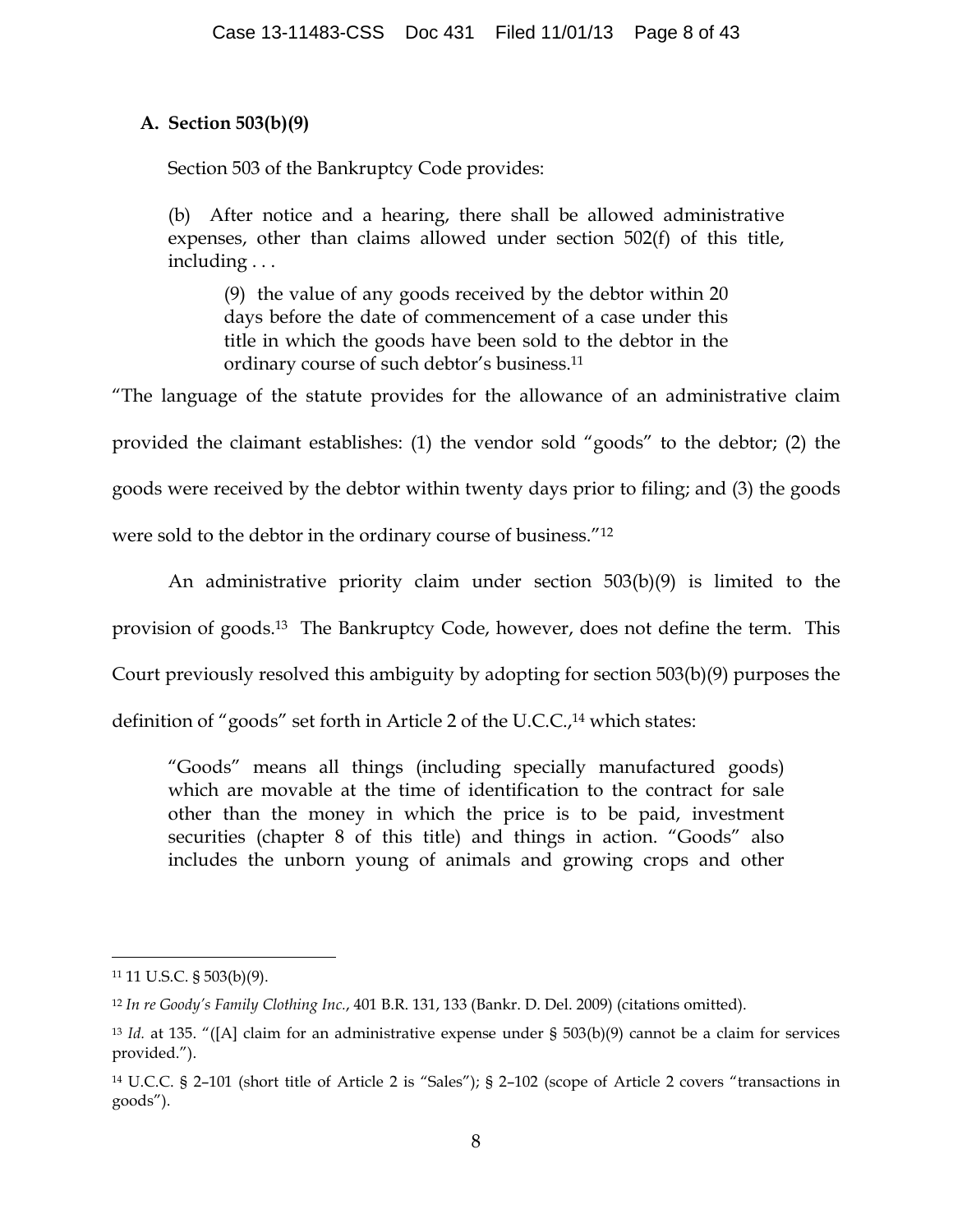# **A. Section 503(b)(9)**

Section 503 of the Bankruptcy Code provides:

(b) After notice and a hearing, there shall be allowed administrative expenses, other than claims allowed under section 502(f) of this title, including . . .

(9) the value of any goods received by the debtor within 20 days before the date of commencement of a case under this title in which the goods have been sold to the debtor in the ordinary course of such debtor's business.11

"The language of the statute provides for the allowance of an administrative claim provided the claimant establishes: (1) the vendor sold "goods" to the debtor; (2) the goods were received by the debtor within twenty days prior to filing; and (3) the goods were sold to the debtor in the ordinary course of business."12

An administrative priority claim under section 503(b)(9) is limited to the provision of goods.13 The Bankruptcy Code, however, does not define the term. This Court previously resolved this ambiguity by adopting for section 503(b)(9) purposes the

definition of "goods" set forth in Article 2 of the U.C.C.,<sup>14</sup> which states:

"Goods" means all things (including specially manufactured goods) which are movable at the time of identification to the contract for sale other than the money in which the price is to be paid, investment securities (chapter 8 of this title) and things in action. "Goods" also includes the unborn young of animals and growing crops and other

 <sup>11</sup> 11 U.S.C. § 503(b)(9).

<sup>12</sup> *In re Goody's Family Clothing Inc.*, 401 B.R. 131, 133 (Bankr. D. Del. 2009) (citations omitted).

<sup>13</sup> *Id.* at 135. "([A] claim for an administrative expense under § 503(b)(9) cannot be a claim for services provided.").

<sup>14</sup> U.C.C. § 2–101 (short title of Article 2 is "Sales"); § 2–102 (scope of Article 2 covers "transactions in goods").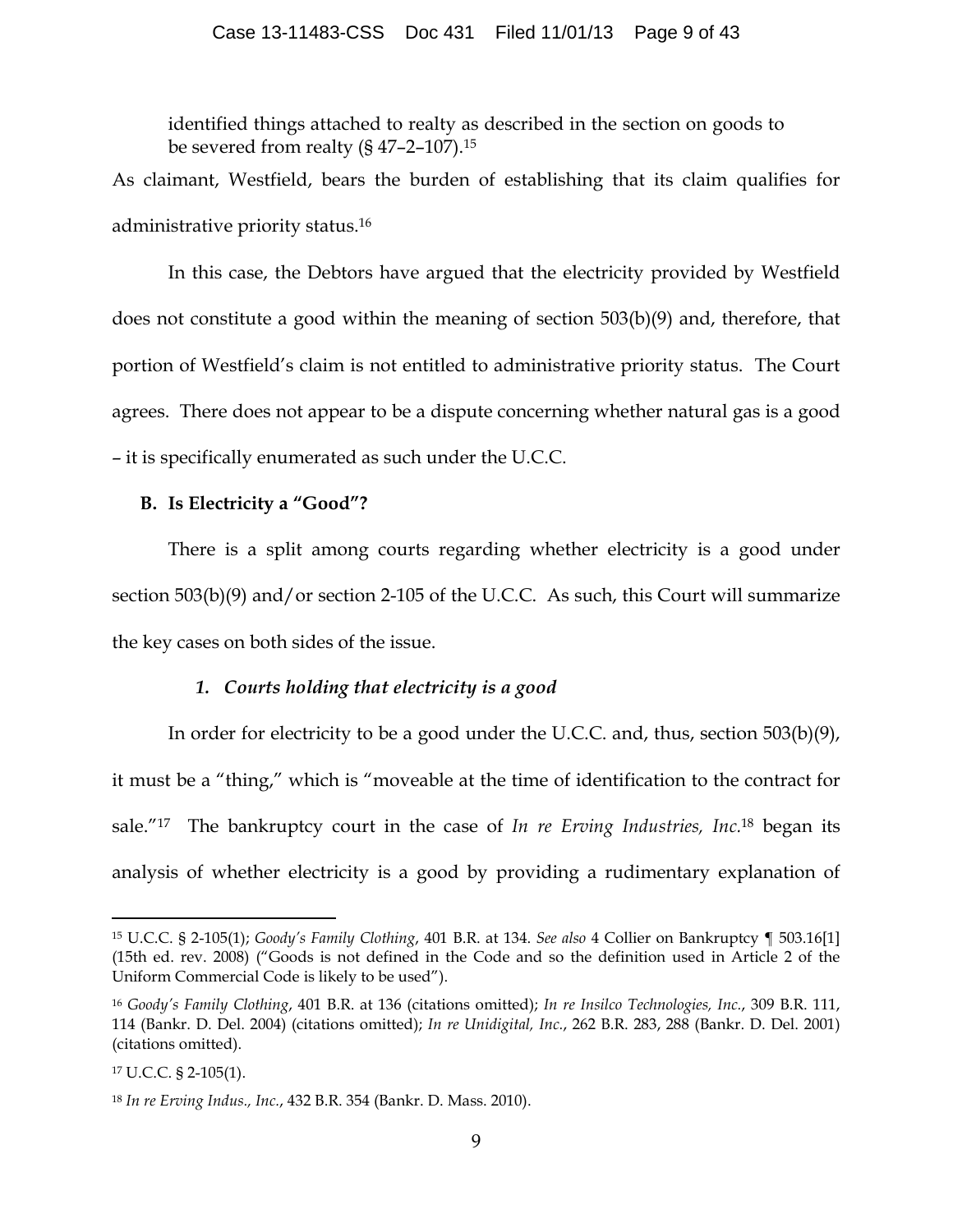identified things attached to realty as described in the section on goods to be severed from realty  $(S\ 47-2-107).15$ 

As claimant, Westfield, bears the burden of establishing that its claim qualifies for administrative priority status.16

In this case, the Debtors have argued that the electricity provided by Westfield does not constitute a good within the meaning of section 503(b)(9) and, therefore, that portion of Westfield's claim is not entitled to administrative priority status. The Court agrees. There does not appear to be a dispute concerning whether natural gas is a good – it is specifically enumerated as such under the U.C.C.

### **B. Is Electricity a "Good"?**

There is a split among courts regarding whether electricity is a good under section 503(b)(9) and/or section 2-105 of the U.C.C. As such, this Court will summarize the key cases on both sides of the issue.

## *1. Courts holding that electricity is a good*

In order for electricity to be a good under the U.C.C. and, thus, section 503(b)(9), it must be a "thing," which is "moveable at the time of identification to the contract for sale."17 The bankruptcy court in the case of *In re Erving Industries, Inc.*<sup>18</sup> began its analysis of whether electricity is a good by providing a rudimentary explanation of

 <sup>15</sup> U.C.C. § 2-105(1); *Goody's Family Clothing*, 401 B.R. at 134. *See also* 4 Collier on Bankruptcy ¶ 503.16[1] (15th ed. rev. 2008) ("Goods is not defined in the Code and so the definition used in Article 2 of the Uniform Commercial Code is likely to be used").

<sup>16</sup> *Goody's Family Clothing*, 401 B.R. at 136 (citations omitted); *In re Insilco Technologies, Inc.*, 309 B.R. 111, 114 (Bankr. D. Del. 2004) (citations omitted); *In re Unidigital, Inc.*, 262 B.R. 283, 288 (Bankr. D. Del. 2001) (citations omitted).

<sup>17</sup> U.C.C. § 2-105(1).

<sup>18</sup> *In re Erving Indus., Inc.*, 432 B.R. 354 (Bankr. D. Mass. 2010).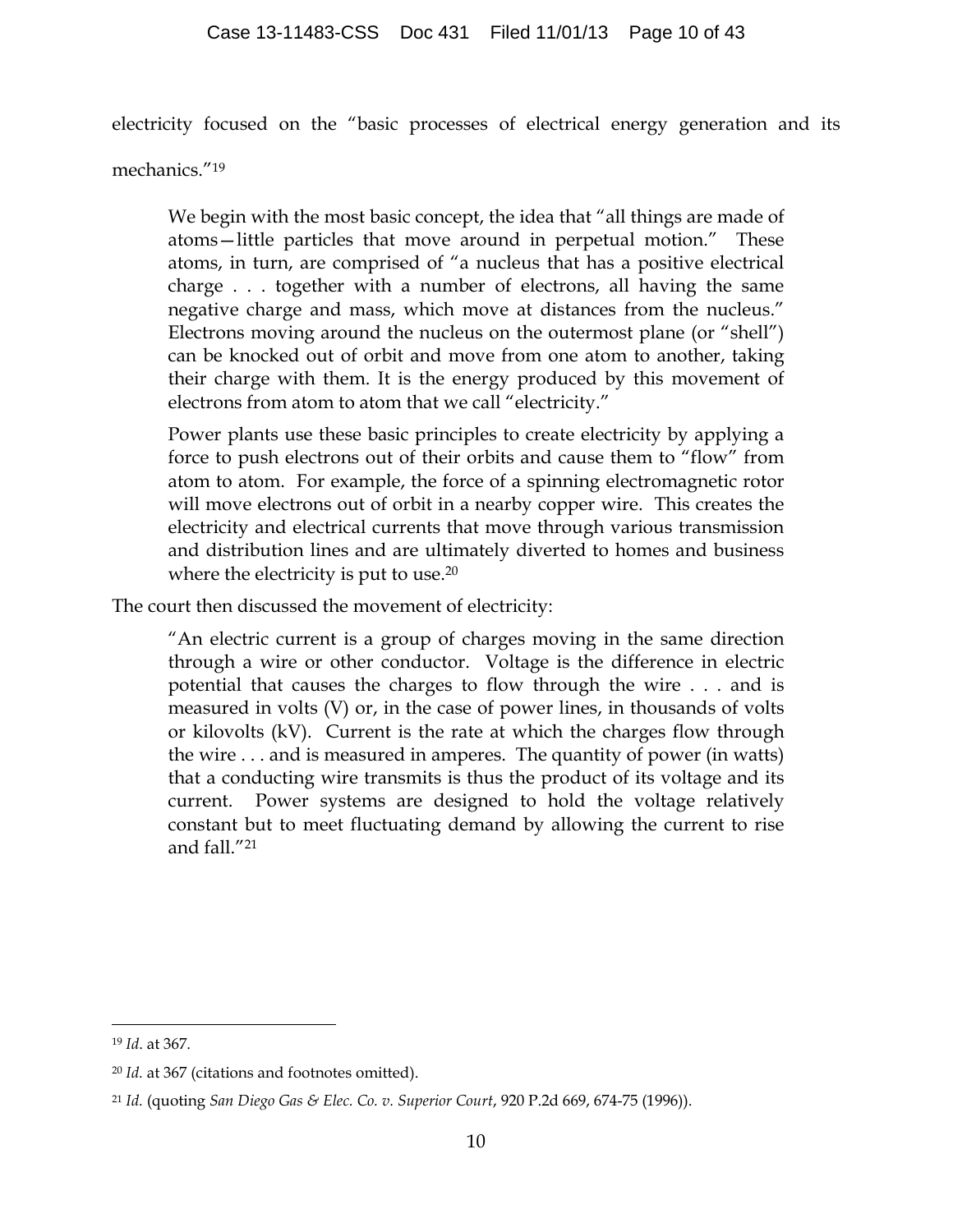electricity focused on the "basic processes of electrical energy generation and its

mechanics."19

We begin with the most basic concept, the idea that "all things are made of atoms—little particles that move around in perpetual motion." These atoms, in turn, are comprised of "a nucleus that has a positive electrical charge . . . together with a number of electrons, all having the same negative charge and mass, which move at distances from the nucleus." Electrons moving around the nucleus on the outermost plane (or "shell") can be knocked out of orbit and move from one atom to another, taking their charge with them. It is the energy produced by this movement of electrons from atom to atom that we call "electricity."

Power plants use these basic principles to create electricity by applying a force to push electrons out of their orbits and cause them to "flow" from atom to atom. For example, the force of a spinning electromagnetic rotor will move electrons out of orbit in a nearby copper wire. This creates the electricity and electrical currents that move through various transmission and distribution lines and are ultimately diverted to homes and business where the electricity is put to use.<sup>20</sup>

The court then discussed the movement of electricity:

"An electric current is a group of charges moving in the same direction through a wire or other conductor. Voltage is the difference in electric potential that causes the charges to flow through the wire . . . and is measured in volts (V) or, in the case of power lines, in thousands of volts or kilovolts (kV). Current is the rate at which the charges flow through the wire . . . and is measured in amperes. The quantity of power (in watts) that a conducting wire transmits is thus the product of its voltage and its current. Power systems are designed to hold the voltage relatively constant but to meet fluctuating demand by allowing the current to rise and fall."21

 <sup>19</sup> *Id*. at 367.

<sup>20</sup> *Id.* at 367 (citations and footnotes omitted).

<sup>21</sup> *Id.* (quoting *San Diego Gas & Elec. Co. v. Superior Court*, 920 P.2d 669, 674-75 (1996)).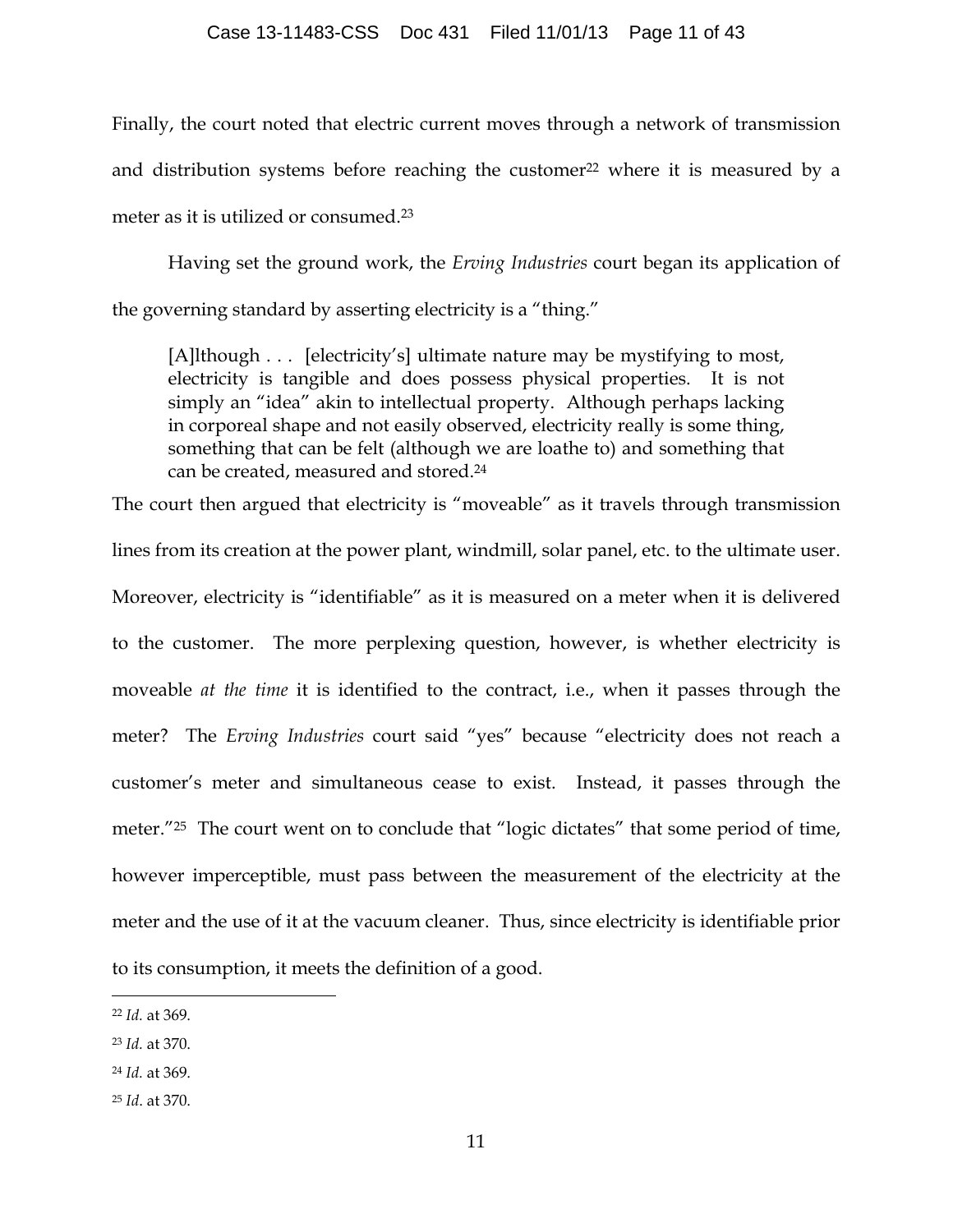#### Case 13-11483-CSS Doc 431 Filed 11/01/13 Page 11 of 43

Finally, the court noted that electric current moves through a network of transmission and distribution systems before reaching the customer<sup>22</sup> where it is measured by a meter as it is utilized or consumed.23

Having set the ground work, the *Erving Industries* court began its application of the governing standard by asserting electricity is a "thing."

[A]lthough . . . [electricity's] ultimate nature may be mystifying to most, electricity is tangible and does possess physical properties. It is not simply an "idea" akin to intellectual property. Although perhaps lacking in corporeal shape and not easily observed, electricity really is some thing, something that can be felt (although we are loathe to) and something that can be created, measured and stored.24

The court then argued that electricity is "moveable" as it travels through transmission lines from its creation at the power plant, windmill, solar panel, etc. to the ultimate user. Moreover, electricity is "identifiable" as it is measured on a meter when it is delivered to the customer. The more perplexing question, however, is whether electricity is moveable *at the time* it is identified to the contract, i.e., when it passes through the meter? The *Erving Industries* court said "yes" because "electricity does not reach a customer's meter and simultaneous cease to exist. Instead, it passes through the meter.<sup>"25</sup> The court went on to conclude that "logic dictates" that some period of time, however imperceptible, must pass between the measurement of the electricity at the meter and the use of it at the vacuum cleaner. Thus, since electricity is identifiable prior to its consumption, it meets the definition of a good.

 <sup>22</sup> *Id.* at 369.

<sup>23</sup> *Id.* at 370.

<sup>24</sup> *Id.* at 369.

<sup>25</sup> *Id*. at 370.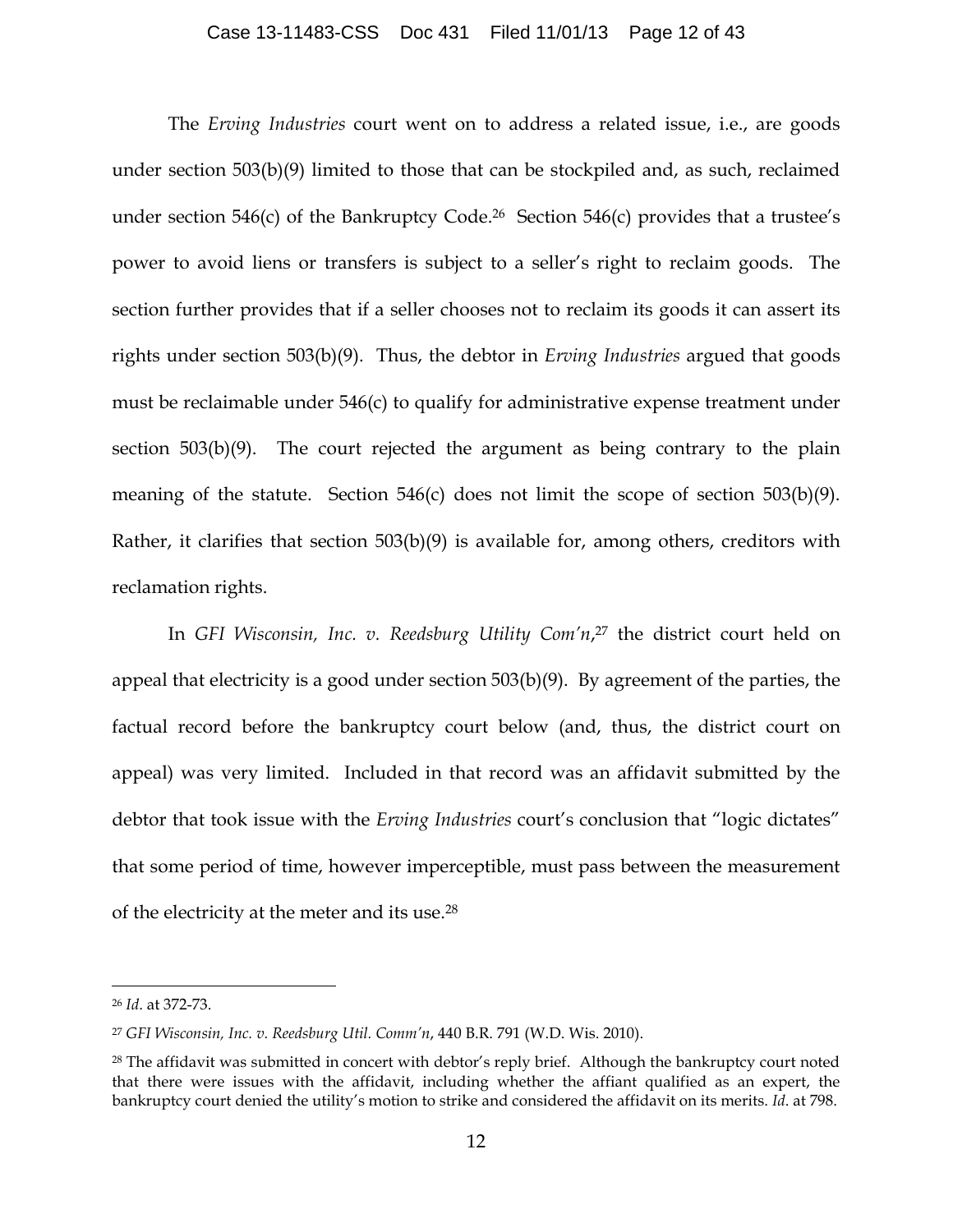#### Case 13-11483-CSS Doc 431 Filed 11/01/13 Page 12 of 43

The *Erving Industries* court went on to address a related issue, i.e., are goods under section 503(b)(9) limited to those that can be stockpiled and, as such, reclaimed under section  $546(c)$  of the Bankruptcy Code.<sup>26</sup> Section  $546(c)$  provides that a trustee's power to avoid liens or transfers is subject to a seller's right to reclaim goods. The section further provides that if a seller chooses not to reclaim its goods it can assert its rights under section 503(b)(9). Thus, the debtor in *Erving Industries* argued that goods must be reclaimable under 546(c) to qualify for administrative expense treatment under section 503(b)(9). The court rejected the argument as being contrary to the plain meaning of the statute. Section 546(c) does not limit the scope of section 503(b)(9). Rather, it clarifies that section 503(b)(9) is available for, among others, creditors with reclamation rights.

In *GFI Wisconsin, Inc. v. Reedsburg Utility Com'n*, <sup>27</sup> the district court held on appeal that electricity is a good under section 503(b)(9). By agreement of the parties, the factual record before the bankruptcy court below (and, thus, the district court on appeal) was very limited. Included in that record was an affidavit submitted by the debtor that took issue with the *Erving Industries* court's conclusion that "logic dictates" that some period of time, however imperceptible, must pass between the measurement of the electricity at the meter and its use.28

 <sup>26</sup> *Id*. at 372-73.

<sup>27</sup> *GFI Wisconsin, Inc. v. Reedsburg Util. Comm'n*, 440 B.R. 791 (W.D. Wis. 2010).

<sup>&</sup>lt;sup>28</sup> The affidavit was submitted in concert with debtor's reply brief. Although the bankruptcy court noted that there were issues with the affidavit, including whether the affiant qualified as an expert, the bankruptcy court denied the utility's motion to strike and considered the affidavit on its merits. *Id*. at 798.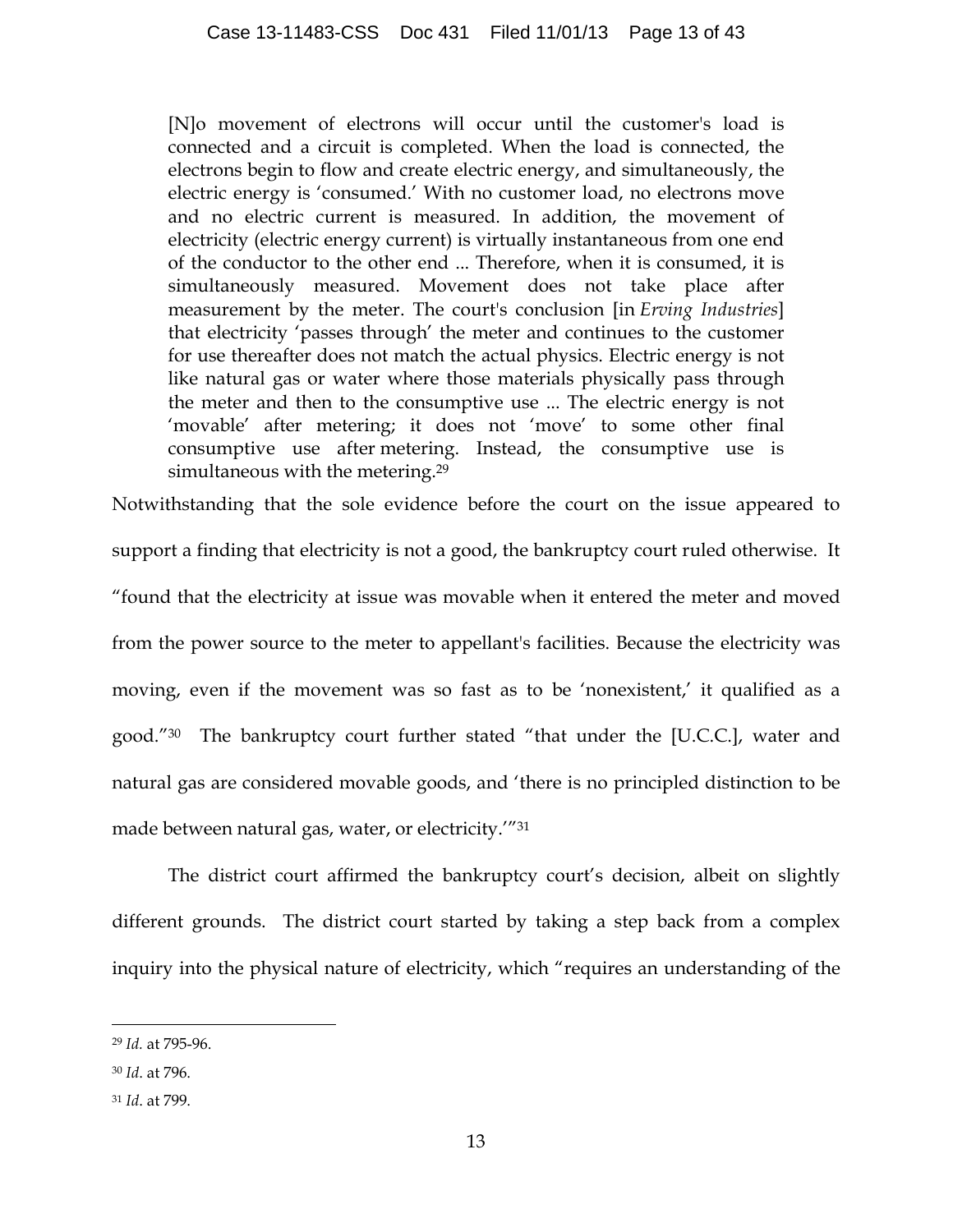[N]o movement of electrons will occur until the customer's load is connected and a circuit is completed. When the load is connected, the electrons begin to flow and create electric energy, and simultaneously, the electric energy is 'consumed.' With no customer load, no electrons move and no electric current is measured. In addition, the movement of electricity (electric energy current) is virtually instantaneous from one end of the conductor to the other end ... Therefore, when it is consumed, it is simultaneously measured. Movement does not take place after measurement by the meter. The court's conclusion [in *Erving Industries*] that electricity 'passes through' the meter and continues to the customer for use thereafter does not match the actual physics. Electric energy is not like natural gas or water where those materials physically pass through the meter and then to the consumptive use ... The electric energy is not 'movable' after metering; it does not 'move' to some other final consumptive use after metering. Instead, the consumptive use is simultaneous with the metering.<sup>29</sup>

Notwithstanding that the sole evidence before the court on the issue appeared to support a finding that electricity is not a good, the bankruptcy court ruled otherwise. It "found that the electricity at issue was movable when it entered the meter and moved from the power source to the meter to appellant's facilities. Because the electricity was moving, even if the movement was so fast as to be 'nonexistent,' it qualified as a good."30 The bankruptcy court further stated "that under the [U.C.C.], water and natural gas are considered movable goods, and 'there is no principled distinction to be made between natural gas, water, or electricity.'"31

The district court affirmed the bankruptcy court's decision, albeit on slightly different grounds. The district court started by taking a step back from a complex inquiry into the physical nature of electricity, which "requires an understanding of the

 <sup>29</sup> *Id.* at 795-96.

<sup>30</sup> *Id*. at 796.

<sup>31</sup> *Id*. at 799.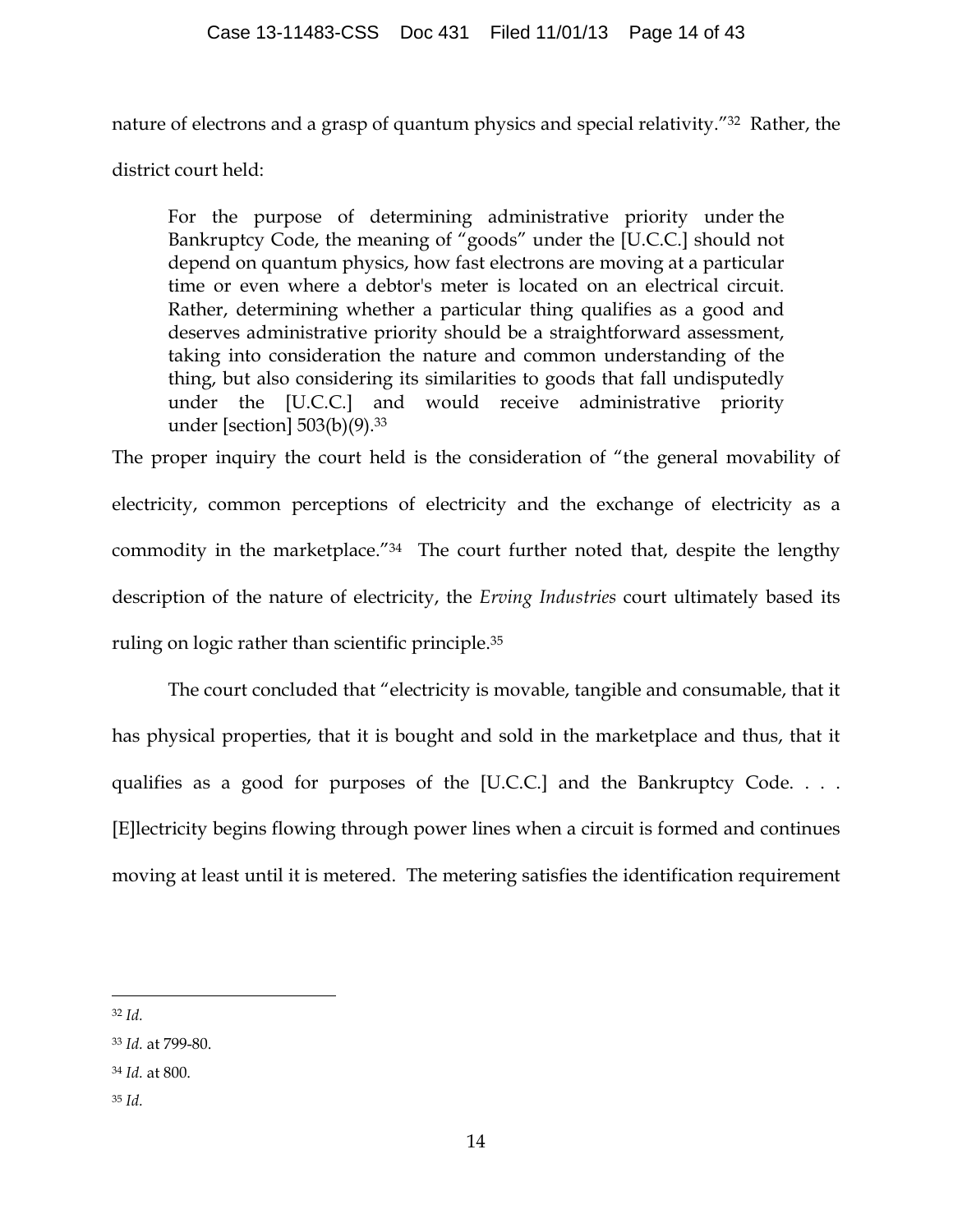nature of electrons and a grasp of quantum physics and special relativity."32 Rather, the

district court held:

For the purpose of determining administrative priority under the Bankruptcy Code, the meaning of "goods" under the [U.C.C.] should not depend on quantum physics, how fast electrons are moving at a particular time or even where a debtor's meter is located on an electrical circuit. Rather, determining whether a particular thing qualifies as a good and deserves administrative priority should be a straightforward assessment, taking into consideration the nature and common understanding of the thing, but also considering its similarities to goods that fall undisputedly under the [U.C.C.] and would receive administrative priority under [section] 503(b)(9). 33

The proper inquiry the court held is the consideration of "the general movability of electricity, common perceptions of electricity and the exchange of electricity as a commodity in the marketplace."34 The court further noted that, despite the lengthy description of the nature of electricity, the *Erving Industries* court ultimately based its ruling on logic rather than scientific principle.35

The court concluded that "electricity is movable, tangible and consumable, that it has physical properties, that it is bought and sold in the marketplace and thus, that it qualifies as a good for purposes of the [U.C.C.] and the Bankruptcy Code. . . . [E]lectricity begins flowing through power lines when a circuit is formed and continues moving at least until it is metered. The metering satisfies the identification requirement

32 *Id.*

<sup>35</sup> *Id.*

<sup>33</sup> *Id.* at 799-80.

<sup>34</sup> *Id.* at 800.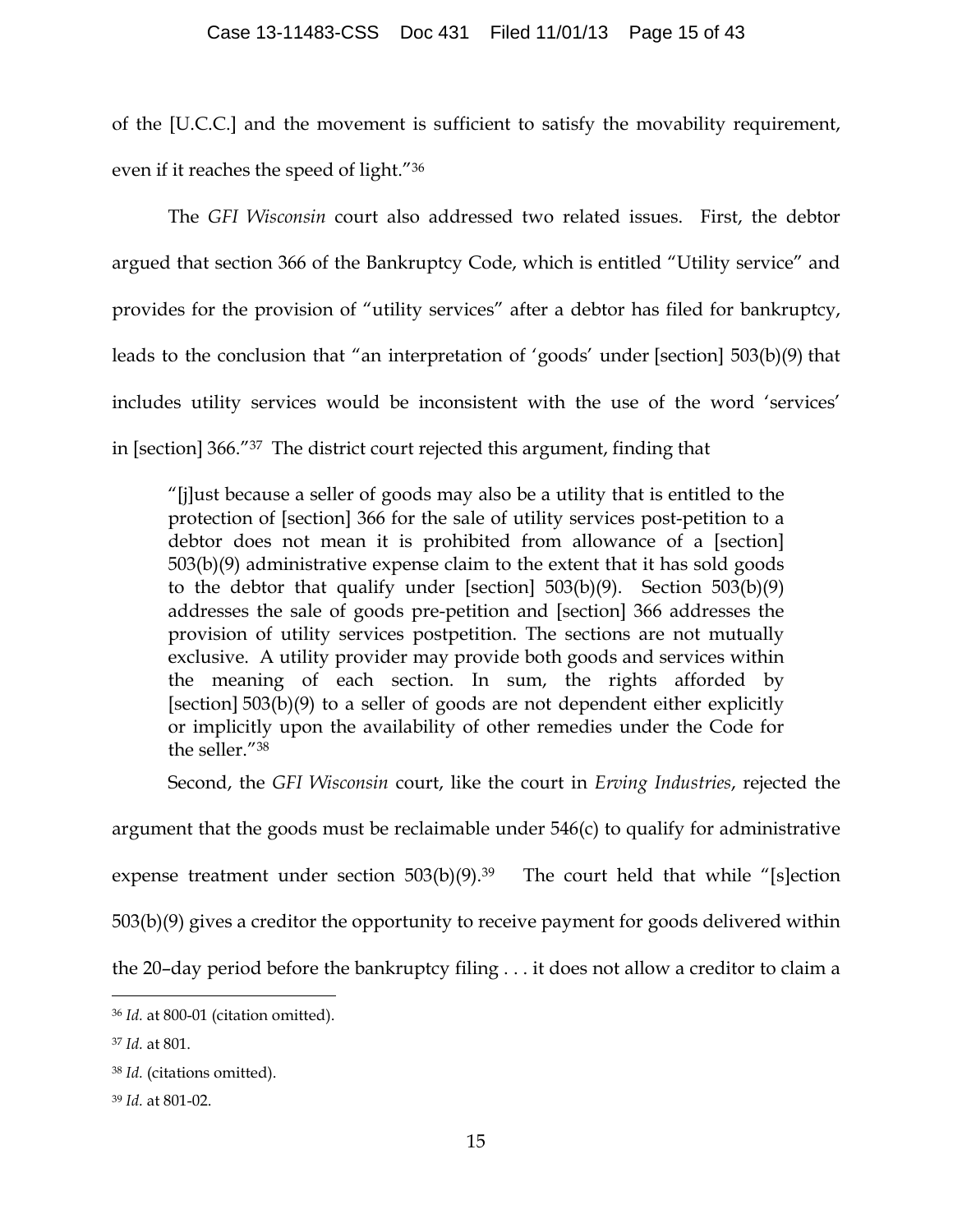### Case 13-11483-CSS Doc 431 Filed 11/01/13 Page 15 of 43

of the [U.C.C.] and the movement is sufficient to satisfy the movability requirement, even if it reaches the speed of light."36

The *GFI Wisconsin* court also addressed two related issues. First, the debtor argued that section 366 of the Bankruptcy Code, which is entitled "Utility service" and provides for the provision of "utility services" after a debtor has filed for bankruptcy, leads to the conclusion that "an interpretation of 'goods' under [section] 503(b)(9) that includes utility services would be inconsistent with the use of the word 'services' in [section] 366."37 The district court rejected this argument, finding that

"[j]ust because a seller of goods may also be a utility that is entitled to the protection of [section] 366 for the sale of utility services post-petition to a debtor does not mean it is prohibited from allowance of a [section] 503(b)(9) administrative expense claim to the extent that it has sold goods to the debtor that qualify under [section]  $503(b)(9)$ . Section  $503(b)(9)$ addresses the sale of goods pre-petition and [section] 366 addresses the provision of utility services postpetition. The sections are not mutually exclusive. A utility provider may provide both goods and services within the meaning of each section. In sum, the rights afforded by [section] 503(b)(9) to a seller of goods are not dependent either explicitly or implicitly upon the availability of other remedies under the Code for the seller."38

Second, the *GFI Wisconsin* court, like the court in *Erving Industries*, rejected the

argument that the goods must be reclaimable under 546(c) to qualify for administrative

expense treatment under section  $503(b)(9).^{39}$  The court held that while "[s]ection

503(b)(9) gives a creditor the opportunity to receive payment for goods delivered within

the 20–day period before the bankruptcy filing . . . it does not allow a creditor to claim a

 <sup>36</sup> *Id.* at 800-01 (citation omitted).

<sup>37</sup> *Id.* at 801.

<sup>38</sup> *Id.* (citations omitted).

<sup>39</sup> *Id.* at 801-02.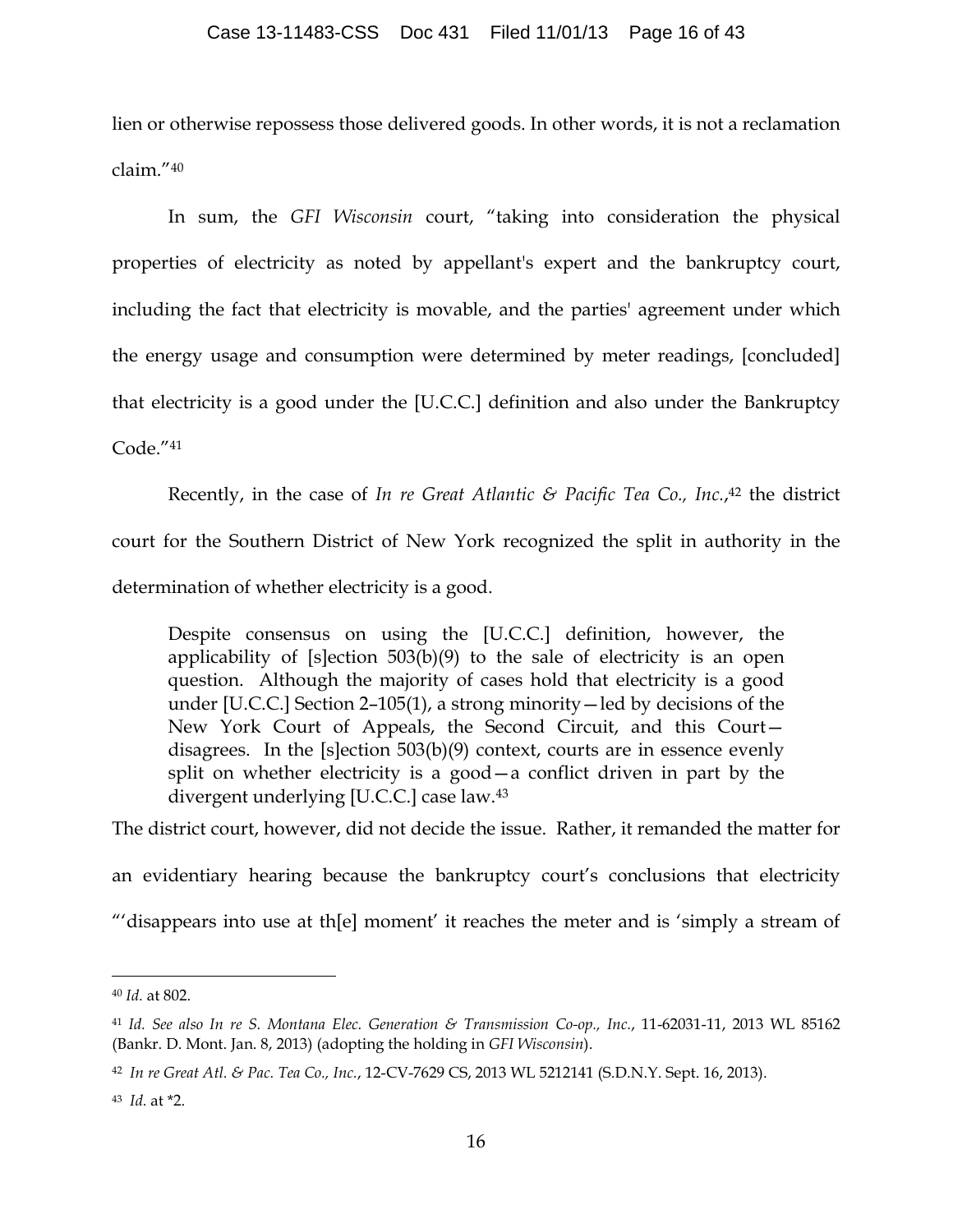### Case 13-11483-CSS Doc 431 Filed 11/01/13 Page 16 of 43

lien or otherwise repossess those delivered goods. In other words, it is not a reclamation claim."40

In sum, the *GFI Wisconsin* court, "taking into consideration the physical properties of electricity as noted by appellant's expert and the bankruptcy court, including the fact that electricity is movable, and the parties' agreement under which the energy usage and consumption were determined by meter readings, [concluded] that electricity is a good under the [U.C.C.] definition and also under the Bankruptcy Code."41

Recently, in the case of *In re Great Atlantic & Pacific Tea Co., Inc.*, <sup>42</sup> the district court for the Southern District of New York recognized the split in authority in the determination of whether electricity is a good.

Despite consensus on using the [U.C.C.] definition, however, the applicability of  $[s]$ ection  $503(b)(9)$  to the sale of electricity is an open question. Although the majority of cases hold that electricity is a good under [U.C.C.] Section 2–105(1), a strong minority—led by decisions of the New York Court of Appeals, the Second Circuit, and this Court disagrees. In the [s]ection 503(b)(9) context, courts are in essence evenly split on whether electricity is a good—a conflict driven in part by the divergent underlying [U.C.C.] case law.43

The district court, however, did not decide the issue. Rather, it remanded the matter for

an evidentiary hearing because the bankruptcy court's conclusions that electricity

"'disappears into use at th[e] moment' it reaches the meter and is 'simply a stream of

 <sup>40</sup> *Id.* at 802.

<sup>41</sup> *Id. See also In re S. Montana Elec. Generation & Transmission Co-op., Inc.*, 11-62031-11, 2013 WL 85162 (Bankr. D. Mont. Jan. 8, 2013) (adopting the holding in *GFI Wisconsin*).

<sup>42</sup> *In re Great Atl. & Pac. Tea Co., Inc.*, 12-CV-7629 CS, 2013 WL 5212141 (S.D.N.Y. Sept. 16, 2013).

<sup>43</sup> *Id.* at \*2.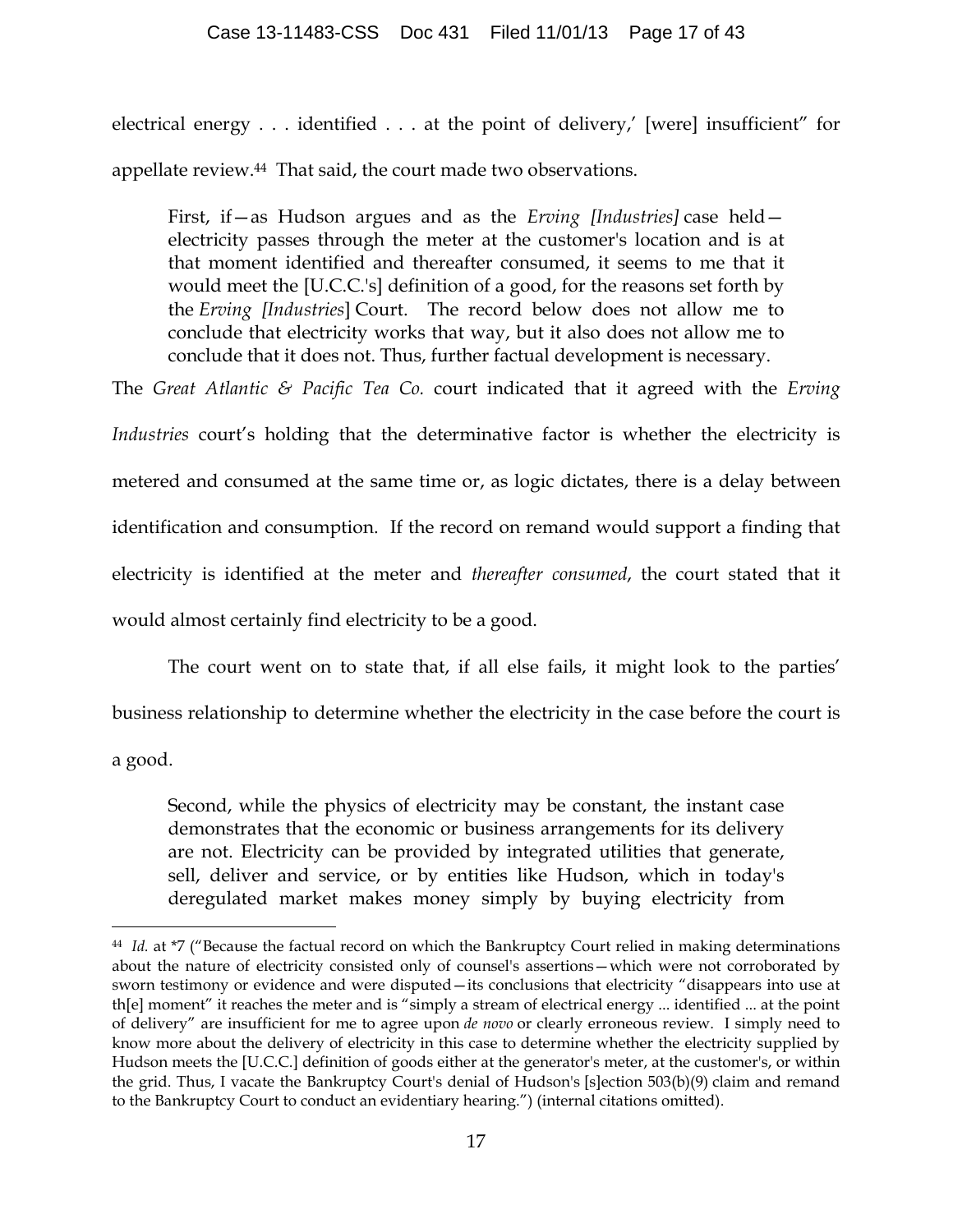electrical energy . . . identified . . . at the point of delivery,' [were] insufficient" for appellate review.44 That said, the court made two observations.

First, if—as Hudson argues and as the *Erving [Industries]* case held electricity passes through the meter at the customer's location and is at that moment identified and thereafter consumed, it seems to me that it would meet the [U.C.C.'s] definition of a good, for the reasons set forth by the *Erving [Industries*] Court. The record below does not allow me to conclude that electricity works that way, but it also does not allow me to conclude that it does not. Thus, further factual development is necessary.

The *Great Atlantic & Pacific Tea Co.* court indicated that it agreed with the *Erving* 

*Industries* court's holding that the determinative factor is whether the electricity is metered and consumed at the same time or, as logic dictates, there is a delay between identification and consumption. If the record on remand would support a finding that electricity is identified at the meter and *thereafter consumed*, the court stated that it would almost certainly find electricity to be a good.

The court went on to state that, if all else fails, it might look to the parties' business relationship to determine whether the electricity in the case before the court is a good.

Second, while the physics of electricity may be constant, the instant case demonstrates that the economic or business arrangements for its delivery are not. Electricity can be provided by integrated utilities that generate, sell, deliver and service, or by entities like Hudson, which in today's deregulated market makes money simply by buying electricity from

 <sup>44</sup> *Id.* at \*7 ("Because the factual record on which the Bankruptcy Court relied in making determinations about the nature of electricity consisted only of counsel's assertions—which were not corroborated by sworn testimony or evidence and were disputed—its conclusions that electricity "disappears into use at th[e] moment" it reaches the meter and is "simply a stream of electrical energy ... identified ... at the point of delivery" are insufficient for me to agree upon *de novo* or clearly erroneous review. I simply need to know more about the delivery of electricity in this case to determine whether the electricity supplied by Hudson meets the [U.C.C.] definition of goods either at the generator's meter, at the customer's, or within the grid. Thus, I vacate the Bankruptcy Court's denial of Hudson's [s]ection 503(b)(9) claim and remand to the Bankruptcy Court to conduct an evidentiary hearing.") (internal citations omitted).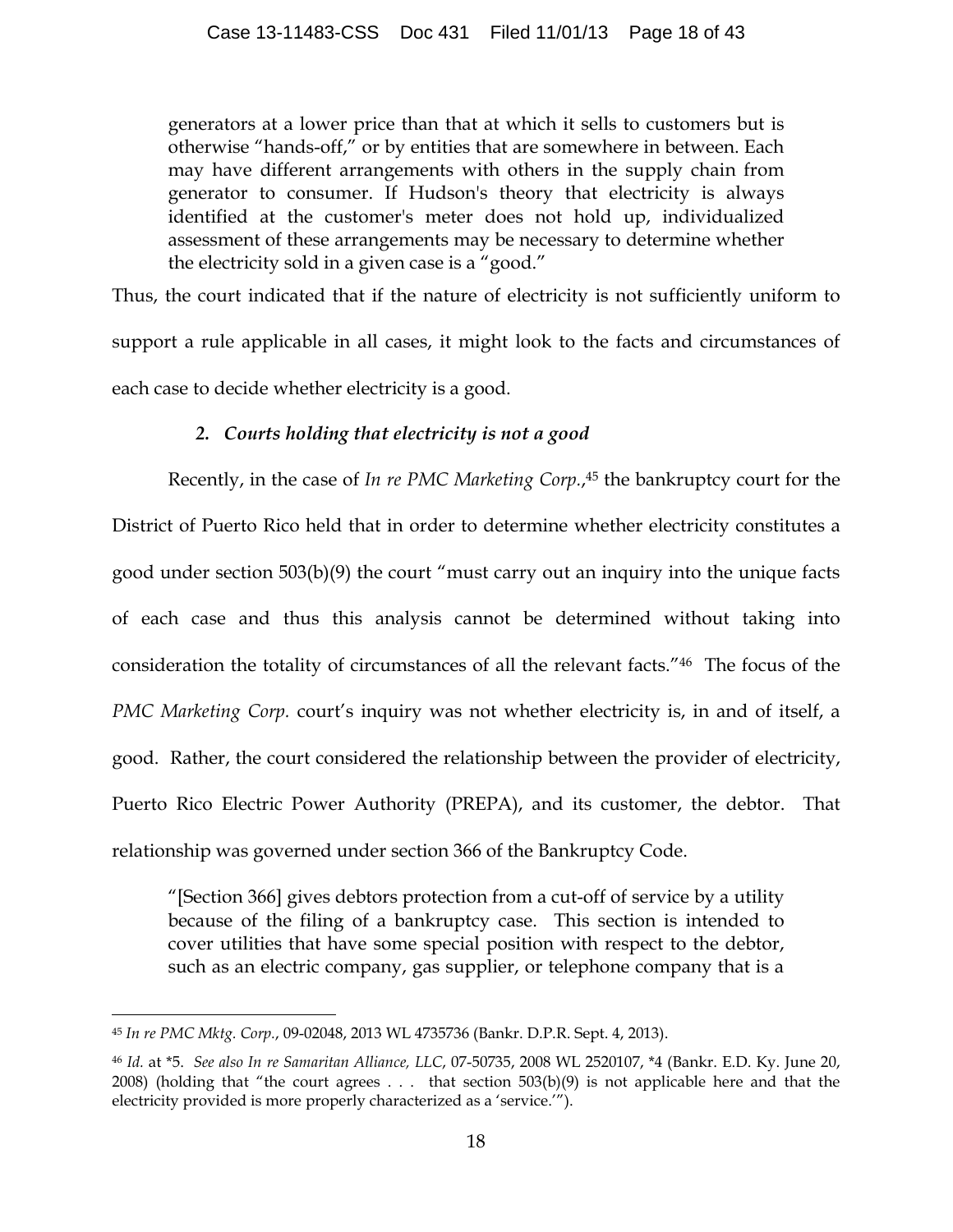generators at a lower price than that at which it sells to customers but is otherwise "hands-off," or by entities that are somewhere in between. Each may have different arrangements with others in the supply chain from generator to consumer. If Hudson's theory that electricity is always identified at the customer's meter does not hold up, individualized assessment of these arrangements may be necessary to determine whether the electricity sold in a given case is a "good."

Thus, the court indicated that if the nature of electricity is not sufficiently uniform to support a rule applicable in all cases, it might look to the facts and circumstances of each case to decide whether electricity is a good.

# *2. Courts holding that electricity is not a good*

Recently, in the case of *In re PMC Marketing Corp.*,<sup>45</sup> the bankruptcy court for the District of Puerto Rico held that in order to determine whether electricity constitutes a good under section 503(b)(9) the court "must carry out an inquiry into the unique facts of each case and thus this analysis cannot be determined without taking into consideration the totality of circumstances of all the relevant facts."46 The focus of the *PMC Marketing Corp.* court's inquiry was not whether electricity is, in and of itself, a good. Rather, the court considered the relationship between the provider of electricity, Puerto Rico Electric Power Authority (PREPA), and its customer, the debtor. That relationship was governed under section 366 of the Bankruptcy Code.

"[Section 366] gives debtors protection from a cut-off of service by a utility because of the filing of a bankruptcy case. This section is intended to cover utilities that have some special position with respect to the debtor, such as an electric company, gas supplier, or telephone company that is a

 <sup>45</sup> *In re PMC Mktg. Corp.*, 09-02048, 2013 WL 4735736 (Bankr. D.P.R. Sept. 4, 2013).

<sup>46</sup> *Id.* at \*5. *See also In re Samaritan Alliance, LLC*, 07-50735, 2008 WL 2520107, \*4 (Bankr. E.D. Ky. June 20, 2008) (holding that "the court agrees  $\dots$  that section 503(b)(9) is not applicable here and that the electricity provided is more properly characterized as a 'service.'").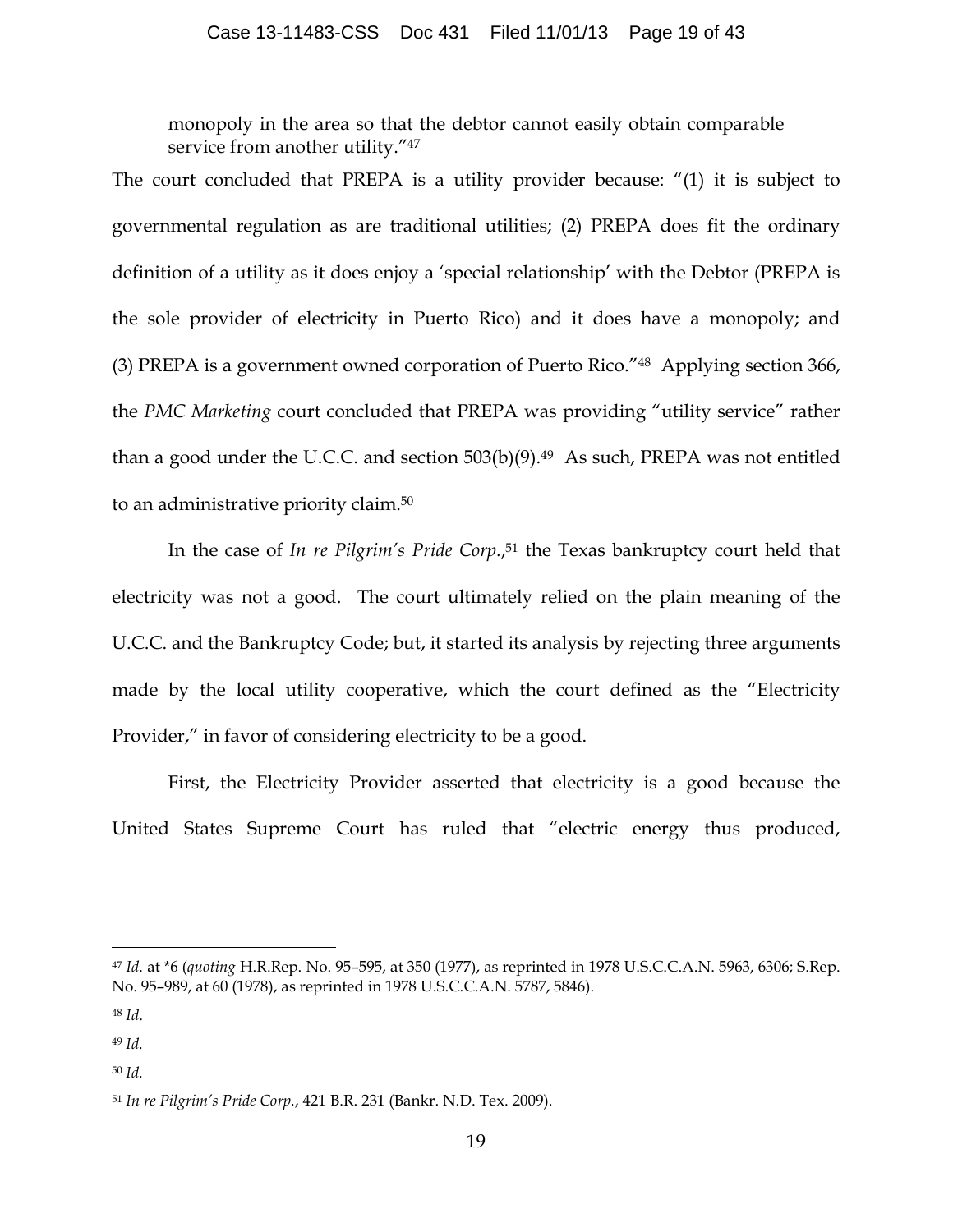monopoly in the area so that the debtor cannot easily obtain comparable service from another utility."<sup>47</sup>

The court concluded that PREPA is a utility provider because: "(1) it is subject to governmental regulation as are traditional utilities; (2) PREPA does fit the ordinary definition of a utility as it does enjoy a 'special relationship' with the Debtor (PREPA is the sole provider of electricity in Puerto Rico) and it does have a monopoly; and (3) PREPA is a government owned corporation of Puerto Rico."48 Applying section 366, the *PMC Marketing* court concluded that PREPA was providing "utility service" rather than a good under the U.C.C. and section  $503(b)(9)$ .<sup>49</sup> As such, PREPA was not entitled to an administrative priority claim.50

In the case of *In re Pilgrim's Pride Corp.*, <sup>51</sup> the Texas bankruptcy court held that electricity was not a good. The court ultimately relied on the plain meaning of the U.C.C. and the Bankruptcy Code; but, it started its analysis by rejecting three arguments made by the local utility cooperative, which the court defined as the "Electricity Provider," in favor of considering electricity to be a good.

First, the Electricity Provider asserted that electricity is a good because the United States Supreme Court has ruled that "electric energy thus produced,

 <sup>47</sup> *Id.* at \*6 (*quoting* H.R.Rep. No. 95–595, at 350 (1977), as reprinted in 1978 U.S.C.C.A.N. 5963, 6306; S.Rep. No. 95–989, at 60 (1978), as reprinted in 1978 U.S.C.C.A.N. 5787, 5846).

<sup>48</sup> *Id*.

<sup>49</sup> *Id.*

<sup>50</sup> *Id.*

<sup>51</sup> *In re Pilgrim's Pride Corp.*, 421 B.R. 231 (Bankr. N.D. Tex. 2009).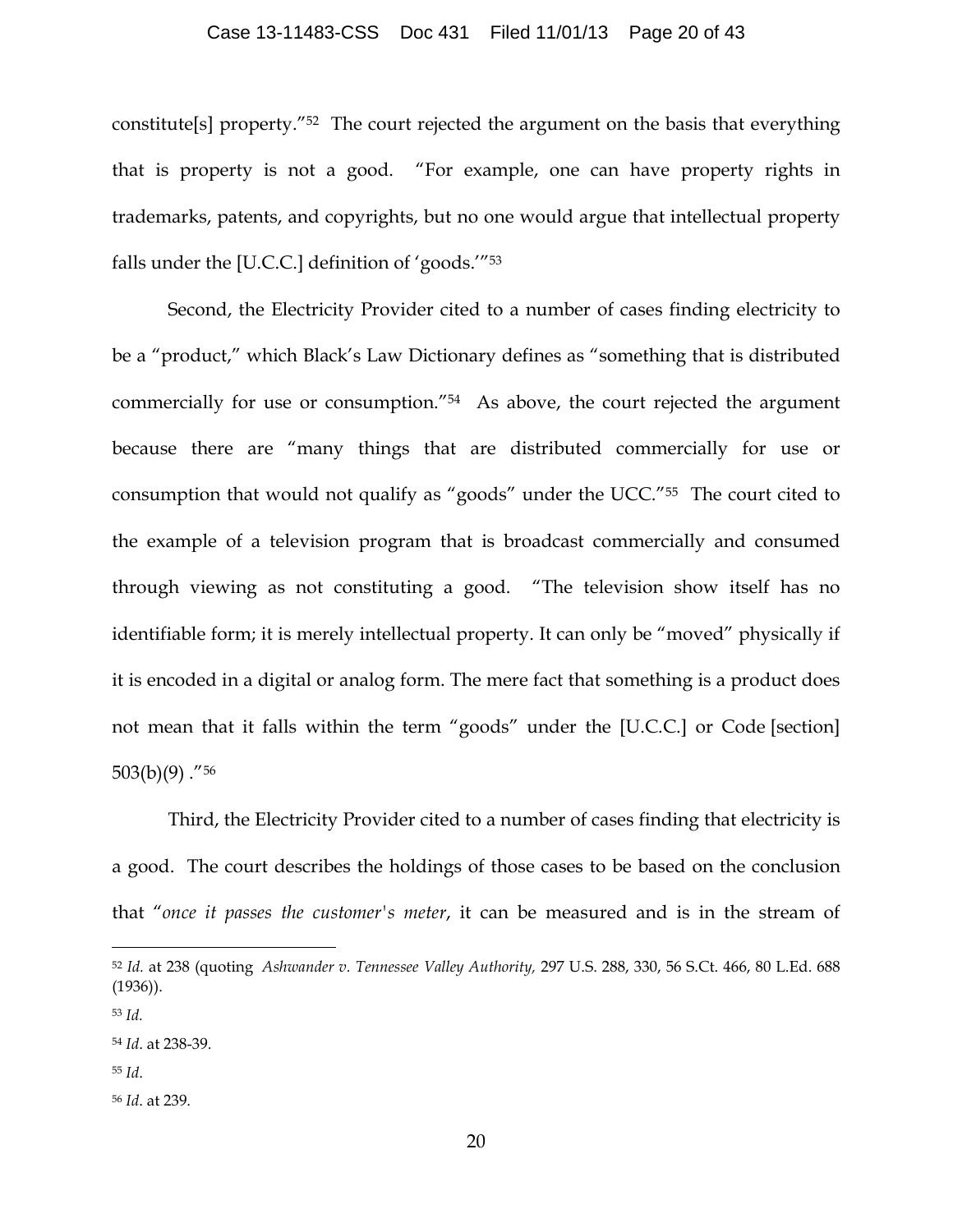### Case 13-11483-CSS Doc 431 Filed 11/01/13 Page 20 of 43

constitute[s] property."52 The court rejected the argument on the basis that everything that is property is not a good. "For example, one can have property rights in trademarks, patents, and copyrights, but no one would argue that intellectual property falls under the [U.C.C.] definition of 'goods.'"53

Second, the Electricity Provider cited to a number of cases finding electricity to be a "product," which Black's Law Dictionary defines as "something that is distributed commercially for use or consumption."54 As above, the court rejected the argument because there are "many things that are distributed commercially for use or consumption that would not qualify as "goods" under the UCC."55 The court cited to the example of a television program that is broadcast commercially and consumed through viewing as not constituting a good. "The television show itself has no identifiable form; it is merely intellectual property. It can only be "moved" physically if it is encoded in a digital or analog form. The mere fact that something is a product does not mean that it falls within the term "goods" under the [U.C.C.] or Code [section]  $503(b)(9)$ ."<sup>56</sup>

Third, the Electricity Provider cited to a number of cases finding that electricity is a good. The court describes the holdings of those cases to be based on the conclusion that "*once it passes the customer's meter*, it can be measured and is in the stream of

 <sup>52</sup> *Id.* at 238 (quoting *Ashwander v. Tennessee Valley Authority,* 297 U.S. 288, 330, 56 S.Ct. 466, 80 L.Ed. 688 (1936)).

<sup>53</sup> *Id.*

<sup>54</sup> *Id*. at 238-39.

<sup>55</sup> *Id*.

<sup>56</sup> *Id*. at 239.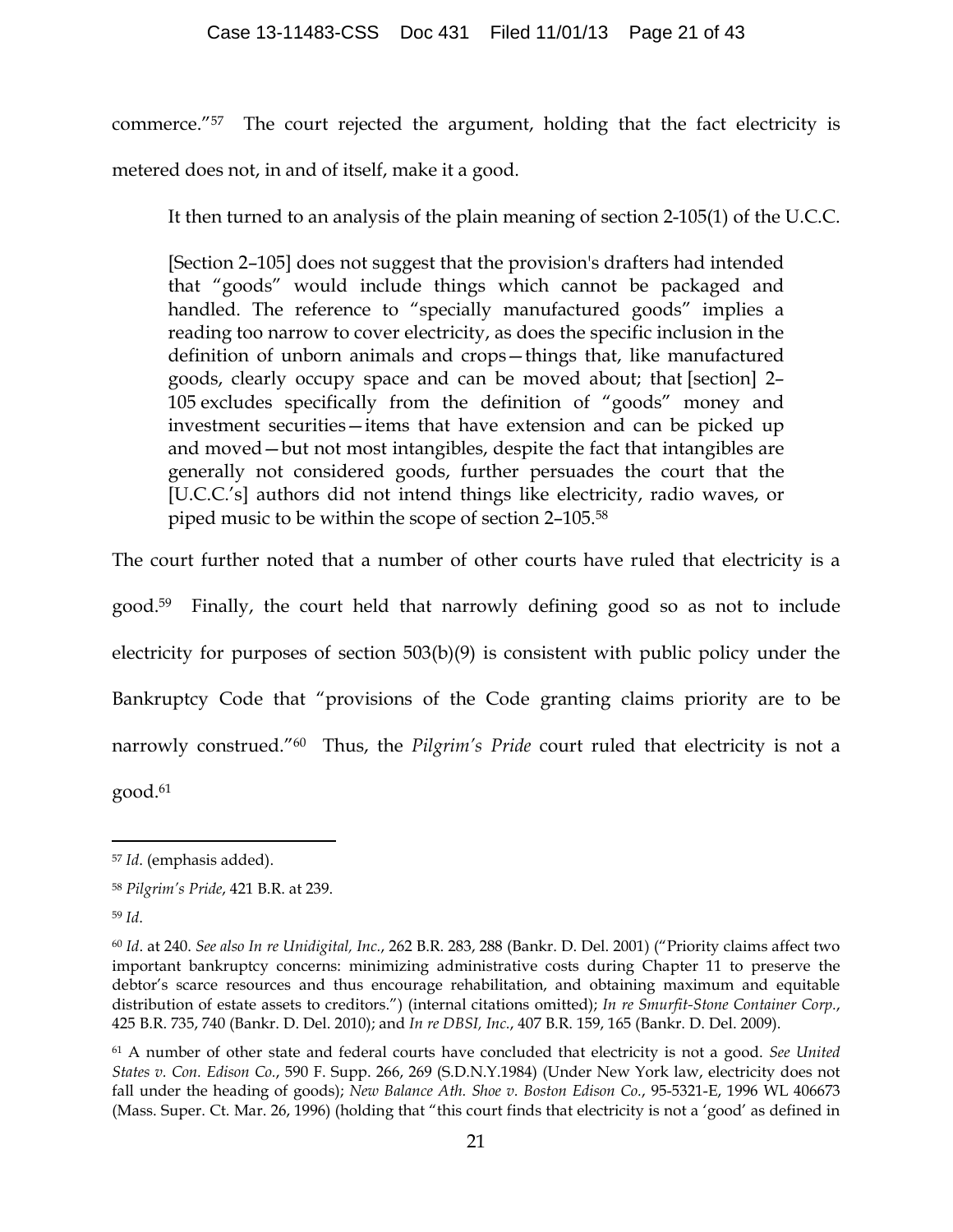commerce."57 The court rejected the argument, holding that the fact electricity is metered does not, in and of itself, make it a good.

It then turned to an analysis of the plain meaning of section 2-105(1) of the U.C.C.

[Section 2–105] does not suggest that the provision's drafters had intended that "goods" would include things which cannot be packaged and handled. The reference to "specially manufactured goods" implies a reading too narrow to cover electricity, as does the specific inclusion in the definition of unborn animals and crops—things that, like manufactured goods, clearly occupy space and can be moved about; that [section] 2– 105 excludes specifically from the definition of "goods" money and investment securities—items that have extension and can be picked up and moved—but not most intangibles, despite the fact that intangibles are generally not considered goods, further persuades the court that the [U.C.C.'s] authors did not intend things like electricity, radio waves, or piped music to be within the scope of section 2–105.58

The court further noted that a number of other courts have ruled that electricity is a good.59 Finally, the court held that narrowly defining good so as not to include electricity for purposes of section 503(b)(9) is consistent with public policy under the Bankruptcy Code that "provisions of the Code granting claims priority are to be narrowly construed."60 Thus, the *Pilgrim's Pride* court ruled that electricity is not a good.61

<sup>59</sup> *Id*.

 <sup>57</sup> *Id*. (emphasis added).

<sup>58</sup> *Pilgrim's Pride*, 421 B.R. at 239.

<sup>60</sup> *Id*. at 240. *See also In re Unidigital, Inc.*, 262 B.R. 283, 288 (Bankr. D. Del. 2001) ("Priority claims affect two important bankruptcy concerns: minimizing administrative costs during Chapter 11 to preserve the debtor's scarce resources and thus encourage rehabilitation, and obtaining maximum and equitable distribution of estate assets to creditors.") (internal citations omitted); *In re Smurfit-Stone Container Corp.*, 425 B.R. 735, 740 (Bankr. D. Del. 2010); and *In re DBSI, Inc.*, 407 B.R. 159, 165 (Bankr. D. Del. 2009).

<sup>61</sup> A number of other state and federal courts have concluded that electricity is not a good. *See United States v. Con. Edison Co.*, 590 F. Supp. 266, 269 (S.D.N.Y.1984) (Under New York law, electricity does not fall under the heading of goods); *New Balance Ath. Shoe v. Boston Edison Co.*, 95-5321-E, 1996 WL 406673 (Mass. Super. Ct. Mar. 26, 1996) (holding that "this court finds that electricity is not a 'good' as defined in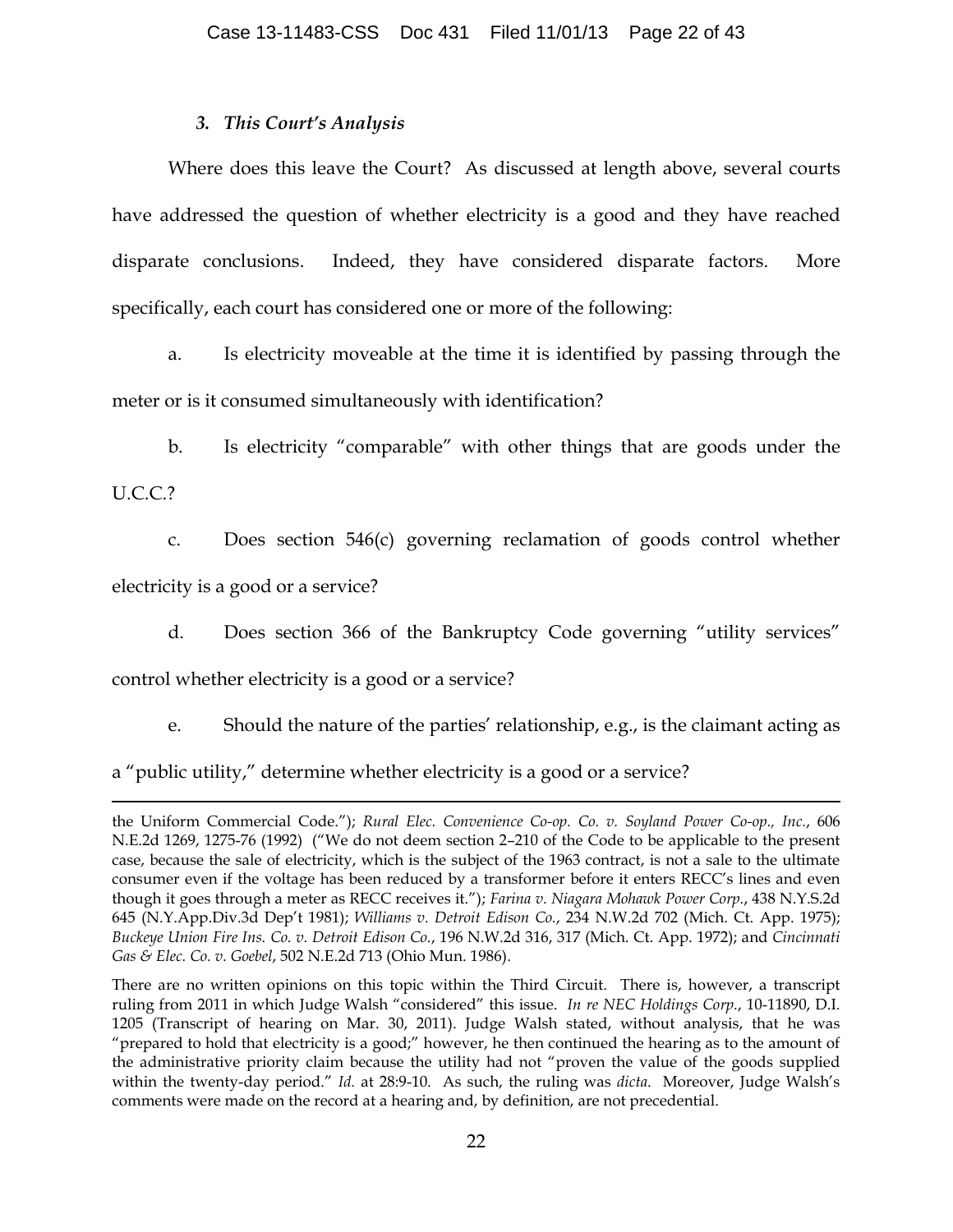## *3. This Court's Analysis*

Where does this leave the Court? As discussed at length above, several courts have addressed the question of whether electricity is a good and they have reached disparate conclusions. Indeed, they have considered disparate factors. More specifically, each court has considered one or more of the following:

a. Is electricity moveable at the time it is identified by passing through the meter or is it consumed simultaneously with identification?

b. Is electricity "comparable" with other things that are goods under the

U.C.C.?

 $\overline{a}$ 

c. Does section 546(c) governing reclamation of goods control whether electricity is a good or a service?

d. Does section 366 of the Bankruptcy Code governing "utility services"

control whether electricity is a good or a service?

e. Should the nature of the parties' relationship, e.g., is the claimant acting as

a "public utility," determine whether electricity is a good or a service?

the Uniform Commercial Code."); *Rural Elec. Convenience Co-op. Co. v. Soyland Power Co-op., Inc.*, 606 N.E.2d 1269, 1275-76 (1992) ("We do not deem section 2–210 of the Code to be applicable to the present case, because the sale of electricity, which is the subject of the 1963 contract, is not a sale to the ultimate consumer even if the voltage has been reduced by a transformer before it enters RECC's lines and even though it goes through a meter as RECC receives it."); *Farina v. Niagara Mohawk Power Corp.*, 438 N.Y.S.2d 645 (N.Y.App.Div.3d Dep't 1981); *Williams v. Detroit Edison Co.*, 234 N.W.2d 702 (Mich. Ct. App. 1975); *Buckeye Union Fire Ins. Co. v. Detroit Edison Co.*, 196 N.W.2d 316, 317 (Mich. Ct. App. 1972); and *Cincinnati Gas & Elec. Co. v. Goebel*, 502 N.E.2d 713 (Ohio Mun. 1986).

There are no written opinions on this topic within the Third Circuit. There is, however, a transcript ruling from 2011 in which Judge Walsh "considered" this issue. *In re NEC Holdings Corp.*, 10-11890, D.I. 1205 (Transcript of hearing on Mar. 30, 2011). Judge Walsh stated, without analysis, that he was "prepared to hold that electricity is a good;" however, he then continued the hearing as to the amount of the administrative priority claim because the utility had not "proven the value of the goods supplied within the twenty-day period." *Id.* at 28:9-10. As such, the ruling was *dicta*. Moreover, Judge Walsh's comments were made on the record at a hearing and, by definition, are not precedential.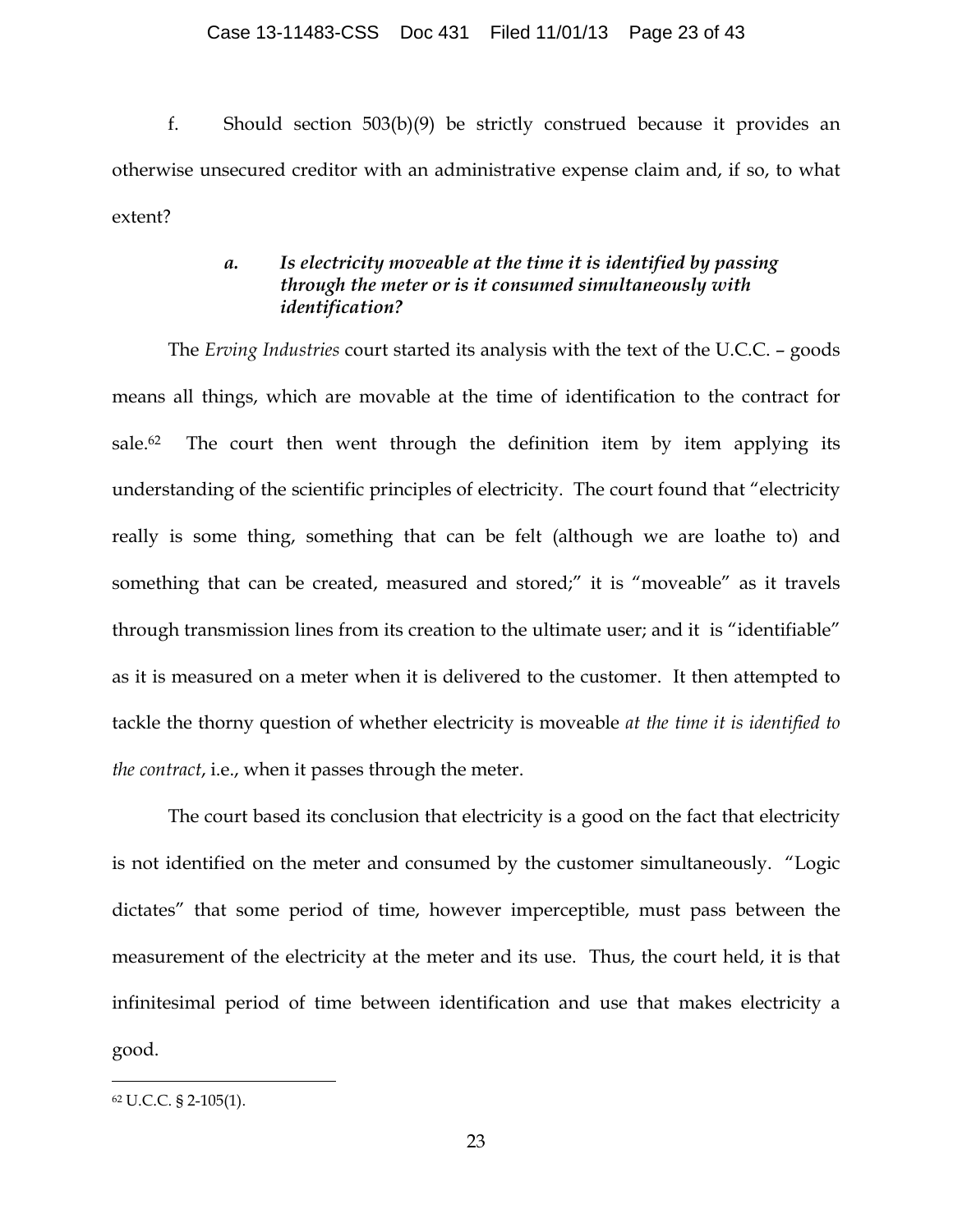f. Should section 503(b)(9) be strictly construed because it provides an otherwise unsecured creditor with an administrative expense claim and, if so, to what extent?

# *a. Is electricity moveable at the time it is identified by passing through the meter or is it consumed simultaneously with identification?*

The *Erving Industries* court started its analysis with the text of the U.C.C. – goods means all things, which are movable at the time of identification to the contract for sale.<sup>62</sup> The court then went through the definition item by item applying its understanding of the scientific principles of electricity. The court found that "electricity really is some thing, something that can be felt (although we are loathe to) and something that can be created, measured and stored;" it is "moveable" as it travels through transmission lines from its creation to the ultimate user; and it is "identifiable" as it is measured on a meter when it is delivered to the customer. It then attempted to tackle the thorny question of whether electricity is moveable *at the time it is identified to the contract*, i.e., when it passes through the meter.

The court based its conclusion that electricity is a good on the fact that electricity is not identified on the meter and consumed by the customer simultaneously. "Logic dictates" that some period of time, however imperceptible, must pass between the measurement of the electricity at the meter and its use. Thus, the court held, it is that infinitesimal period of time between identification and use that makes electricity a good.

 <sup>62</sup> U.C.C. § 2-105(1).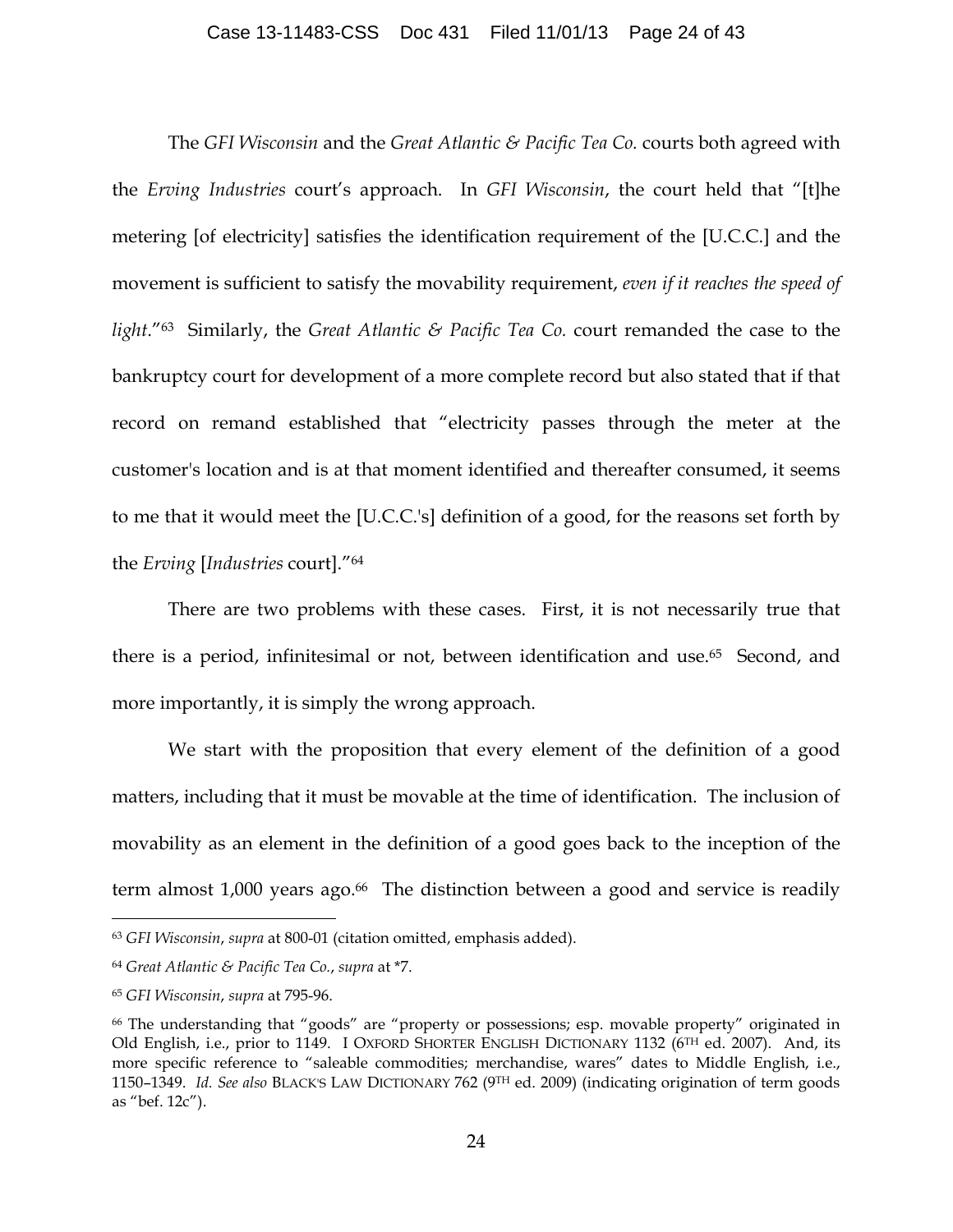## Case 13-11483-CSS Doc 431 Filed 11/01/13 Page 24 of 43

The *GFI Wisconsin* and the *Great Atlantic & Pacific Tea Co.* courts both agreed with the *Erving Industries* court's approach. In *GFI Wisconsin*, the court held that "[t]he metering [of electricity] satisfies the identification requirement of the [U.C.C.] and the movement is sufficient to satisfy the movability requirement, *even if it reaches the speed of light*."63 Similarly, the *Great Atlantic & Pacific Tea Co.* court remanded the case to the bankruptcy court for development of a more complete record but also stated that if that record on remand established that "electricity passes through the meter at the customer's location and is at that moment identified and thereafter consumed, it seems to me that it would meet the [U.C.C.'s] definition of a good, for the reasons set forth by the *Erving* [*Industries* court]."64

There are two problems with these cases. First, it is not necessarily true that there is a period, infinitesimal or not, between identification and use.<sup>65</sup> Second, and more importantly, it is simply the wrong approach.

We start with the proposition that every element of the definition of a good matters, including that it must be movable at the time of identification. The inclusion of movability as an element in the definition of a good goes back to the inception of the term almost 1,000 years ago. 66 The distinction between a good and service is readily

 <sup>63</sup> *GFI Wisconsin*, *supra* at 800-01 (citation omitted, emphasis added).

<sup>64</sup> *Great Atlantic & Pacific Tea Co.*, *supra* at \*7.

<sup>65</sup> *GFI Wisconsin*, *supra* at 795-96.

<sup>66</sup> The understanding that "goods" are "property or possessions; esp. movable property" originated in Old English, i.e., prior to 1149. I OXFORD SHORTER ENGLISH DICTIONARY 1132 (6<sup>TH</sup> ed. 2007). And, its more specific reference to "saleable commodities; merchandise, wares" dates to Middle English, i.e., 1150–1349. *Id. See also* BLACK'S LAW DICTIONARY 762 (9TH ed. 2009) (indicating origination of term goods as "bef. 12c").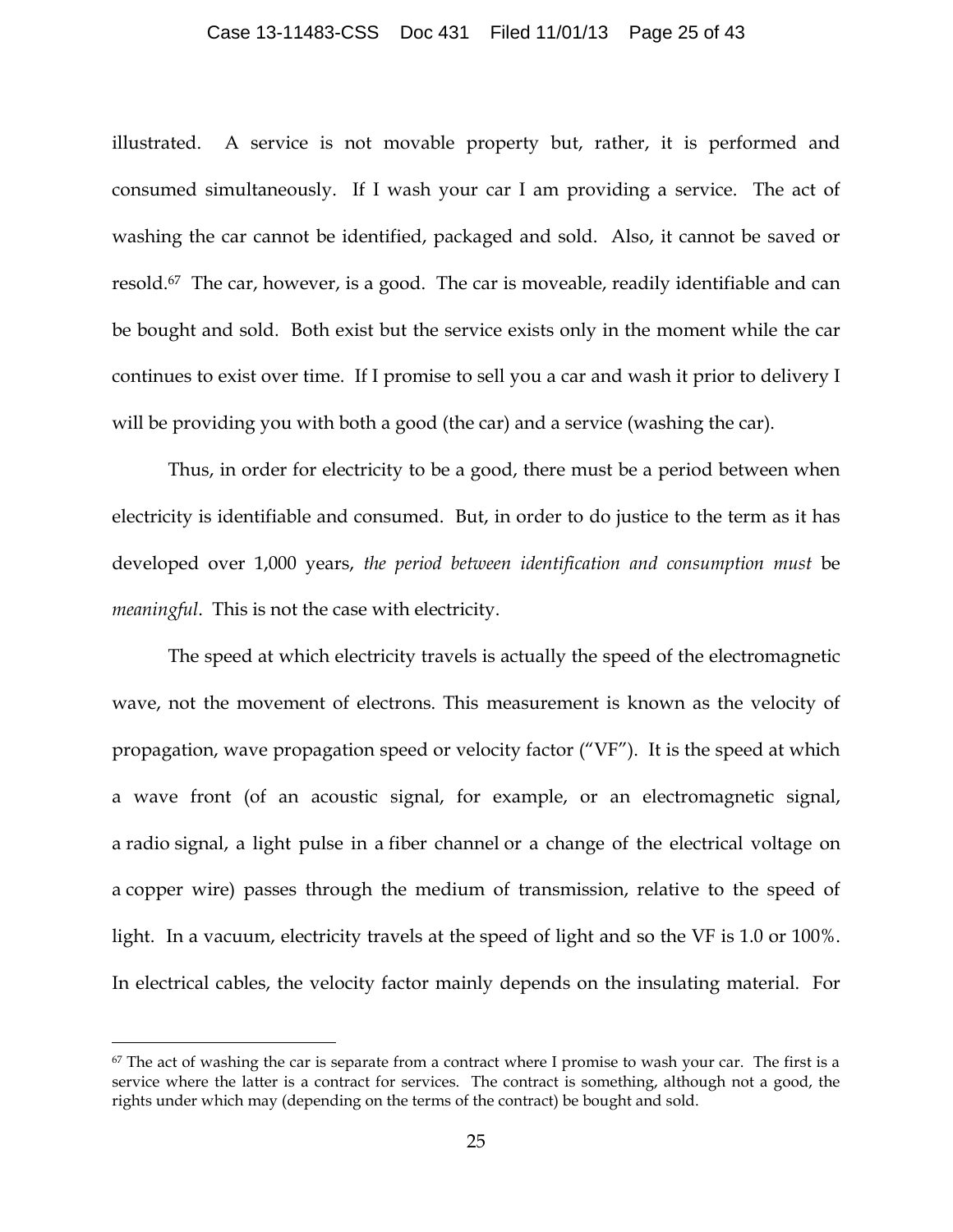#### Case 13-11483-CSS Doc 431 Filed 11/01/13 Page 25 of 43

illustrated. A service is not movable property but, rather, it is performed and consumed simultaneously. If I wash your car I am providing a service. The act of washing the car cannot be identified, packaged and sold. Also, it cannot be saved or resold.67 The car, however, is a good. The car is moveable, readily identifiable and can be bought and sold. Both exist but the service exists only in the moment while the car continues to exist over time. If I promise to sell you a car and wash it prior to delivery I will be providing you with both a good (the car) and a service (washing the car).

Thus, in order for electricity to be a good, there must be a period between when electricity is identifiable and consumed. But, in order to do justice to the term as it has developed over 1,000 years, *the period between identification and consumption must* be *meaningful*. This is not the case with electricity.

The speed at which electricity travels is actually the speed of the electromagnetic wave, not the movement of electrons. This measurement is known as the velocity of propagation, wave propagation speed or velocity factor ("VF"). It is the speed at which a wave front (of an acoustic signal, for example, or an electromagnetic signal, a radio signal, a light pulse in a fiber channel or a change of the electrical voltage on a copper wire) passes through the medium of transmission, relative to the speed of light. In a vacuum, electricity travels at the speed of light and so the VF is 1.0 or 100%. In electrical cables, the velocity factor mainly depends on the insulating material. For

 $67$  The act of washing the car is separate from a contract where I promise to wash your car. The first is a service where the latter is a contract for services. The contract is something, although not a good, the rights under which may (depending on the terms of the contract) be bought and sold.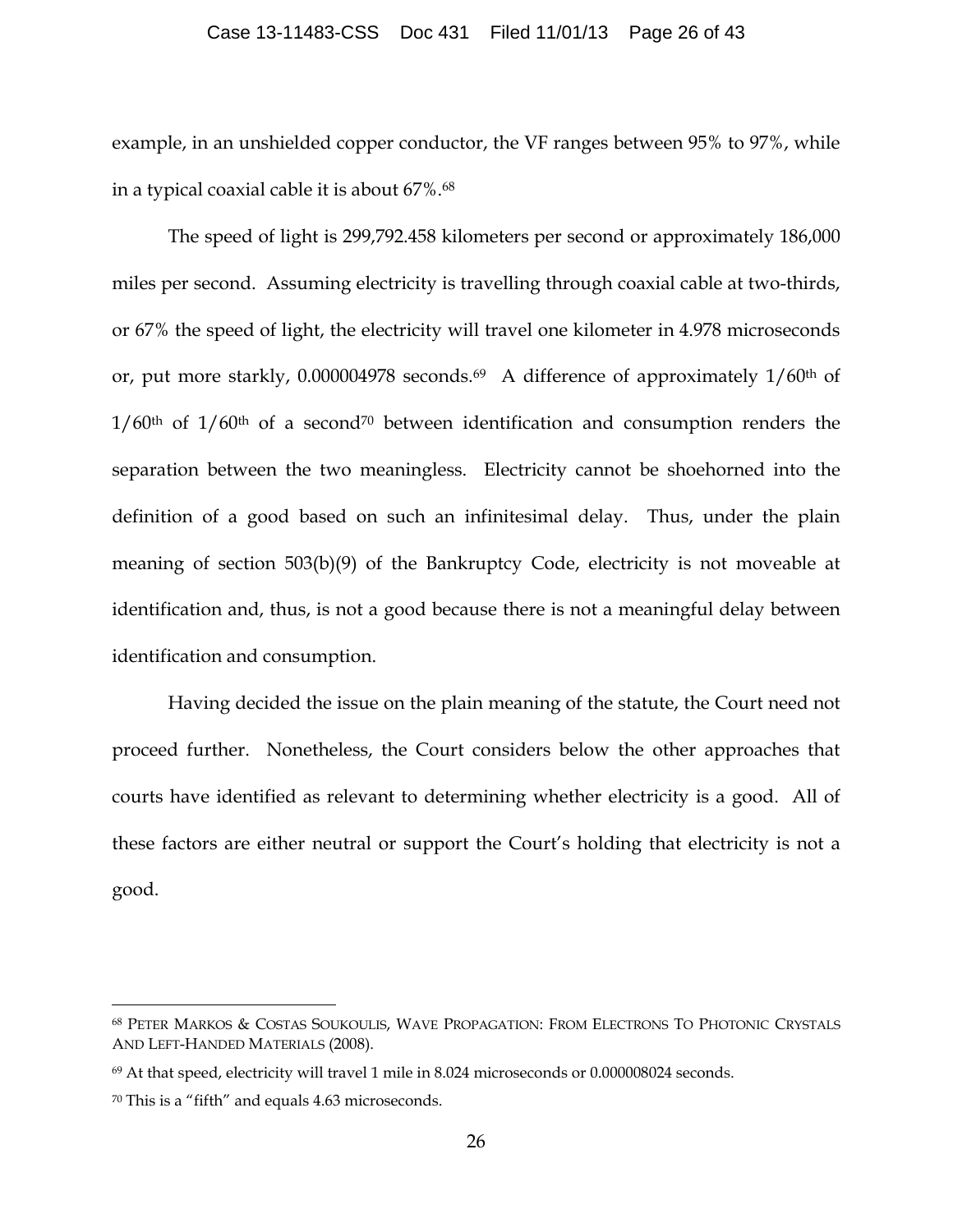#### Case 13-11483-CSS Doc 431 Filed 11/01/13 Page 26 of 43

example, in an unshielded copper conductor, the VF ranges between 95% to 97%, while in a typical coaxial cable it is about 67%.68

The speed of light is 299,792.458 kilometers per second or approximately 186,000 miles per second. Assuming electricity is travelling through coaxial cable at two-thirds, or 67% the speed of light, the electricity will travel one kilometer in 4.978 microseconds or, put more starkly, 0.000004978 seconds.<sup>69</sup> A difference of approximately 1/60<sup>th</sup> of  $1/60$ <sup>th</sup> of  $1/60$ <sup>th</sup> of a second<sup>70</sup> between identification and consumption renders the separation between the two meaningless. Electricity cannot be shoehorned into the definition of a good based on such an infinitesimal delay. Thus, under the plain meaning of section 503(b)(9) of the Bankruptcy Code, electricity is not moveable at identification and, thus, is not a good because there is not a meaningful delay between identification and consumption.

Having decided the issue on the plain meaning of the statute, the Court need not proceed further. Nonetheless, the Court considers below the other approaches that courts have identified as relevant to determining whether electricity is a good. All of these factors are either neutral or support the Court's holding that electricity is not a good.

 <sup>68</sup> PETER MARKOS & COSTAS SOUKOULIS, WAVE PROPAGATION: FROM ELECTRONS TO PHOTONIC CRYSTALS AND LEFT-HANDED MATERIALS (2008).

<sup>69</sup> At that speed, electricity will travel 1 mile in 8.024 microseconds or 0.000008024 seconds.

<sup>70</sup> This is a "fifth" and equals 4.63 microseconds.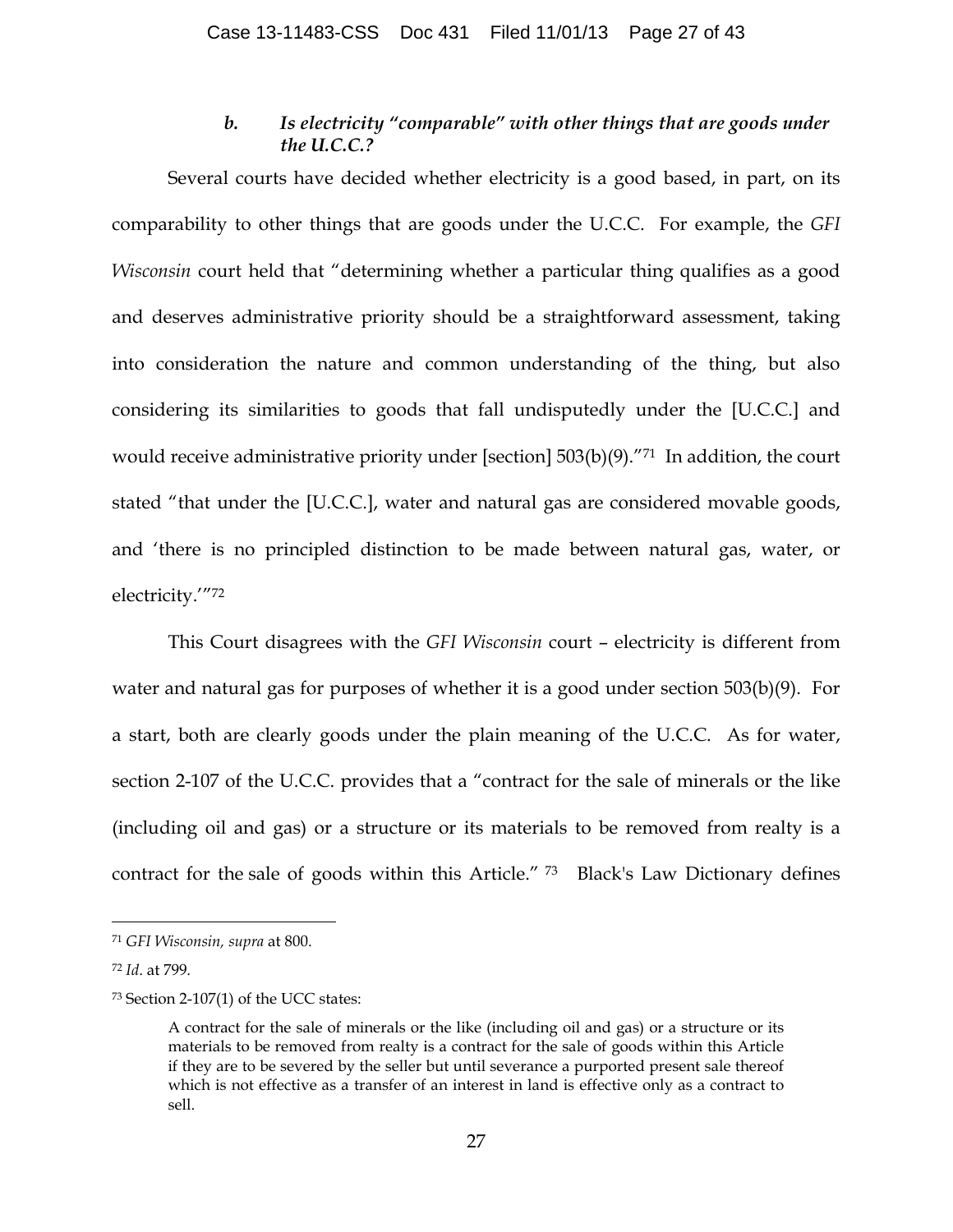## *b. Is electricity "comparable" with other things that are goods under the U.C.C.?*

Several courts have decided whether electricity is a good based, in part, on its comparability to other things that are goods under the U.C.C. For example, the *GFI Wisconsin* court held that "determining whether a particular thing qualifies as a good and deserves administrative priority should be a straightforward assessment, taking into consideration the nature and common understanding of the thing, but also considering its similarities to goods that fall undisputedly under the [U.C.C.] and would receive administrative priority under [section] 503(b)(9)."71 In addition, the court stated "that under the [U.C.C.], water and natural gas are considered movable goods, and 'there is no principled distinction to be made between natural gas, water, or electricity.'"72

This Court disagrees with the *GFI Wisconsin* court – electricity is different from water and natural gas for purposes of whether it is a good under section 503(b)(9). For a start, both are clearly goods under the plain meaning of the U.C.C. As for water, section 2-107 of the U.C.C. provides that a "contract for the sale of minerals or the like (including oil and gas) or a structure or its materials to be removed from realty is a contract for the sale of goods within this Article." <sup>73</sup>Black's Law Dictionary defines

 <sup>71</sup> *GFI Wisconsin, supra* at 800.

<sup>72</sup> *Id*. at 799.

<sup>73</sup> Section 2-107(1) of the UCC states:

A contract for the sale of minerals or the like (including oil and gas) or a structure or its materials to be removed from realty is a contract for the sale of goods within this Article if they are to be severed by the seller but until severance a purported present sale thereof which is not effective as a transfer of an interest in land is effective only as a contract to sell.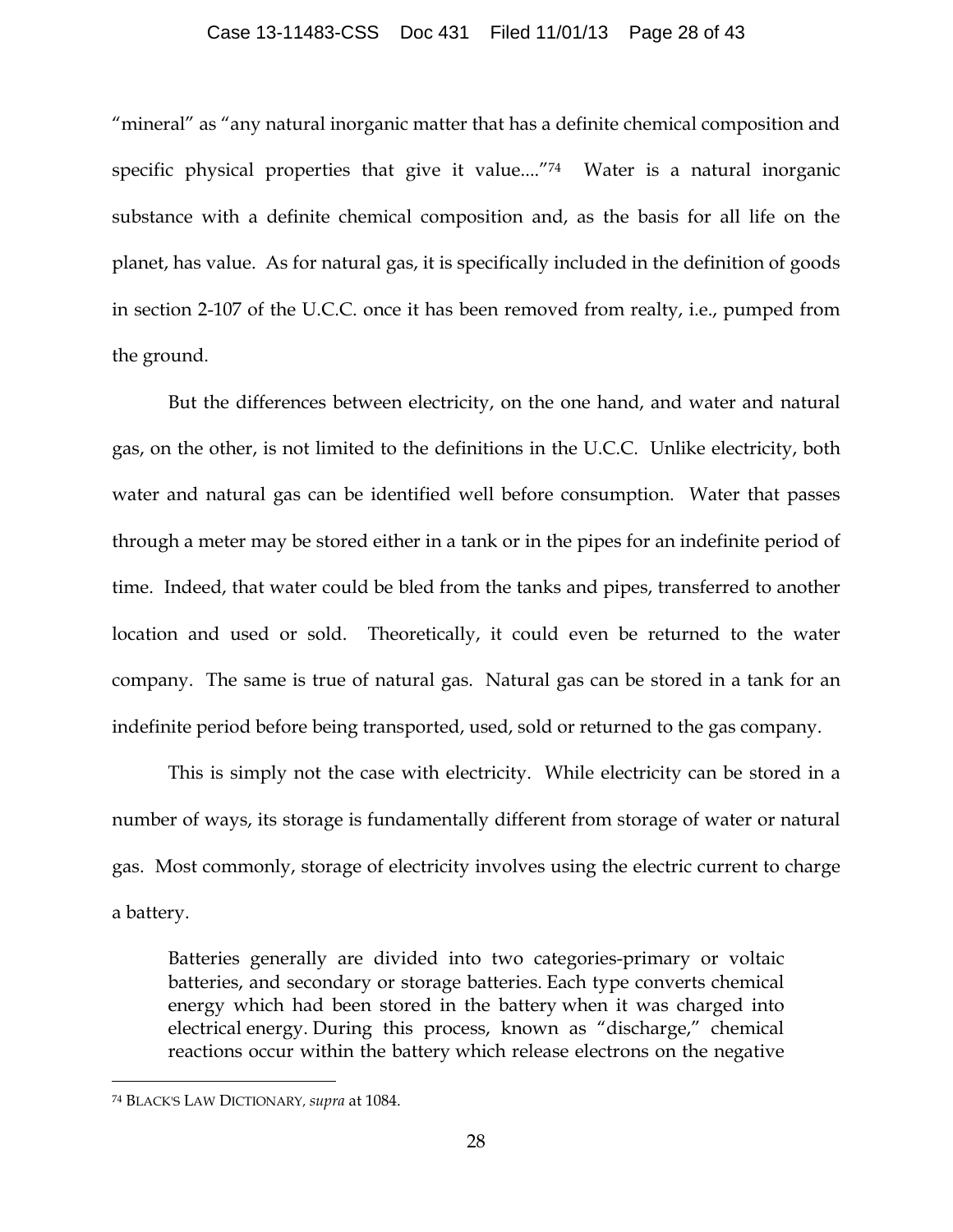#### Case 13-11483-CSS Doc 431 Filed 11/01/13 Page 28 of 43

"mineral" as "any natural inorganic matter that has a definite chemical composition and specific physical properties that give it value...."74 Water is a natural inorganic substance with a definite chemical composition and, as the basis for all life on the planet, has value. As for natural gas, it is specifically included in the definition of goods in section 2-107 of the U.C.C. once it has been removed from realty, i.e., pumped from the ground.

But the differences between electricity, on the one hand, and water and natural gas, on the other, is not limited to the definitions in the U.C.C. Unlike electricity, both water and natural gas can be identified well before consumption. Water that passes through a meter may be stored either in a tank or in the pipes for an indefinite period of time. Indeed, that water could be bled from the tanks and pipes, transferred to another location and used or sold. Theoretically, it could even be returned to the water company. The same is true of natural gas. Natural gas can be stored in a tank for an indefinite period before being transported, used, sold or returned to the gas company.

This is simply not the case with electricity. While electricity can be stored in a number of ways, its storage is fundamentally different from storage of water or natural gas. Most commonly, storage of electricity involves using the electric current to charge a battery.

Batteries generally are divided into two categories-primary or voltaic batteries, and secondary or storage batteries. Each type converts chemical energy which had been stored in the battery when it was charged into electrical energy. During this process, known as "discharge," chemical reactions occur within the battery which release electrons on the negative

 <sup>74</sup> BLACK'S LAW DICTIONARY, *supra* at 1084.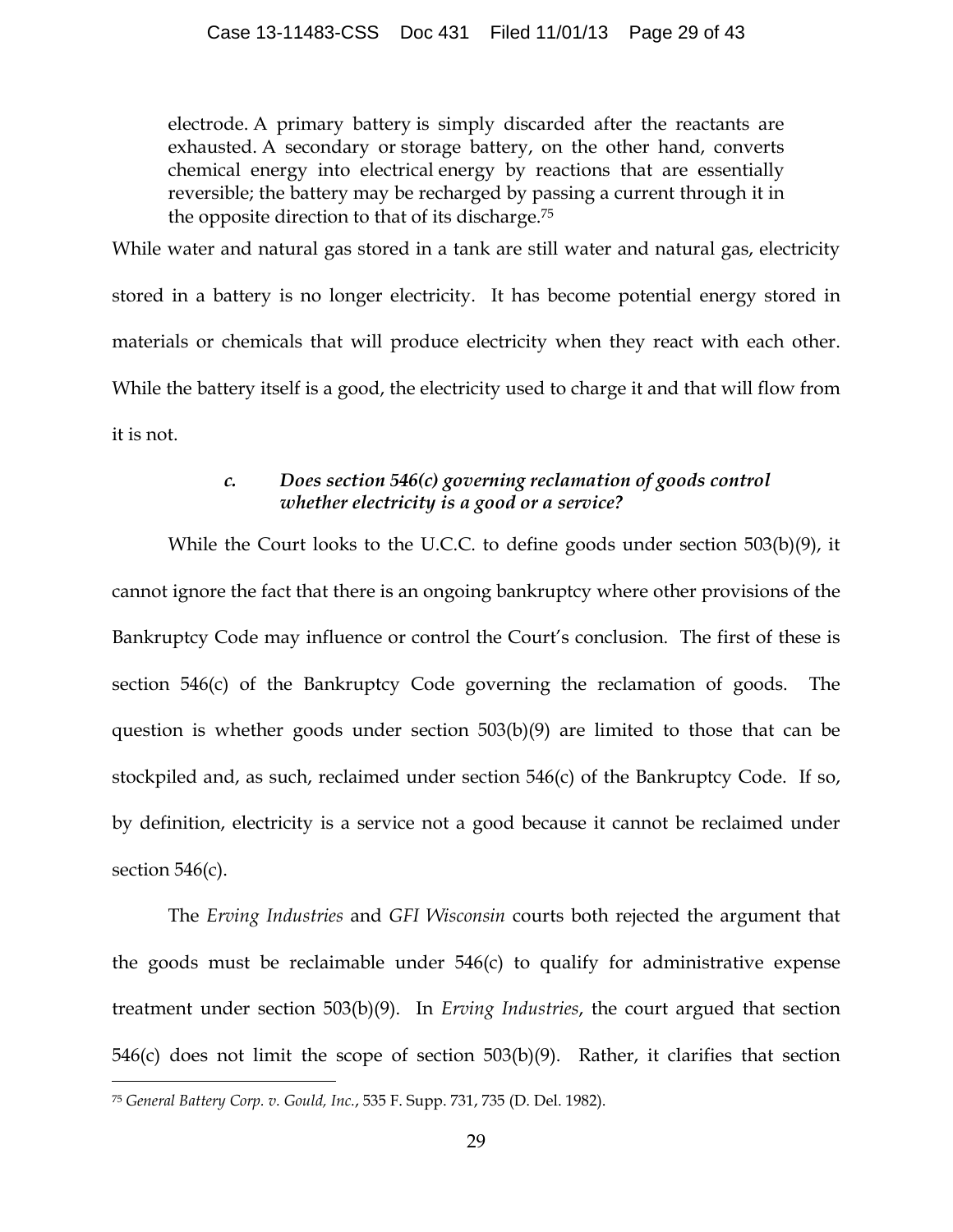electrode. A primary battery is simply discarded after the reactants are exhausted. A secondary or storage battery, on the other hand, converts chemical energy into electrical energy by reactions that are essentially reversible; the battery may be recharged by passing a current through it in the opposite direction to that of its discharge.75

While water and natural gas stored in a tank are still water and natural gas, electricity stored in a battery is no longer electricity. It has become potential energy stored in materials or chemicals that will produce electricity when they react with each other. While the battery itself is a good, the electricity used to charge it and that will flow from it is not.

# *c. Does section 546(c) governing reclamation of goods control whether electricity is a good or a service?*

While the Court looks to the U.C.C. to define goods under section 503(b)(9), it cannot ignore the fact that there is an ongoing bankruptcy where other provisions of the Bankruptcy Code may influence or control the Court's conclusion. The first of these is section 546(c) of the Bankruptcy Code governing the reclamation of goods. The question is whether goods under section 503(b)(9) are limited to those that can be stockpiled and, as such, reclaimed under section 546(c) of the Bankruptcy Code. If so, by definition, electricity is a service not a good because it cannot be reclaimed under section  $546(c)$ .

The *Erving Industries* and *GFI Wisconsin* courts both rejected the argument that the goods must be reclaimable under 546(c) to qualify for administrative expense treatment under section 503(b)(9). In *Erving Industries*, the court argued that section 546(c) does not limit the scope of section 503(b)(9). Rather, it clarifies that section

 <sup>75</sup> *General Battery Corp. v. Gould, Inc.*, 535 F. Supp. 731, 735 (D. Del. 1982).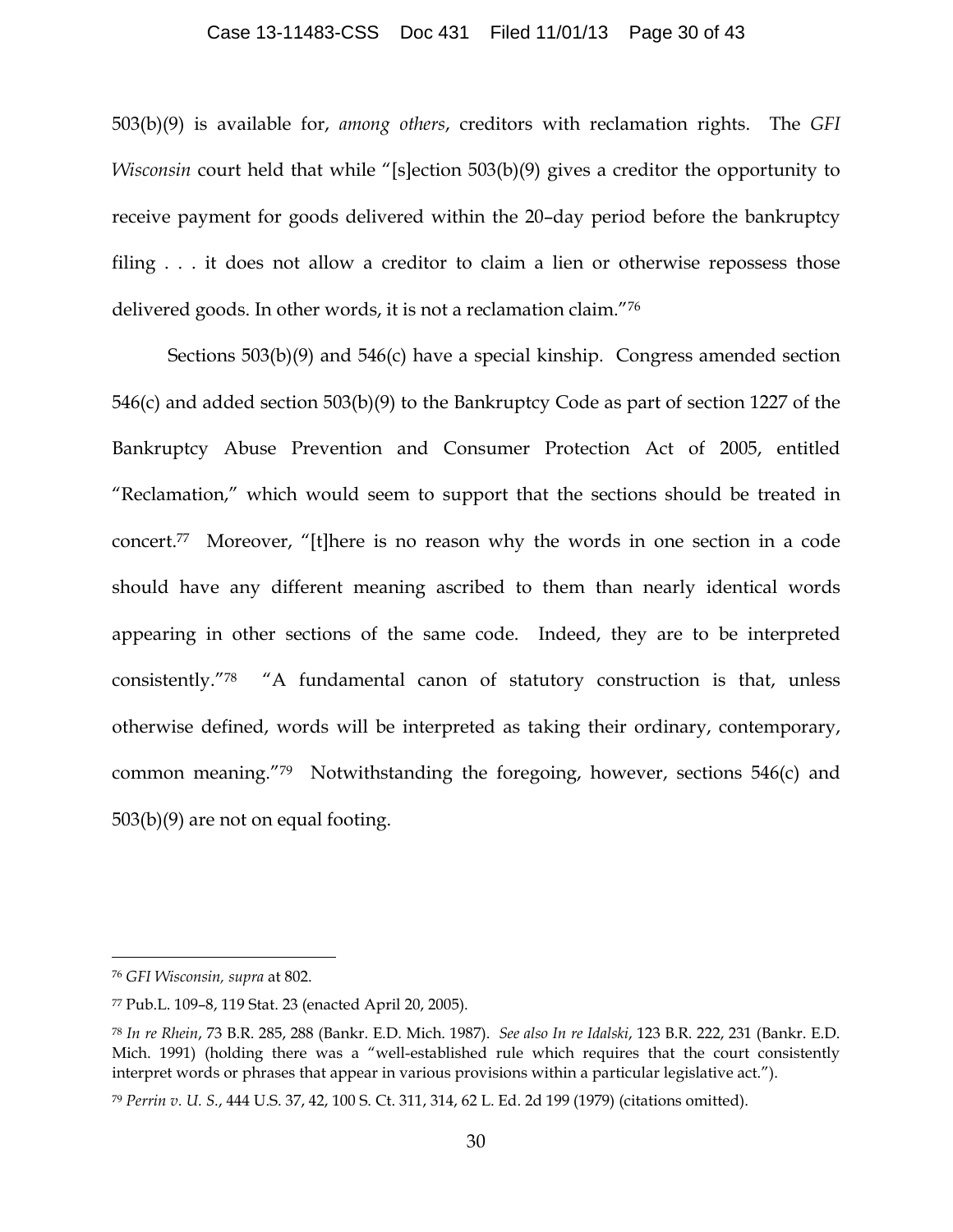#### Case 13-11483-CSS Doc 431 Filed 11/01/13 Page 30 of 43

503(b)(9) is available for, *among others*, creditors with reclamation rights. The *GFI Wisconsin* court held that while "[s]ection 503(b)(9) gives a creditor the opportunity to receive payment for goods delivered within the 20–day period before the bankruptcy filing . . . it does not allow a creditor to claim a lien or otherwise repossess those delivered goods. In other words, it is not a reclamation claim."76

Sections 503(b)(9) and 546(c) have a special kinship. Congress amended section 546(c) and added section 503(b)(9) to the Bankruptcy Code as part of section 1227 of the Bankruptcy Abuse Prevention and Consumer Protection Act of 2005, entitled "Reclamation," which would seem to support that the sections should be treated in concert.77 Moreover, "[t]here is no reason why the words in one section in a code should have any different meaning ascribed to them than nearly identical words appearing in other sections of the same code. Indeed, they are to be interpreted consistently."78 "A fundamental canon of statutory construction is that, unless otherwise defined, words will be interpreted as taking their ordinary, contemporary, common meaning."79 Notwithstanding the foregoing, however, sections 546(c) and 503(b)(9) are not on equal footing.

 <sup>76</sup> *GFI Wisconsin, supra* at 802.

<sup>77</sup> Pub.L. 109–8, 119 Stat. 23 (enacted April 20, 2005).

<sup>78</sup> *In re Rhein*, 73 B.R. 285, 288 (Bankr. E.D. Mich. 1987). *See also In re Idalski*, 123 B.R. 222, 231 (Bankr. E.D. Mich. 1991) (holding there was a "well-established rule which requires that the court consistently interpret words or phrases that appear in various provisions within a particular legislative act.").

<sup>79</sup> *Perrin v. U. S.*, 444 U.S. 37, 42, 100 S. Ct. 311, 314, 62 L. Ed. 2d 199 (1979) (citations omitted).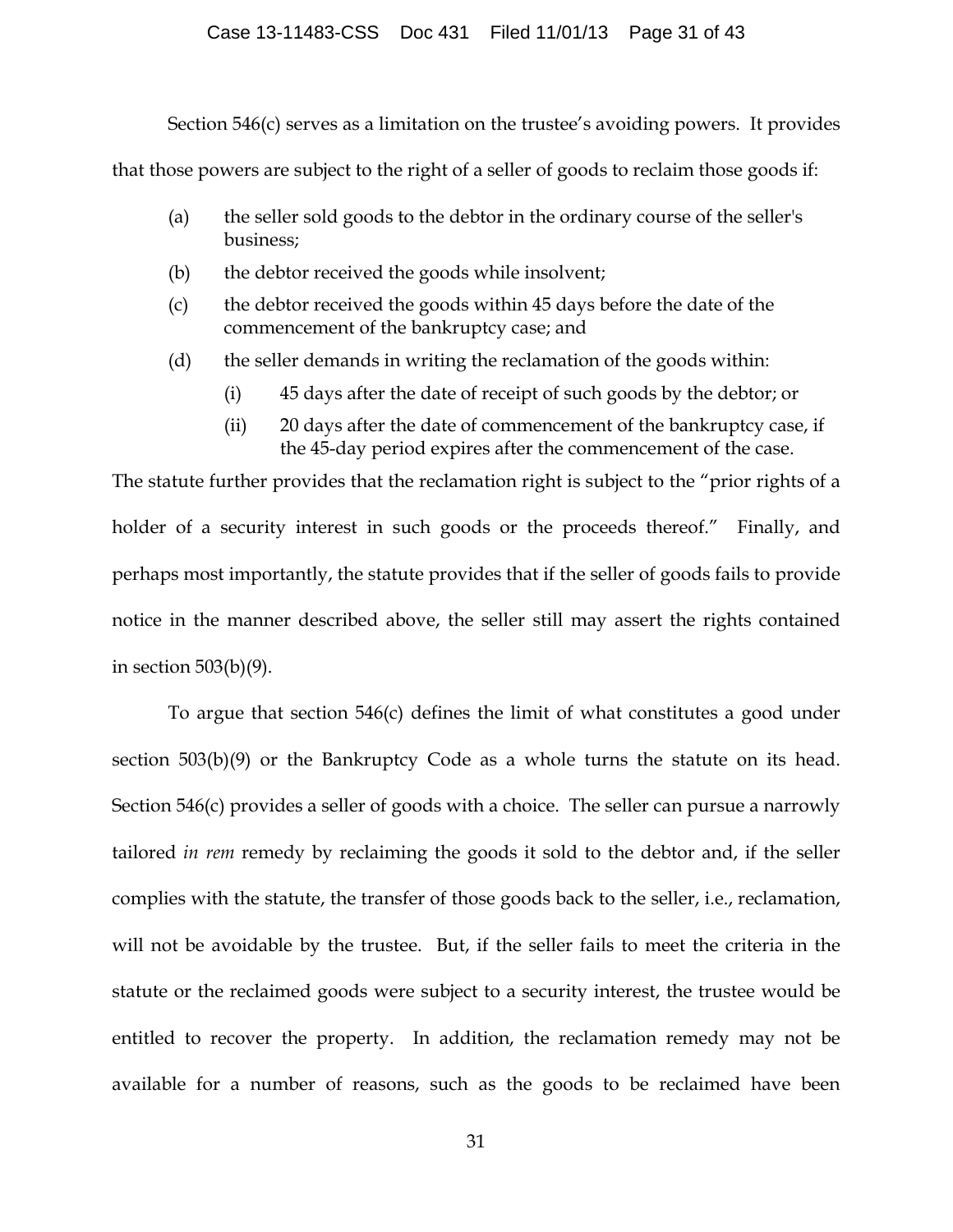#### Case 13-11483-CSS Doc 431 Filed 11/01/13 Page 31 of 43

Section 546(c) serves as a limitation on the trustee's avoiding powers. It provides

that those powers are subject to the right of a seller of goods to reclaim those goods if:

- (a) the seller sold goods to the debtor in the ordinary course of the seller's business;
- (b) the debtor received the goods while insolvent;
- (c) the debtor received the goods within 45 days before the date of the commencement of the bankruptcy case; and
- (d) the seller demands in writing the reclamation of the goods within:
	- (i) 45 days after the date of receipt of such goods by the debtor; or
	- (ii) 20 days after the date of commencement of the bankruptcy case, if the 45-day period expires after the commencement of the case.

The statute further provides that the reclamation right is subject to the "prior rights of a holder of a security interest in such goods or the proceeds thereof." Finally, and perhaps most importantly, the statute provides that if the seller of goods fails to provide notice in the manner described above, the seller still may assert the rights contained in section 503(b)(9).

To argue that section 546(c) defines the limit of what constitutes a good under section 503(b)(9) or the Bankruptcy Code as a whole turns the statute on its head. Section 546(c) provides a seller of goods with a choice. The seller can pursue a narrowly tailored *in rem* remedy by reclaiming the goods it sold to the debtor and, if the seller complies with the statute, the transfer of those goods back to the seller, i.e., reclamation, will not be avoidable by the trustee. But, if the seller fails to meet the criteria in the statute or the reclaimed goods were subject to a security interest, the trustee would be entitled to recover the property. In addition, the reclamation remedy may not be available for a number of reasons, such as the goods to be reclaimed have been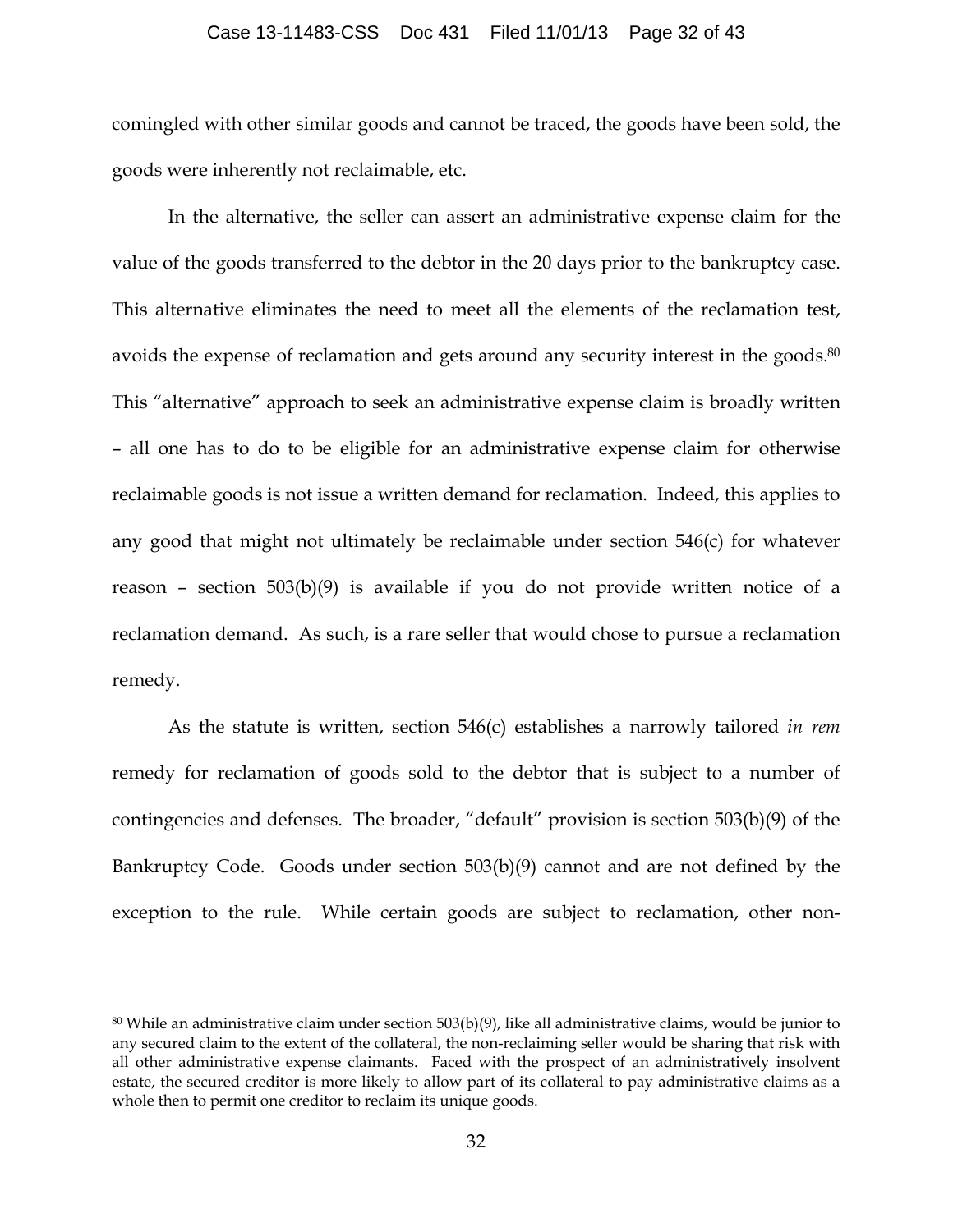#### Case 13-11483-CSS Doc 431 Filed 11/01/13 Page 32 of 43

comingled with other similar goods and cannot be traced, the goods have been sold, the goods were inherently not reclaimable, etc.

In the alternative, the seller can assert an administrative expense claim for the value of the goods transferred to the debtor in the 20 days prior to the bankruptcy case. This alternative eliminates the need to meet all the elements of the reclamation test, avoids the expense of reclamation and gets around any security interest in the goods.<sup>80</sup> This "alternative" approach to seek an administrative expense claim is broadly written – all one has to do to be eligible for an administrative expense claim for otherwise reclaimable goods is not issue a written demand for reclamation. Indeed, this applies to any good that might not ultimately be reclaimable under section 546(c) for whatever reason – section 503(b)(9) is available if you do not provide written notice of a reclamation demand. As such, is a rare seller that would chose to pursue a reclamation remedy.

As the statute is written, section 546(c) establishes a narrowly tailored *in rem* remedy for reclamation of goods sold to the debtor that is subject to a number of contingencies and defenses. The broader, "default" provision is section 503(b)(9) of the Bankruptcy Code. Goods under section 503(b)(9) cannot and are not defined by the exception to the rule. While certain goods are subject to reclamation, other non-

 $80$  While an administrative claim under section 503(b)(9), like all administrative claims, would be junior to any secured claim to the extent of the collateral, the non-reclaiming seller would be sharing that risk with all other administrative expense claimants. Faced with the prospect of an administratively insolvent estate, the secured creditor is more likely to allow part of its collateral to pay administrative claims as a whole then to permit one creditor to reclaim its unique goods.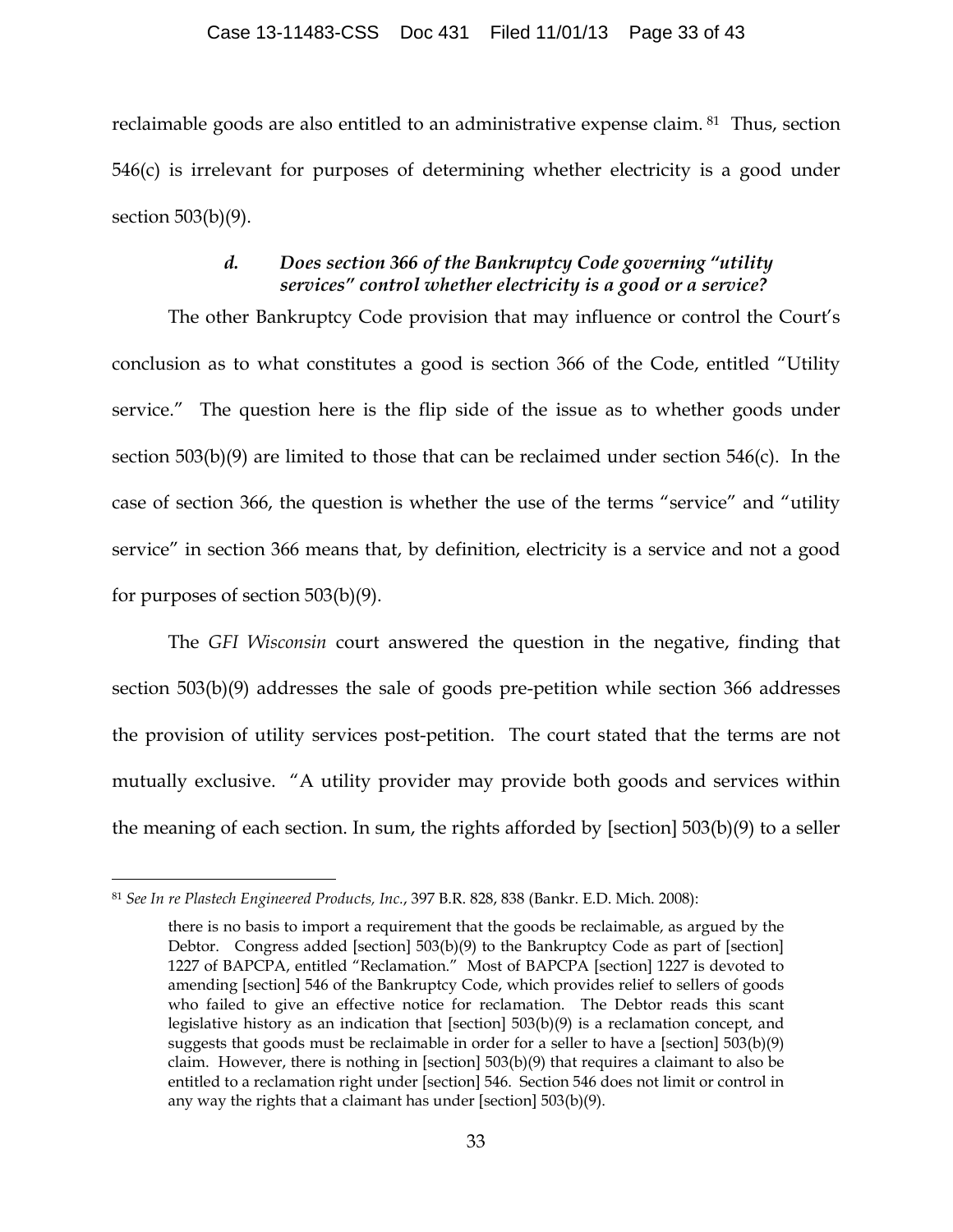reclaimable goods are also entitled to an administrative expense claim. 81 Thus, section 546(c) is irrelevant for purposes of determining whether electricity is a good under section 503(b)(9).

## *d. Does section 366 of the Bankruptcy Code governing "utility services" control whether electricity is a good or a service?*

The other Bankruptcy Code provision that may influence or control the Court's conclusion as to what constitutes a good is section 366 of the Code, entitled "Utility service." The question here is the flip side of the issue as to whether goods under section 503(b)(9) are limited to those that can be reclaimed under section 546(c). In the case of section 366, the question is whether the use of the terms "service" and "utility service" in section 366 means that, by definition, electricity is a service and not a good for purposes of section 503(b)(9).

The *GFI Wisconsin* court answered the question in the negative, finding that section 503(b)(9) addresses the sale of goods pre-petition while section 366 addresses the provision of utility services post-petition. The court stated that the terms are not mutually exclusive. "A utility provider may provide both goods and services within the meaning of each section. In sum, the rights afforded by [section] 503(b)(9) to a seller

 <sup>81</sup> *See In re Plastech Engineered Products, Inc.*, 397 B.R. 828, 838 (Bankr. E.D. Mich. 2008):

there is no basis to import a requirement that the goods be reclaimable, as argued by the Debtor. Congress added [section] 503(b)(9) to the Bankruptcy Code as part of [section] 1227 of BAPCPA, entitled "Reclamation." Most of BAPCPA [section] 1227 is devoted to amending [section] 546 of the Bankruptcy Code, which provides relief to sellers of goods who failed to give an effective notice for reclamation. The Debtor reads this scant legislative history as an indication that  $[section]$  503 $(b)(9)$  is a reclamation concept, and suggests that goods must be reclaimable in order for a seller to have a [section] 503(b)(9) claim. However, there is nothing in [section]  $503(b)(9)$  that requires a claimant to also be entitled to a reclamation right under [section] 546. Section 546 does not limit or control in any way the rights that a claimant has under [section] 503(b)(9).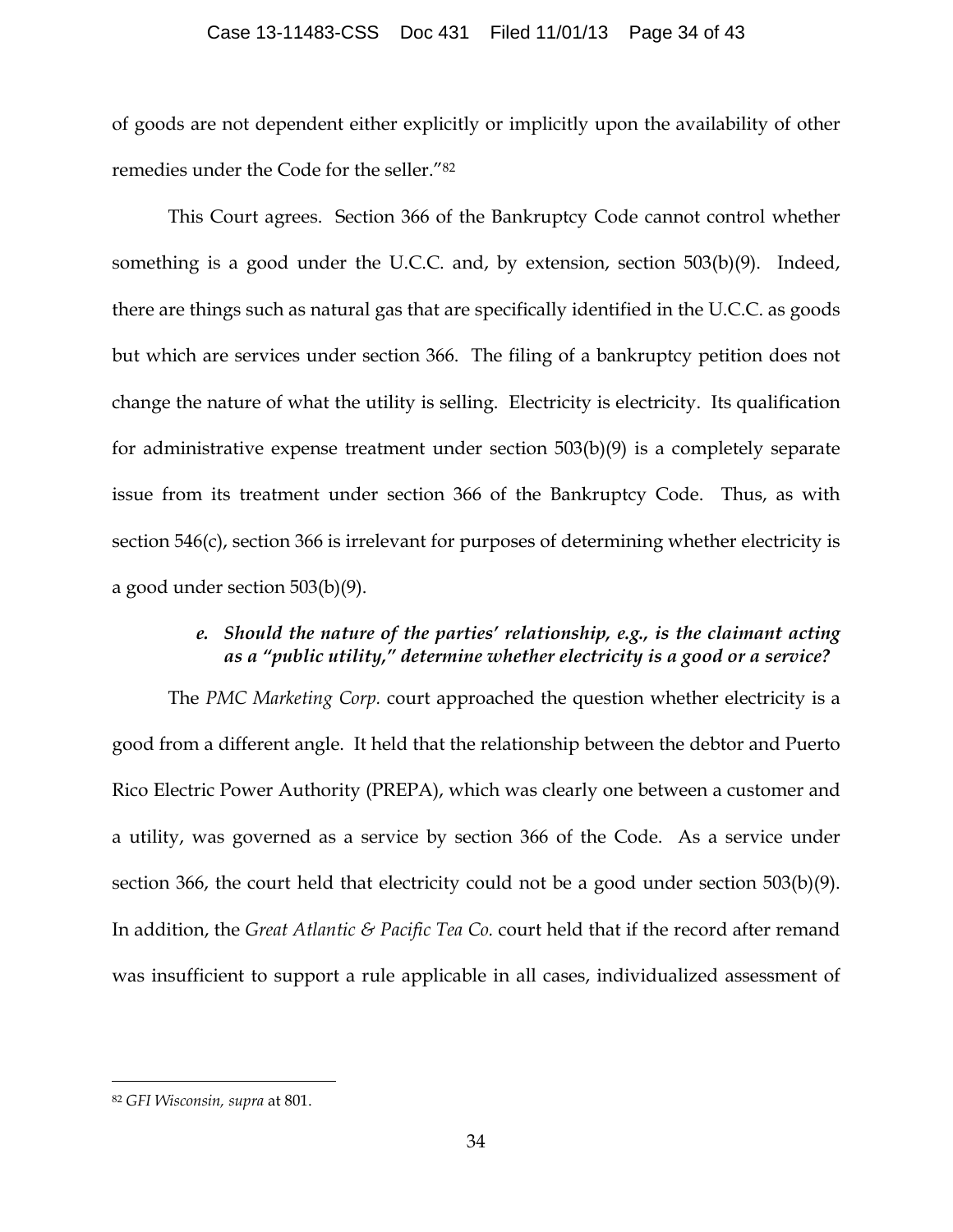#### Case 13-11483-CSS Doc 431 Filed 11/01/13 Page 34 of 43

of goods are not dependent either explicitly or implicitly upon the availability of other remedies under the Code for the seller."82

This Court agrees. Section 366 of the Bankruptcy Code cannot control whether something is a good under the U.C.C. and, by extension, section 503(b)(9). Indeed, there are things such as natural gas that are specifically identified in the U.C.C. as goods but which are services under section 366. The filing of a bankruptcy petition does not change the nature of what the utility is selling. Electricity is electricity. Its qualification for administrative expense treatment under section 503(b)(9) is a completely separate issue from its treatment under section 366 of the Bankruptcy Code. Thus, as with section 546(c), section 366 is irrelevant for purposes of determining whether electricity is a good under section 503(b)(9).

# *e. Should the nature of the parties' relationship, e.g., is the claimant acting as a "public utility," determine whether electricity is a good or a service?*

The *PMC Marketing Corp.* court approached the question whether electricity is a good from a different angle. It held that the relationship between the debtor and Puerto Rico Electric Power Authority (PREPA), which was clearly one between a customer and a utility, was governed as a service by section 366 of the Code. As a service under section 366, the court held that electricity could not be a good under section 503(b)(9). In addition, the *Great Atlantic & Pacific Tea Co.* court held that if the record after remand was insufficient to support a rule applicable in all cases, individualized assessment of

 <sup>82</sup> *GFI Wisconsin, supra* at 801.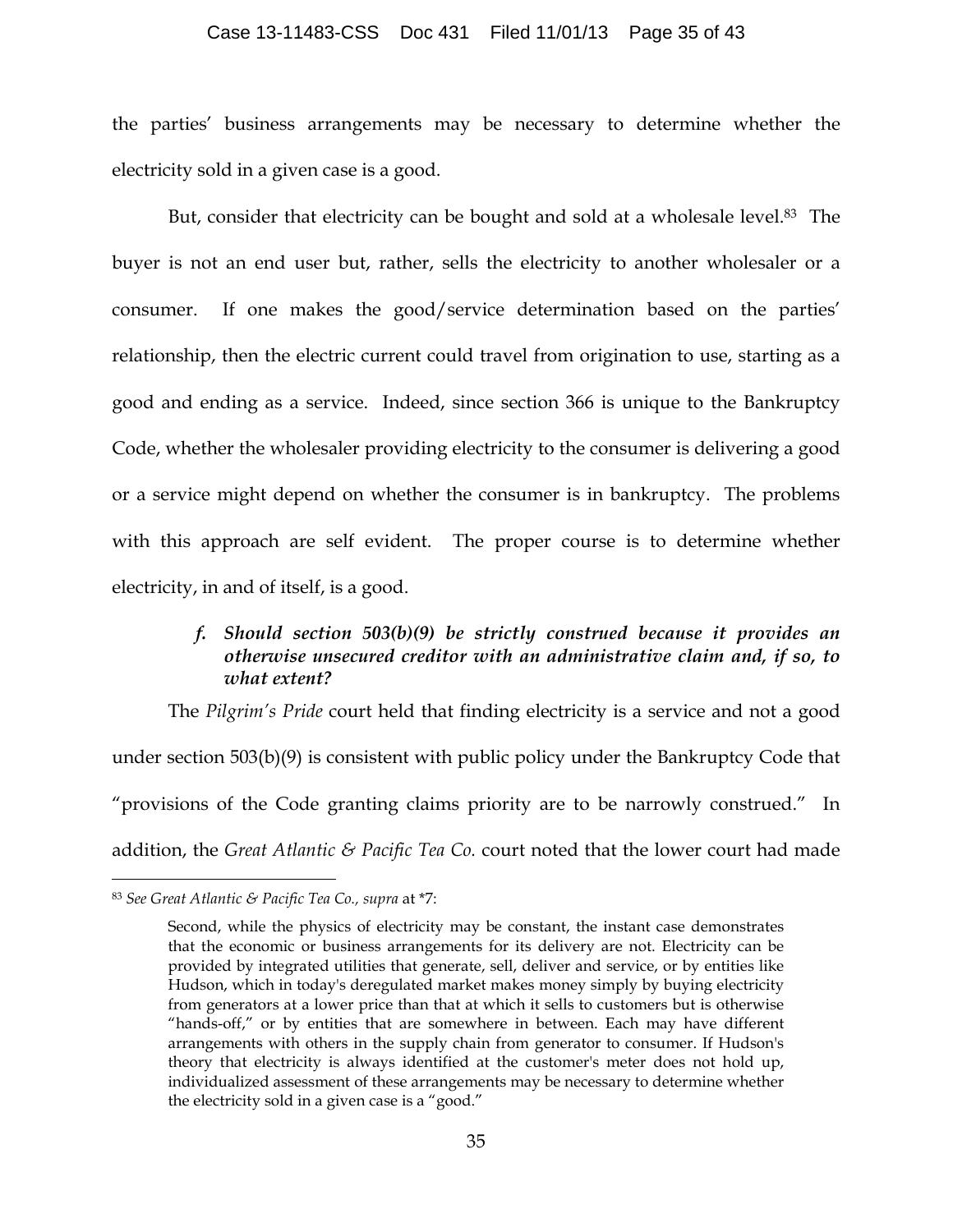#### Case 13-11483-CSS Doc 431 Filed 11/01/13 Page 35 of 43

the parties' business arrangements may be necessary to determine whether the electricity sold in a given case is a good.

But, consider that electricity can be bought and sold at a wholesale level.<sup>83</sup> The buyer is not an end user but, rather, sells the electricity to another wholesaler or a consumer. If one makes the good/service determination based on the parties' relationship, then the electric current could travel from origination to use, starting as a good and ending as a service. Indeed, since section 366 is unique to the Bankruptcy Code, whether the wholesaler providing electricity to the consumer is delivering a good or a service might depend on whether the consumer is in bankruptcy. The problems with this approach are self evident. The proper course is to determine whether electricity, in and of itself, is a good.

# *f. Should section 503(b)(9) be strictly construed because it provides an otherwise unsecured creditor with an administrative claim and, if so, to what extent?*

The *Pilgrim's Pride* court held that finding electricity is a service and not a good under section 503(b)(9) is consistent with public policy under the Bankruptcy Code that "provisions of the Code granting claims priority are to be narrowly construed." In addition, the *Great Atlantic & Pacific Tea Co.* court noted that the lower court had made

 <sup>83</sup> *See Great Atlantic & Pacific Tea Co., supra* at \*7:

Second, while the physics of electricity may be constant, the instant case demonstrates that the economic or business arrangements for its delivery are not. Electricity can be provided by integrated utilities that generate, sell, deliver and service, or by entities like Hudson, which in today's deregulated market makes money simply by buying electricity from generators at a lower price than that at which it sells to customers but is otherwise "hands-off," or by entities that are somewhere in between. Each may have different arrangements with others in the supply chain from generator to consumer. If Hudson's theory that electricity is always identified at the customer's meter does not hold up, individualized assessment of these arrangements may be necessary to determine whether the electricity sold in a given case is a "good."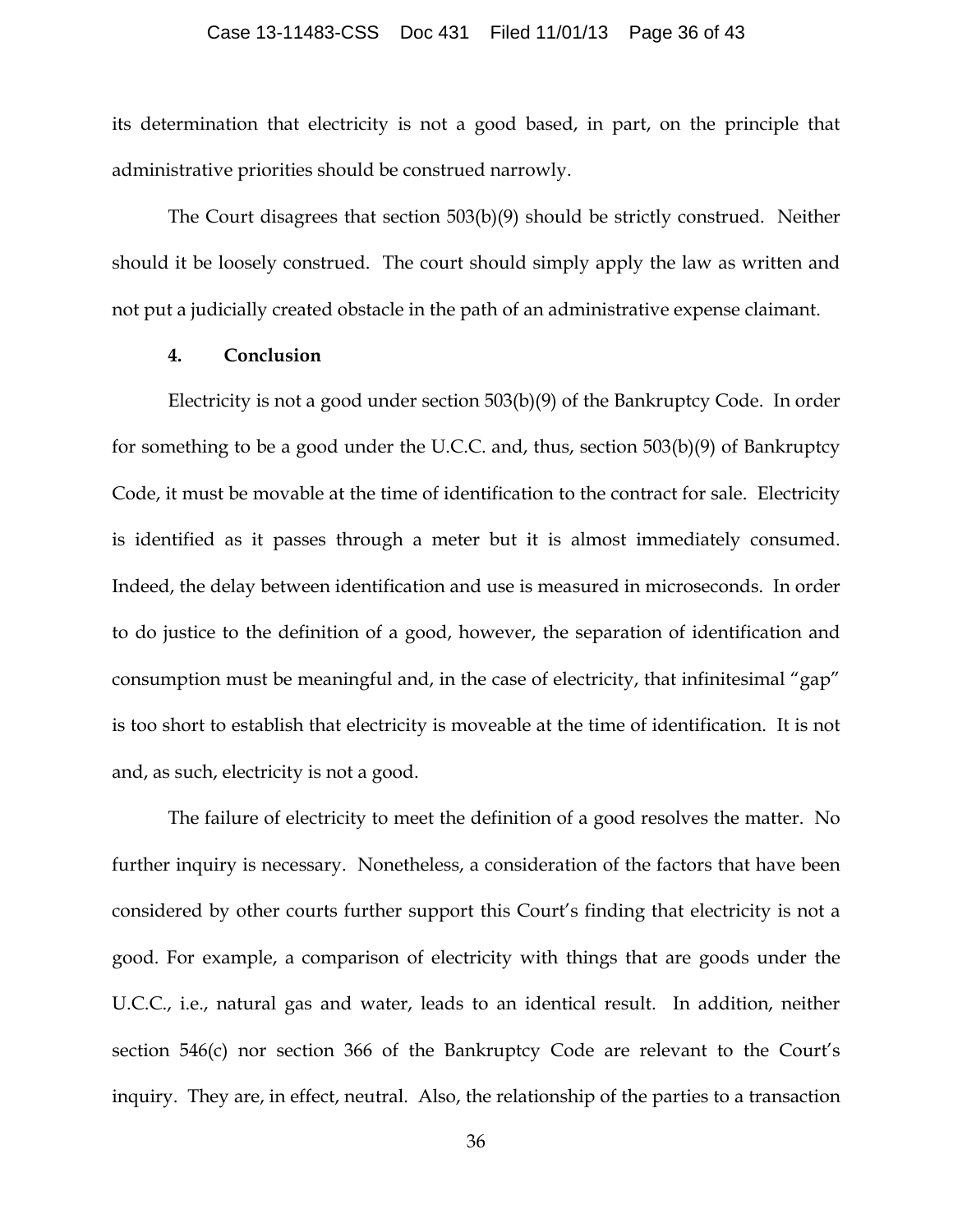#### Case 13-11483-CSS Doc 431 Filed 11/01/13 Page 36 of 43

its determination that electricity is not a good based, in part, on the principle that administrative priorities should be construed narrowly.

The Court disagrees that section 503(b)(9) should be strictly construed. Neither should it be loosely construed. The court should simply apply the law as written and not put a judicially created obstacle in the path of an administrative expense claimant.

### **4. Conclusion**

Electricity is not a good under section 503(b)(9) of the Bankruptcy Code. In order for something to be a good under the U.C.C. and, thus, section 503(b)(9) of Bankruptcy Code, it must be movable at the time of identification to the contract for sale. Electricity is identified as it passes through a meter but it is almost immediately consumed. Indeed, the delay between identification and use is measured in microseconds. In order to do justice to the definition of a good, however, the separation of identification and consumption must be meaningful and, in the case of electricity, that infinitesimal "gap" is too short to establish that electricity is moveable at the time of identification. It is not and, as such, electricity is not a good.

The failure of electricity to meet the definition of a good resolves the matter. No further inquiry is necessary. Nonetheless, a consideration of the factors that have been considered by other courts further support this Court's finding that electricity is not a good. For example, a comparison of electricity with things that are goods under the U.C.C., i.e., natural gas and water, leads to an identical result. In addition, neither section 546(c) nor section 366 of the Bankruptcy Code are relevant to the Court's inquiry. They are, in effect, neutral. Also, the relationship of the parties to a transaction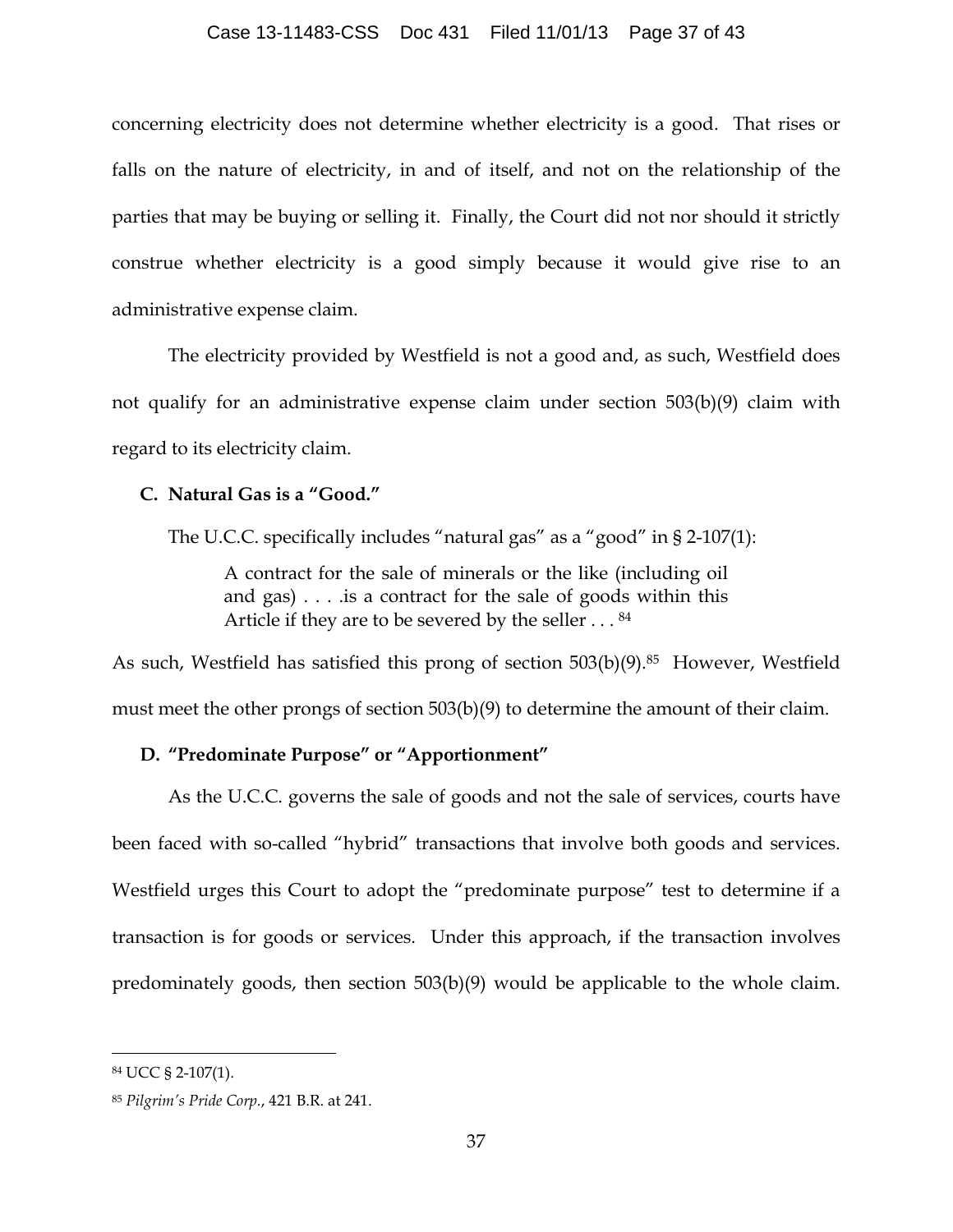### Case 13-11483-CSS Doc 431 Filed 11/01/13 Page 37 of 43

concerning electricity does not determine whether electricity is a good. That rises or falls on the nature of electricity, in and of itself, and not on the relationship of the parties that may be buying or selling it. Finally, the Court did not nor should it strictly construe whether electricity is a good simply because it would give rise to an administrative expense claim.

The electricity provided by Westfield is not a good and, as such, Westfield does not qualify for an administrative expense claim under section 503(b)(9) claim with regard to its electricity claim.

### **C. Natural Gas is a "Good."**

The U.C.C. specifically includes "natural gas" as a "good" in § 2-107(1):

A contract for the sale of minerals or the like (including oil and gas) . . . .is a contract for the sale of goods within this Article if they are to be severed by the seller . . . 84

As such, Westfield has satisfied this prong of section 503(b)(9).<sup>85</sup> However, Westfield must meet the other prongs of section 503(b)(9) to determine the amount of their claim.

## **D. "Predominate Purpose" or "Apportionment"**

As the U.C.C. governs the sale of goods and not the sale of services, courts have been faced with so-called "hybrid" transactions that involve both goods and services. Westfield urges this Court to adopt the "predominate purpose" test to determine if a transaction is for goods or services. Under this approach, if the transaction involves predominately goods, then section 503(b)(9) would be applicable to the whole claim.

 <sup>84</sup> UCC § 2-107(1).

<sup>85</sup> *Pilgrim's Pride Corp.*, 421 B.R. at 241.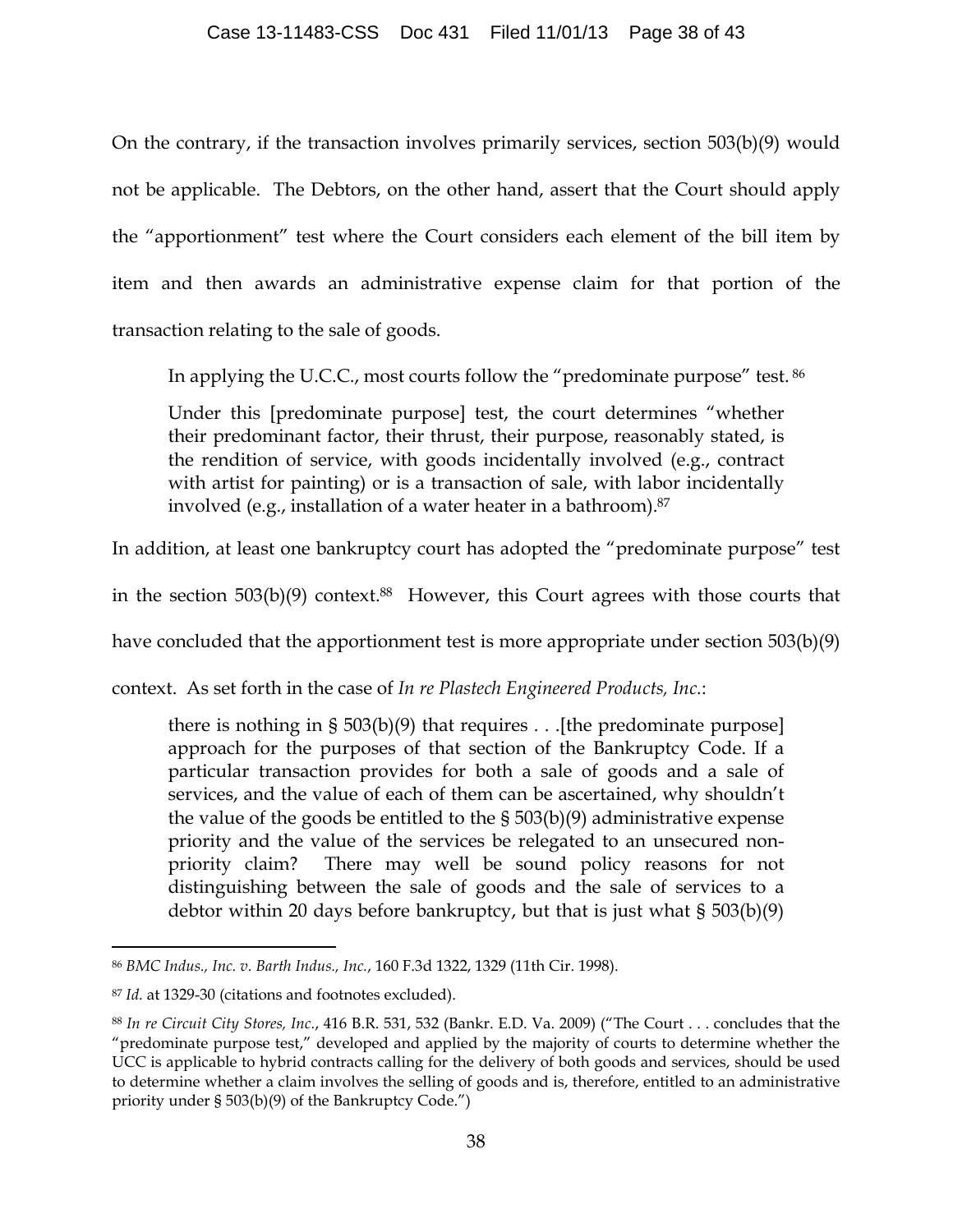On the contrary, if the transaction involves primarily services, section 503(b)(9) would not be applicable. The Debtors, on the other hand, assert that the Court should apply the "apportionment" test where the Court considers each element of the bill item by item and then awards an administrative expense claim for that portion of the transaction relating to the sale of goods.

In applying the U.C.C., most courts follow the "predominate purpose" test. <sup>86</sup>

Under this [predominate purpose] test, the court determines "whether their predominant factor, their thrust, their purpose, reasonably stated, is the rendition of service, with goods incidentally involved (e.g., contract with artist for painting) or is a transaction of sale, with labor incidentally involved (e.g., installation of a water heater in a bathroom).87

In addition, at least one bankruptcy court has adopted the "predominate purpose" test

in the section 503(b)(9) context.88 However, this Court agrees with those courts that

have concluded that the apportionment test is more appropriate under section 503(b)(9)

context. As set forth in the case of *In re Plastech Engineered Products, Inc.*:

there is nothing in § 503(b)(9) that requires . . .[the predominate purpose] approach for the purposes of that section of the Bankruptcy Code. If a particular transaction provides for both a sale of goods and a sale of services, and the value of each of them can be ascertained, why shouldn't the value of the goods be entitled to the § 503(b)(9) administrative expense priority and the value of the services be relegated to an unsecured nonpriority claim? There may well be sound policy reasons for not distinguishing between the sale of goods and the sale of services to a debtor within 20 days before bankruptcy, but that is just what § 503(b)(9)

 <sup>86</sup> *BMC Indus., Inc. v. Barth Indus., Inc.*, 160 F.3d 1322, 1329 (11th Cir. 1998).

<sup>87</sup> *Id.* at 1329-30 (citations and footnotes excluded).

<sup>88</sup> *In re Circuit City Stores, Inc.*, 416 B.R. 531, 532 (Bankr. E.D. Va. 2009) ("The Court . . . concludes that the "predominate purpose test," developed and applied by the majority of courts to determine whether the UCC is applicable to hybrid contracts calling for the delivery of both goods and services, should be used to determine whether a claim involves the selling of goods and is, therefore, entitled to an administrative priority under § 503(b)(9) of the Bankruptcy Code.")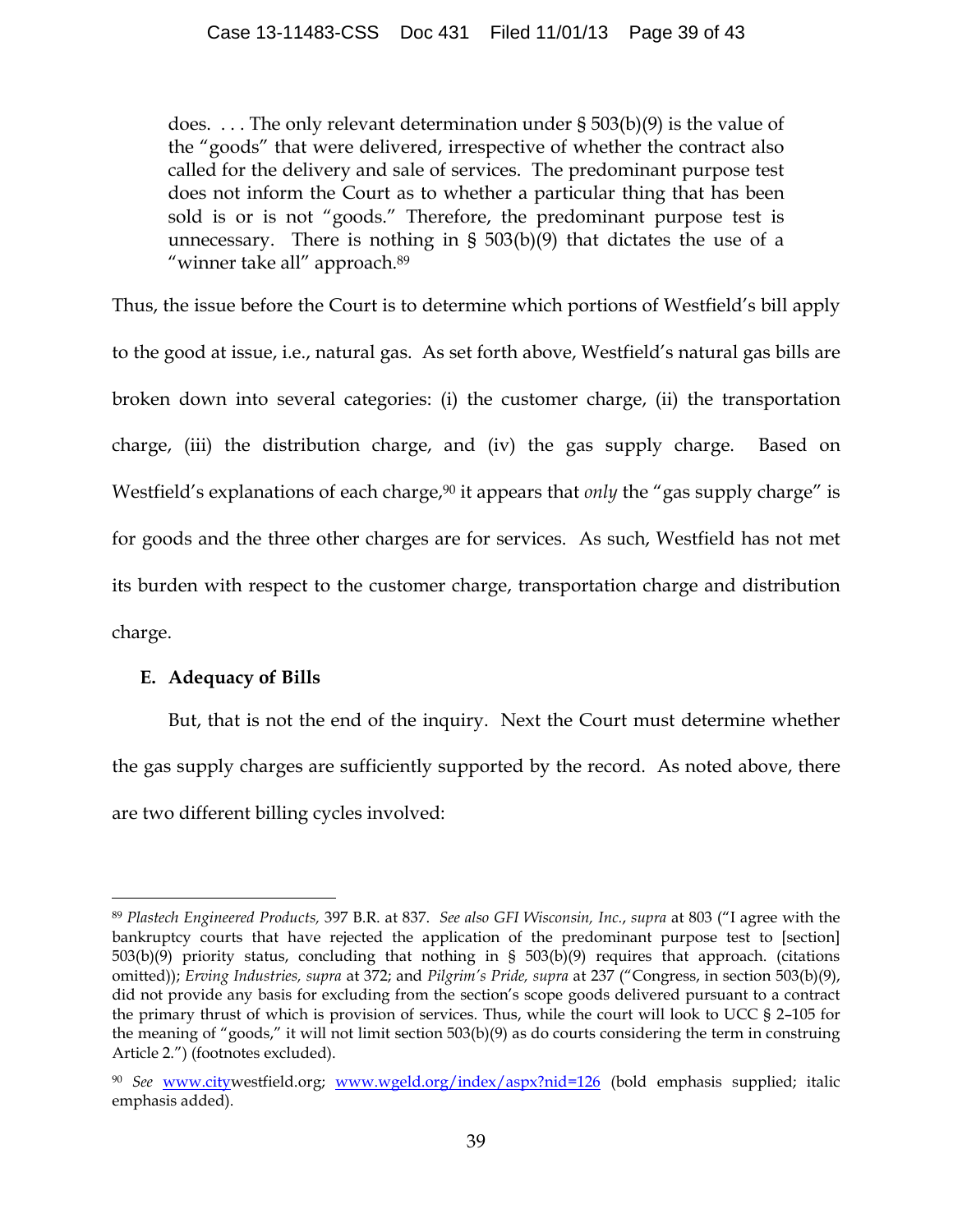does. . . . The only relevant determination under § 503(b)(9) is the value of the "goods" that were delivered, irrespective of whether the contract also called for the delivery and sale of services. The predominant purpose test does not inform the Court as to whether a particular thing that has been sold is or is not "goods." Therefore, the predominant purpose test is unnecessary. There is nothing in § 503(b)(9) that dictates the use of a "winner take all" approach.<sup>89</sup>

Thus, the issue before the Court is to determine which portions of Westfield's bill apply to the good at issue, i.e., natural gas. As set forth above, Westfield's natural gas bills are broken down into several categories: (i) the customer charge, (ii) the transportation charge, (iii) the distribution charge, and (iv) the gas supply charge. Based on Westfield's explanations of each charge,<sup>90</sup> it appears that *only* the "gas supply charge" is for goods and the three other charges are for services. As such, Westfield has not met its burden with respect to the customer charge, transportation charge and distribution charge.

## **E. Adequacy of Bills**

 $\overline{a}$ 

But, that is not the end of the inquiry. Next the Court must determine whether the gas supply charges are sufficiently supported by the record. As noted above, there are two different billing cycles involved:

<sup>89</sup> *Plastech Engineered Products,* 397 B.R. at 837. *See also GFI Wisconsin, Inc.*, *supra* at 803 ("I agree with the bankruptcy courts that have rejected the application of the predominant purpose test to [section] 503(b)(9) priority status, concluding that nothing in § 503(b)(9) requires that approach. (citations omitted)); *Erving Industries, supra* at 372; and *Pilgrim's Pride, supra* at 237 ("Congress, in section 503(b)(9), did not provide any basis for excluding from the section's scope goods delivered pursuant to a contract the primary thrust of which is provision of services. Thus, while the court will look to UCC § 2–105 for the meaning of "goods," it will not limit section 503(b)(9) as do courts considering the term in construing Article 2.") (footnotes excluded).

<sup>90</sup> *See* www.citywestfield.org; www.wgeld.org/index/aspx?nid=126 (bold emphasis supplied; italic emphasis added).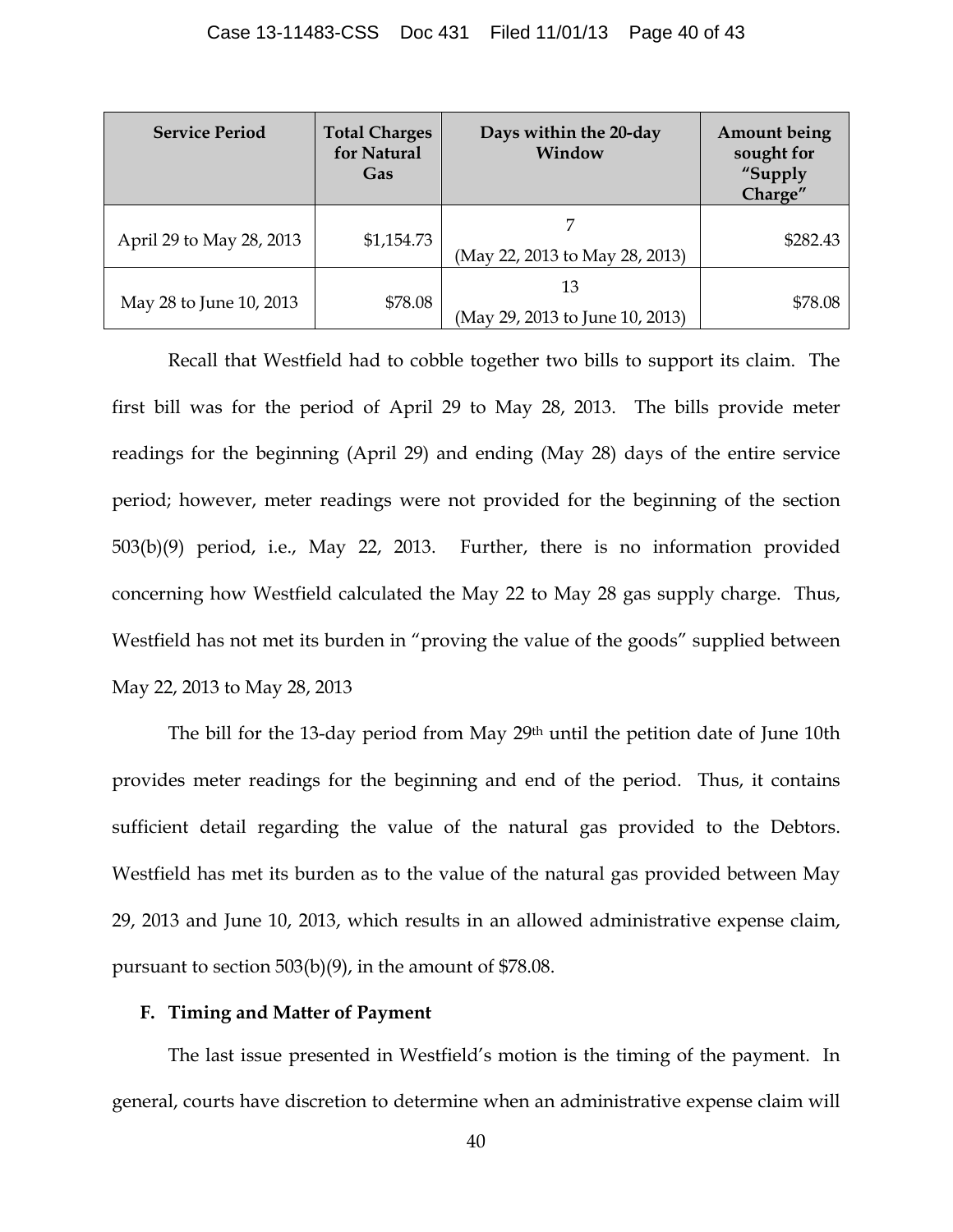| <b>Service Period</b>    | <b>Total Charges</b><br>for Natural<br>Gas | Days within the 20-day<br>Window      | <b>Amount being</b><br>sought for<br>"Supply<br>Charge" |
|--------------------------|--------------------------------------------|---------------------------------------|---------------------------------------------------------|
| April 29 to May 28, 2013 | \$1,154.73                                 | (May 22, 2013 to May 28, 2013)        | \$282.43                                                |
| May 28 to June 10, 2013  | \$78.08                                    | 13<br>(May 29, 2013 to June 10, 2013) | \$78.08                                                 |

Recall that Westfield had to cobble together two bills to support its claim. The first bill was for the period of April 29 to May 28, 2013. The bills provide meter readings for the beginning (April 29) and ending (May 28) days of the entire service period; however, meter readings were not provided for the beginning of the section 503(b)(9) period, i.e., May 22, 2013. Further, there is no information provided concerning how Westfield calculated the May 22 to May 28 gas supply charge. Thus, Westfield has not met its burden in "proving the value of the goods" supplied between May 22, 2013 to May 28, 2013

The bill for the 13-day period from May 29<sup>th</sup> until the petition date of June 10th provides meter readings for the beginning and end of the period. Thus, it contains sufficient detail regarding the value of the natural gas provided to the Debtors. Westfield has met its burden as to the value of the natural gas provided between May 29, 2013 and June 10, 2013, which results in an allowed administrative expense claim, pursuant to section 503(b)(9), in the amount of \$78.08.

## **F. Timing and Matter of Payment**

The last issue presented in Westfield's motion is the timing of the payment. In general, courts have discretion to determine when an administrative expense claim will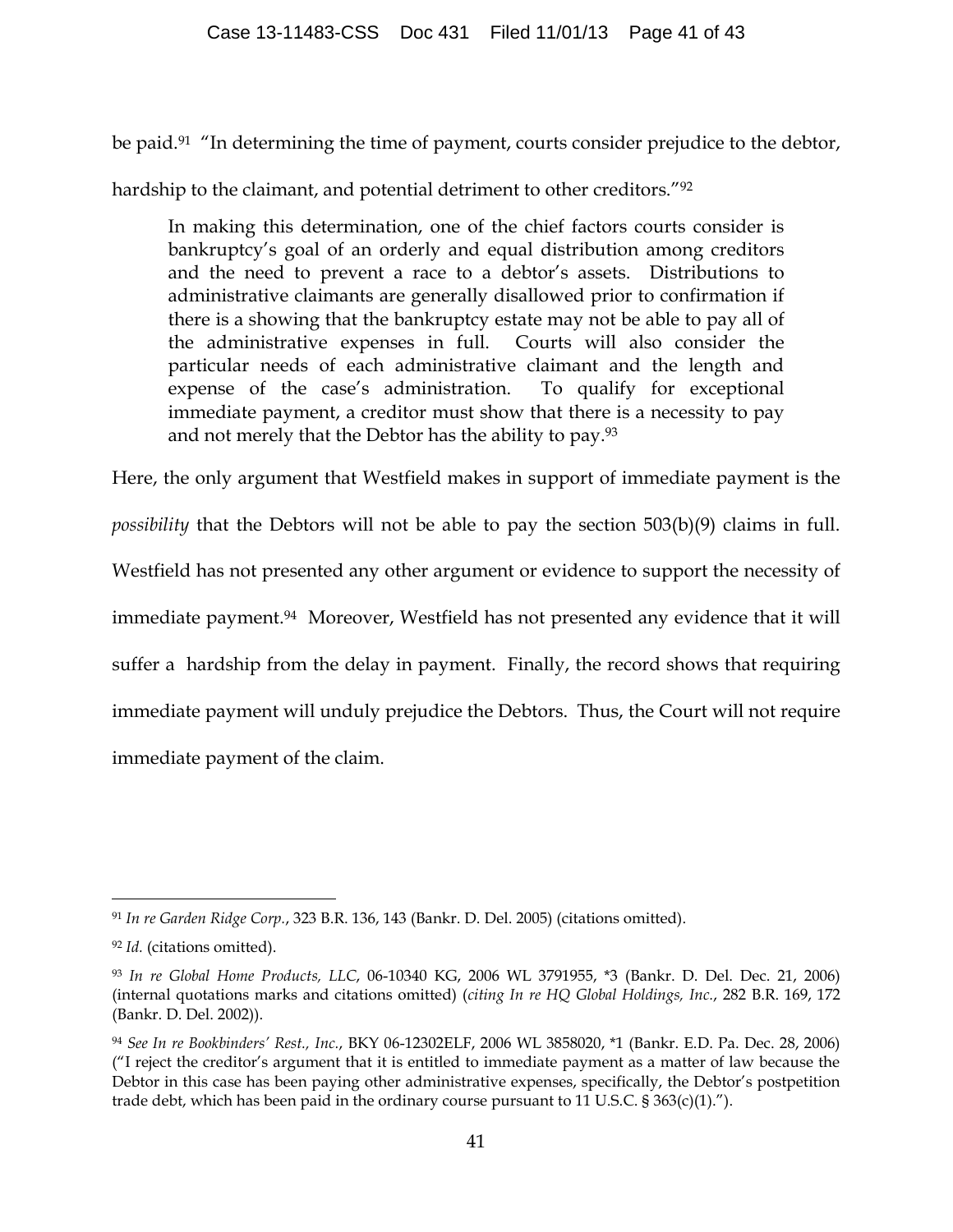be paid.<sup>91</sup> "In determining the time of payment, courts consider prejudice to the debtor,

hardship to the claimant, and potential detriment to other creditors."92

In making this determination, one of the chief factors courts consider is bankruptcy's goal of an orderly and equal distribution among creditors and the need to prevent a race to a debtor's assets. Distributions to administrative claimants are generally disallowed prior to confirmation if there is a showing that the bankruptcy estate may not be able to pay all of the administrative expenses in full. Courts will also consider the particular needs of each administrative claimant and the length and expense of the case's administration. To qualify for exceptional immediate payment, a creditor must show that there is a necessity to pay and not merely that the Debtor has the ability to pay.<sup>93</sup>

Here, the only argument that Westfield makes in support of immediate payment is the *possibility* that the Debtors will not be able to pay the section 503(b)(9) claims in full. Westfield has not presented any other argument or evidence to support the necessity of immediate payment.<sup>94</sup> Moreover, Westfield has not presented any evidence that it will suffer a hardship from the delay in payment. Finally, the record shows that requiring immediate payment will unduly prejudice the Debtors. Thus, the Court will not require immediate payment of the claim.

 <sup>91</sup> *In re Garden Ridge Corp.*, 323 B.R. 136, 143 (Bankr. D. Del. 2005) (citations omitted).

<sup>92</sup> *Id.* (citations omitted).

<sup>93</sup> *In re Global Home Products, LLC*, 06-10340 KG, 2006 WL 3791955, \*3 (Bankr. D. Del. Dec. 21, 2006) (internal quotations marks and citations omitted) (*citing In re HQ Global Holdings, Inc.*, 282 B.R. 169, 172 (Bankr. D. Del. 2002)).

<sup>94</sup> *See In re Bookbinders' Rest., Inc.*, BKY 06-12302ELF, 2006 WL 3858020, \*1 (Bankr. E.D. Pa. Dec. 28, 2006) ("I reject the creditor's argument that it is entitled to immediate payment as a matter of law because the Debtor in this case has been paying other administrative expenses, specifically, the Debtor's postpetition trade debt, which has been paid in the ordinary course pursuant to 11 U.S.C.  $\S 363(c)(1)$ .").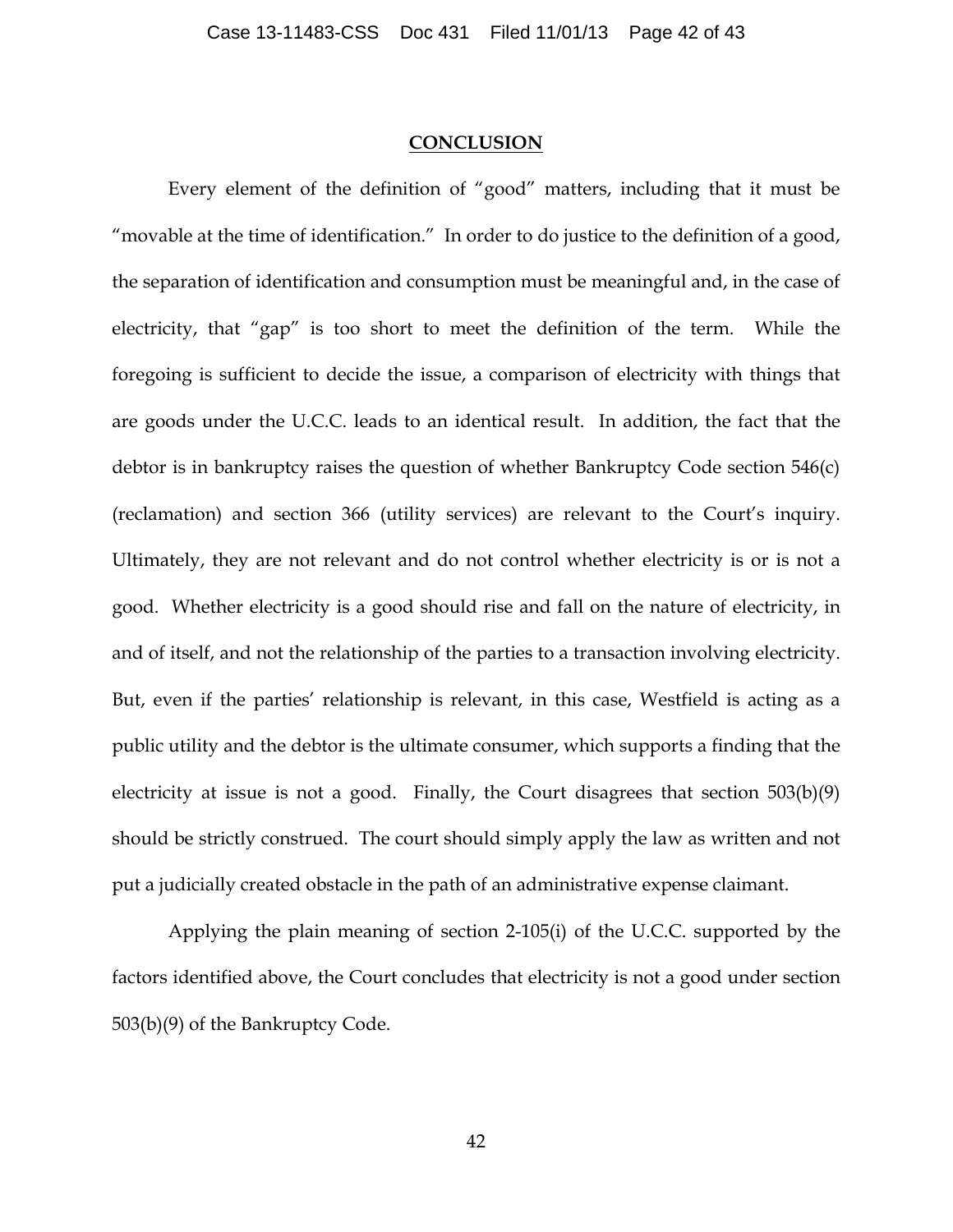#### **CONCLUSION**

Every element of the definition of "good" matters, including that it must be "movable at the time of identification." In order to do justice to the definition of a good, the separation of identification and consumption must be meaningful and, in the case of electricity, that "gap" is too short to meet the definition of the term. While the foregoing is sufficient to decide the issue, a comparison of electricity with things that are goods under the U.C.C. leads to an identical result. In addition, the fact that the debtor is in bankruptcy raises the question of whether Bankruptcy Code section 546(c) (reclamation) and section 366 (utility services) are relevant to the Court's inquiry. Ultimately, they are not relevant and do not control whether electricity is or is not a good. Whether electricity is a good should rise and fall on the nature of electricity, in and of itself, and not the relationship of the parties to a transaction involving electricity. But, even if the parties' relationship is relevant, in this case, Westfield is acting as a public utility and the debtor is the ultimate consumer, which supports a finding that the electricity at issue is not a good. Finally, the Court disagrees that section 503(b)(9) should be strictly construed. The court should simply apply the law as written and not put a judicially created obstacle in the path of an administrative expense claimant.

Applying the plain meaning of section 2-105(i) of the U.C.C. supported by the factors identified above, the Court concludes that electricity is not a good under section 503(b)(9) of the Bankruptcy Code.

42